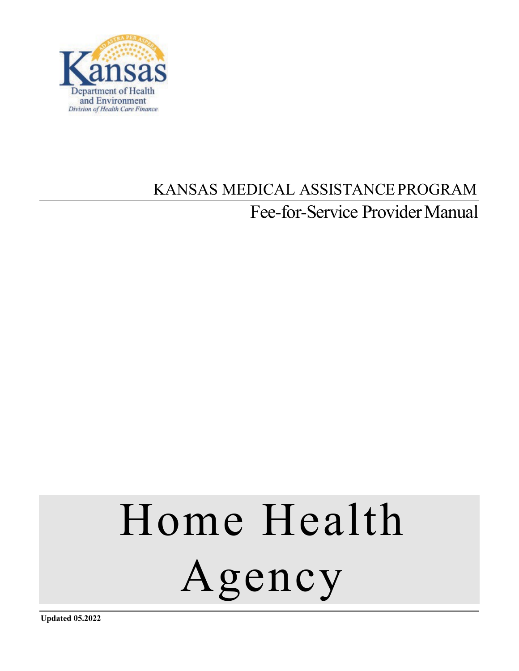

## KANSAS MEDICAL ASSISTANCEPROGRAM Fee-for-Service Provider Manual

# Home Health Agency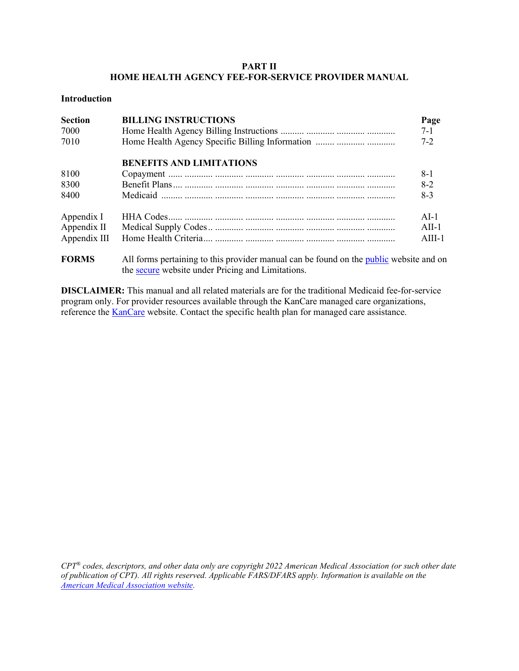#### **PART II HOME HEALTH AGENCY FEE-FOR-SERVICE PROVIDER MANUAL**

#### **Introduction**

| <b>Section</b><br>7000<br>7010 | <b>BILLING INSTRUCTIONS</b><br>Home Health Agency Specific Billing Information         | Page<br>$7 - 1$<br>$7 - 2$ |
|--------------------------------|----------------------------------------------------------------------------------------|----------------------------|
|                                | <b>BENEFITS AND LIMITATIONS</b>                                                        |                            |
| 8100                           |                                                                                        | $8-1$                      |
| 8300                           |                                                                                        | $8-2$                      |
| 8400                           |                                                                                        | $8-3$                      |
| Appendix I                     |                                                                                        | $AI-1$                     |
| Appendix II                    |                                                                                        | $ATI-1$                    |
| Appendix III                   |                                                                                        | $AIII-1$                   |
| <b>FORMS</b>                   | All forms pertaining to this provider manual can be found on the public website and on |                            |

the [secure](https://portal.kmap-state-ks.us/Home/Index) website under Pricing and Limitations.

**DISCLAIMER:** This manual and all related materials are for the traditional Medicaid fee-for-service program only. For provider resources available through the KanCare managed care organizations, reference the **KanCare** website. Contact the specific health plan for managed care assistance.

*CPT® codes, descriptors, and other data only are copyright 2022 American Medical Association (or such other date of publication of CPT). All rights reserved. Applicable FARS/DFARS apply. Information is available on the [American Medical Association website.](http://www.ama-assn.org/)*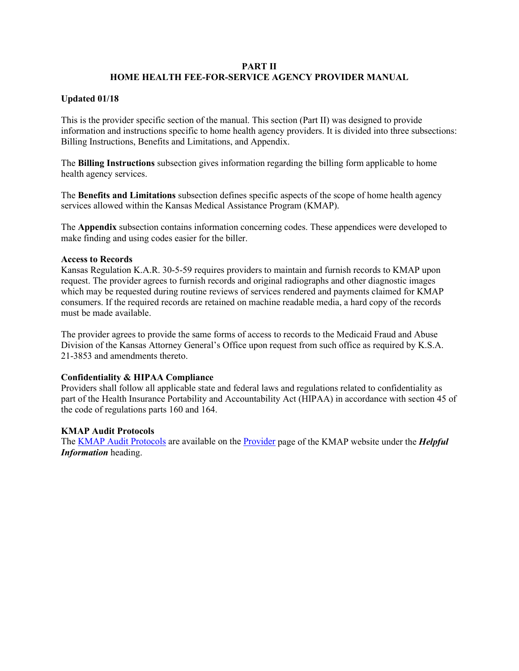#### **PART II HOME HEALTH FEE-FOR-SERVICE AGENCY PROVIDER MANUAL**

#### **Updated 01/18**

This is the provider specific section of the manual. This section (Part II) was designed to provide information and instructions specific to home health agency providers. It is divided into three subsections: Billing Instructions, Benefits and Limitations, and Appendix.

The **Billing Instructions** subsection gives information regarding the billing form applicable to home health agency services.

The **Benefits and Limitations** subsection defines specific aspects of the scope of home health agency services allowed within the Kansas Medical Assistance Program (KMAP).

The **Appendix** subsection contains information concerning codes. These appendices were developed to make finding and using codes easier for the biller.

#### **Access to Records**

Kansas Regulation K.A.R. 30-5-59 requires providers to maintain and furnish records to KMAP upon request. The provider agrees to furnish records and original radiographs and other diagnostic images which may be requested during routine reviews of services rendered and payments claimed for KMAP consumers. If the required records are retained on machine readable media, a hard copy of the records must be made available.

The provider agrees to provide the same forms of access to records to the Medicaid Fraud and Abuse Division of the Kansas Attorney General's Office upon request from such office as required by K.S.A. 21-3853 and amendments thereto.

#### **Confidentiality & HIPAA Compliance**

Providers shall follow all applicable state and federal laws and regulations related to confidentiality as part of the Health Insurance Portability and Accountability Act (HIPAA) in accordance with section 45 of the code of regulations parts 160 and 164.

#### **KMAP Audit Protocols**

The [KMAP Audit Protocols](https://portal.kmap-state-ks.us/Documents/Provider/Provider%20Documents/Audit_Protocols.pdf) are available on the [Provider](https://portal.kmap-state-ks.us/PublicPage/Public/ProviderHome/) page of the KMAP website under the *Helpful Information* heading.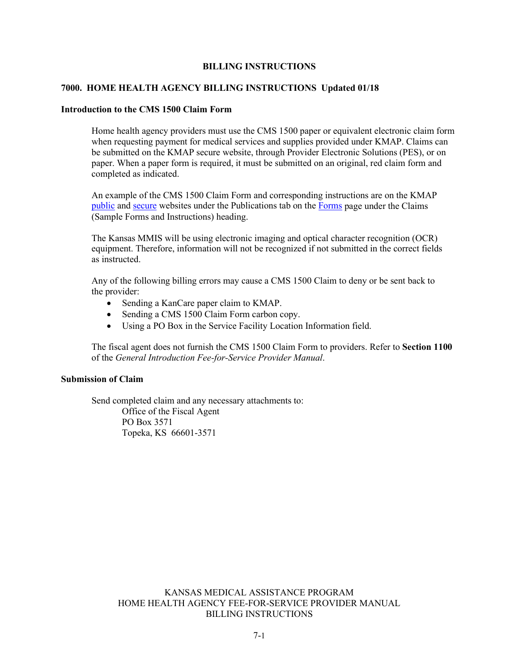#### **BILLING INSTRUCTIONS**

#### **7000. HOME HEALTH AGENCY BILLING INSTRUCTIONS Updated 01/18**

#### **Introduction to the CMS 1500 Claim Form**

Home health agency providers must use the CMS 1500 paper or equivalent electronic claim form when requesting payment for medical services and supplies provided under KMAP. Claims can be submitted on the KMAP secure website, through Provider Electronic Solutions (PES), or on paper. When a paper form is required, it must be submitted on an original, red claim form and completed as indicated.

An example of the CMS 1500 Claim Form and corresponding instructions are on the KMAP [public](https://portal.kmap-state-ks.us/PublicPage) and [secure](https://portal.kmap-state-ks.us/Home/Index) websites under the Publications tab on the [Forms](https://portal.kmap-state-ks.us/PublicPage/ProviderPricing/ProviderPublications#prvForms) page under the Claims (Sample Forms and Instructions) heading.

The Kansas MMIS will be using electronic imaging and optical character recognition (OCR) equipment. Therefore, information will not be recognized if not submitted in the correct fields as instructed.

Any of the following billing errors may cause a CMS 1500 Claim to deny or be sent back to the provider:

- Sending a KanCare paper claim to KMAP.
- Sending a CMS 1500 Claim Form carbon copy.
- Using a PO Box in the Service Facility Location Information field.

The fiscal agent does not furnish the CMS 1500 Claim Form to providers. Refer to **Section 1100**  of the *General Introduction Fee-for-Service Provider Manual*.

#### **Submission of Claim**

Send completed claim and any necessary attachments to: Office of the Fiscal Agent PO Box 3571 Topeka, KS 66601-3571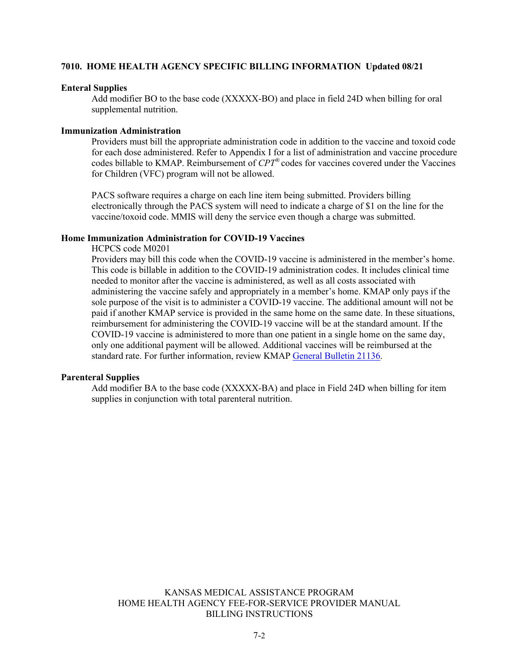#### **7010. HOME HEALTH AGENCY SPECIFIC BILLING INFORMATION Updated 08/21**

#### **Enteral Supplies**

Add modifier BO to the base code (XXXXX-BO) and place in field 24D when billing for oral supplemental nutrition.

#### **Immunization Administration**

Providers must bill the appropriate administration code in addition to the vaccine and toxoid code for each dose administered. Refer to Appendix I for a list of administration and vaccine procedure codes billable to KMAP. Reimbursement of *CPT®* codes for vaccines covered under the Vaccines for Children (VFC) program will not be allowed.

PACS software requires a charge on each line item being submitted. Providers billing electronically through the PACS system will need to indicate a charge of \$1 on the line for the vaccine/toxoid code. MMIS will deny the service even though a charge was submitted.

#### **Home Immunization Administration for COVID-19 Vaccines**

HCPCS code M0201

Providers may bill this code when the COVID-19 vaccine is administered in the member's home. This code is billable in addition to the COVID-19 administration codes. It includes clinical time needed to monitor after the vaccine is administered, as well as all costs associated with administering the vaccine safely and appropriately in a member's home. KMAP only pays if the sole purpose of the visit is to administer a COVID-19 vaccine. The additional amount will not be paid if another KMAP service is provided in the same home on the same date. In these situations, reimbursement for administering the COVID-19 vaccine will be at the standard amount. If the COVID-19 vaccine is administered to more than one patient in a single home on the same day, only one additional payment will be allowed. Additional vaccines will be reimbursed at the standard rate. For further information, review KMAP [General Bulletin 21136.](https://portal.kmap-state-ks.us/Documents/Provider/Bulletins/21136%20-%20General%20-%20Rate_Increase_for_COVID-19_Vaccine_Administration_in_%20the_Home.pdf)

#### **Parenteral Supplies**

Add modifier BA to the base code (XXXXX-BA) and place in Field 24D when billing for item supplies in conjunction with total parenteral nutrition.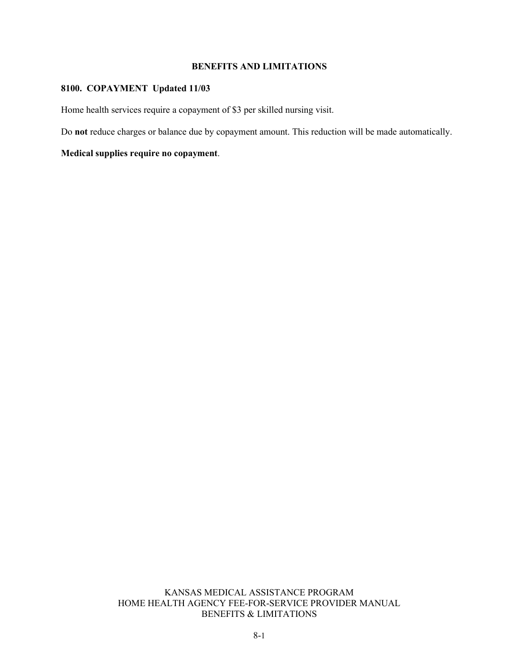#### **BENEFITS AND LIMITATIONS**

#### **8100. COPAYMENT Updated 11/03**

Home health services require a copayment of \$3 per skilled nursing visit.

Do **not** reduce charges or balance due by copayment amount. This reduction will be made automatically.

**Medical supplies require no copayment**.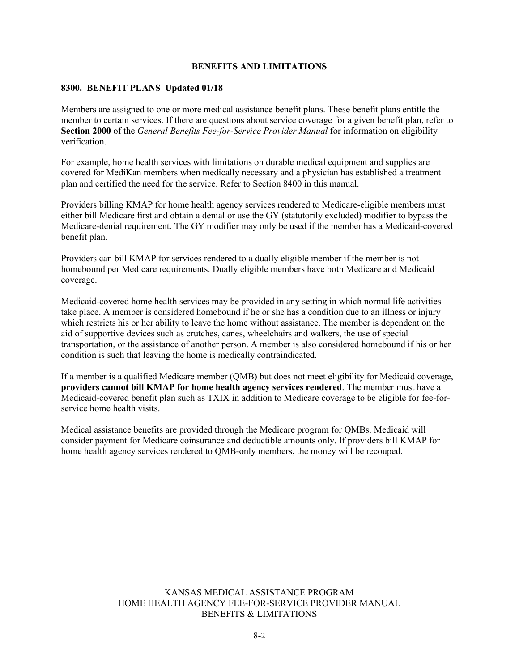#### **BENEFITS AND LIMITATIONS**

#### **8300. BENEFIT PLANS Updated 01/18**

Members are assigned to one or more medical assistance benefit plans. These benefit plans entitle the member to certain services. If there are questions about service coverage for a given benefit plan, refer to **Section 2000** of the *General Benefits Fee-for-Service Provider Manual* for information on eligibility verification.

For example, home health services with limitations on durable medical equipment and supplies are covered for MediKan members when medically necessary and a physician has established a treatment plan and certified the need for the service. Refer to Section 8400 in this manual.

Providers billing KMAP for home health agency services rendered to Medicare-eligible members must either bill Medicare first and obtain a denial or use the GY (statutorily excluded) modifier to bypass the Medicare-denial requirement. The GY modifier may only be used if the member has a Medicaid-covered benefit plan.

Providers can bill KMAP for services rendered to a dually eligible member if the member is not homebound per Medicare requirements. Dually eligible members have both Medicare and Medicaid coverage.

Medicaid-covered home health services may be provided in any setting in which normal life activities take place. A member is considered homebound if he or she has a condition due to an illness or injury which restricts his or her ability to leave the home without assistance. The member is dependent on the aid of supportive devices such as crutches, canes, wheelchairs and walkers, the use of special transportation, or the assistance of another person. A member is also considered homebound if his or her condition is such that leaving the home is medically contraindicated.

If a member is a qualified Medicare member (QMB) but does not meet eligibility for Medicaid coverage, **providers cannot bill KMAP for home health agency services rendered**. The member must have a Medicaid-covered benefit plan such as TXIX in addition to Medicare coverage to be eligible for fee-forservice home health visits.

Medical assistance benefits are provided through the Medicare program for QMBs. Medicaid will consider payment for Medicare coinsurance and deductible amounts only. If providers bill KMAP for home health agency services rendered to QMB-only members, the money will be recouped.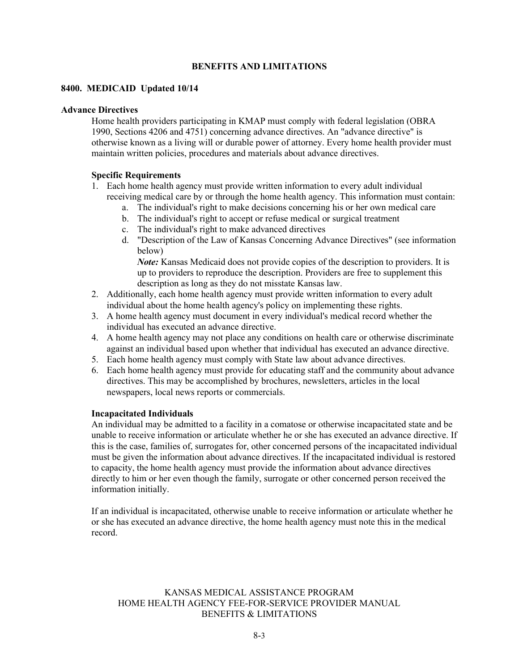#### **BENEFITS AND LIMITATIONS**

#### **8400. MEDICAID Updated 10/14**

#### **Advance Directives**

Home health providers participating in KMAP must comply with federal legislation (OBRA 1990, Sections 4206 and 4751) concerning advance directives. An "advance directive" is otherwise known as a living will or durable power of attorney. Every home health provider must maintain written policies, procedures and materials about advance directives.

#### **Specific Requirements**

- 1. Each home health agency must provide written information to every adult individual receiving medical care by or through the home health agency. This information must contain:
	- a. The individual's right to make decisions concerning his or her own medical care
	- b. The individual's right to accept or refuse medical or surgical treatment
	- c. The individual's right to make advanced directives
	- d. "Description of the Law of Kansas Concerning Advance Directives" (see information below)

*Note:* Kansas Medicaid does not provide copies of the description to providers. It is up to providers to reproduce the description. Providers are free to supplement this description as long as they do not misstate Kansas law.

- 2. Additionally, each home health agency must provide written information to every adult individual about the home health agency's policy on implementing these rights.
- 3. A home health agency must document in every individual's medical record whether the individual has executed an advance directive.
- 4. A home health agency may not place any conditions on health care or otherwise discriminate against an individual based upon whether that individual has executed an advance directive.
- 5. Each home health agency must comply with State law about advance directives.
- 6. Each home health agency must provide for educating staff and the community about advance directives. This may be accomplished by brochures, newsletters, articles in the local newspapers, local news reports or commercials.

#### **Incapacitated Individuals**

An individual may be admitted to a facility in a comatose or otherwise incapacitated state and be unable to receive information or articulate whether he or she has executed an advance directive. If this is the case, families of, surrogates for, other concerned persons of the incapacitated individual must be given the information about advance directives. If the incapacitated individual is restored to capacity, the home health agency must provide the information about advance directives directly to him or her even though the family, surrogate or other concerned person received the information initially.

If an individual is incapacitated, otherwise unable to receive information or articulate whether he or she has executed an advance directive, the home health agency must note this in the medical record.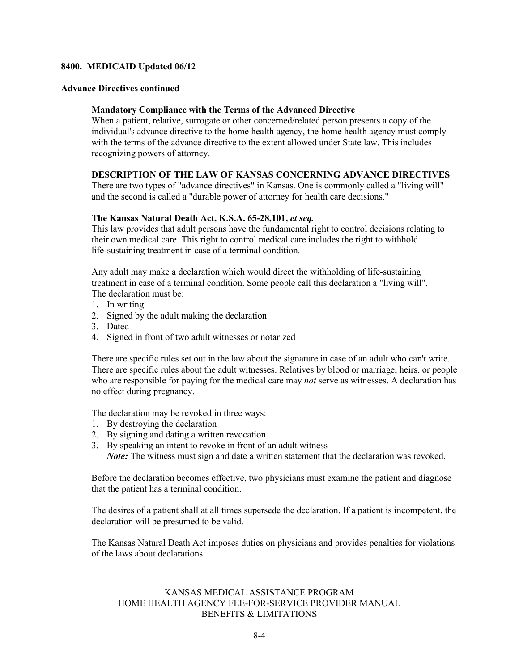#### **Advance Directives continued**

#### **Mandatory Compliance with the Terms of the Advanced Directive**

When a patient, relative, surrogate or other concerned/related person presents a copy of the individual's advance directive to the home health agency, the home health agency must comply with the terms of the advance directive to the extent allowed under State law. This includes recognizing powers of attorney.

#### **DESCRIPTION OF THE LAW OF KANSAS CONCERNING ADVANCE DIRECTIVES**

There are two types of "advance directives" in Kansas. One is commonly called a "living will" and the second is called a "durable power of attorney for health care decisions."

#### **The Kansas Natural Death Act, K.S.A. 65-28,101,** *et seq.*

This law provides that adult persons have the fundamental right to control decisions relating to their own medical care. This right to control medical care includes the right to withhold life-sustaining treatment in case of a terminal condition.

Any adult may make a declaration which would direct the withholding of life-sustaining treatment in case of a terminal condition. Some people call this declaration a "living will". The declaration must be:

- 1. In writing
- 2. Signed by the adult making the declaration
- 3. Dated
- 4. Signed in front of two adult witnesses or notarized

There are specific rules set out in the law about the signature in case of an adult who can't write. There are specific rules about the adult witnesses. Relatives by blood or marriage, heirs, or people who are responsible for paying for the medical care may *not* serve as witnesses. A declaration has no effect during pregnancy.

The declaration may be revoked in three ways:

- 1. By destroying the declaration
- 2. By signing and dating a written revocation
- 3. By speaking an intent to revoke in front of an adult witness *Note:* The witness must sign and date a written statement that the declaration was revoked.

Before the declaration becomes effective, two physicians must examine the patient and diagnose that the patient has a terminal condition.

The desires of a patient shall at all times supersede the declaration. If a patient is incompetent, the declaration will be presumed to be valid.

The Kansas Natural Death Act imposes duties on physicians and provides penalties for violations of the laws about declarations.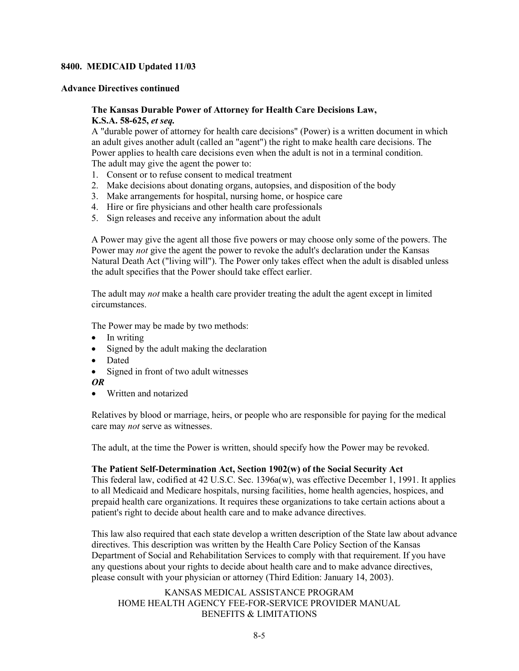#### **Advance Directives continued**

#### **The Kansas Durable Power of Attorney for Health Care Decisions Law, K.S.A. 58-625,** *et seq.*

A "durable power of attorney for health care decisions" (Power) is a written document in which an adult gives another adult (called an "agent") the right to make health care decisions. The Power applies to health care decisions even when the adult is not in a terminal condition. The adult may give the agent the power to:

- 1. Consent or to refuse consent to medical treatment
- 2. Make decisions about donating organs, autopsies, and disposition of the body
- 3. Make arrangements for hospital, nursing home, or hospice care
- 4. Hire or fire physicians and other health care professionals
- 5. Sign releases and receive any information about the adult

A Power may give the agent all those five powers or may choose only some of the powers. The Power may *not* give the agent the power to revoke the adult's declaration under the Kansas Natural Death Act ("living will"). The Power only takes effect when the adult is disabled unless the adult specifies that the Power should take effect earlier.

The adult may *not* make a health care provider treating the adult the agent except in limited circumstances.

The Power may be made by two methods:

- In writing
- Signed by the adult making the declaration
- Dated
- Signed in front of two adult witnesses
- *OR*
- Written and notarized

Relatives by blood or marriage, heirs, or people who are responsible for paying for the medical care may *not* serve as witnesses.

The adult, at the time the Power is written, should specify how the Power may be revoked.

#### **The Patient Self-Determination Act, Section 1902(w) of the Social Security Act**

This federal law, codified at 42 U.S.C. Sec. 1396a(w), was effective December 1, 1991. It applies to all Medicaid and Medicare hospitals, nursing facilities, home health agencies, hospices, and prepaid health care organizations. It requires these organizations to take certain actions about a patient's right to decide about health care and to make advance directives.

This law also required that each state develop a written description of the State law about advance directives. This description was written by the Health Care Policy Section of the Kansas Department of Social and Rehabilitation Services to comply with that requirement. If you have any questions about your rights to decide about health care and to make advance directives, please consult with your physician or attorney (Third Edition: January 14, 2003).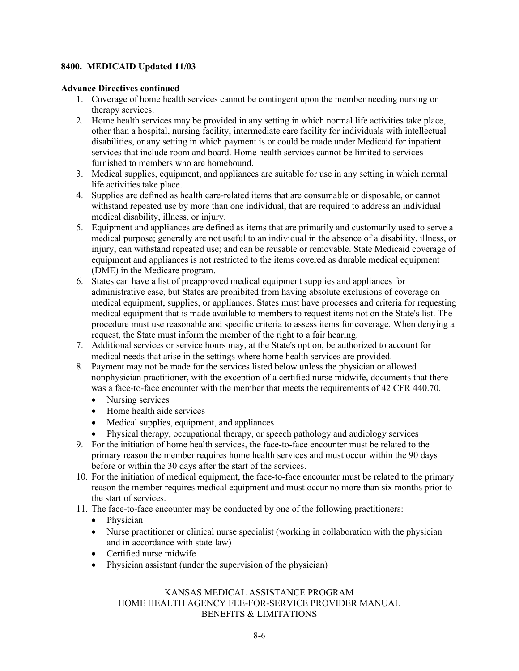#### **Advance Directives continued**

- 1. Coverage of home health services cannot be contingent upon the member needing nursing or therapy services.
- 2. Home health services may be provided in any setting in which normal life activities take place, other than a hospital, nursing facility, intermediate care facility for individuals with intellectual disabilities, or any setting in which payment is or could be made under Medicaid for inpatient services that include room and board. Home health services cannot be limited to services furnished to members who are homebound.
- 3. Medical supplies, equipment, and appliances are suitable for use in any setting in which normal life activities take place.
- 4. Supplies are defined as health care-related items that are consumable or disposable, or cannot withstand repeated use by more than one individual, that are required to address an individual medical disability, illness, or injury.
- 5. Equipment and appliances are defined as items that are primarily and customarily used to serve a medical purpose; generally are not useful to an individual in the absence of a disability, illness, or injury; can withstand repeated use; and can be reusable or removable. State Medicaid coverage of equipment and appliances is not restricted to the items covered as durable medical equipment (DME) in the Medicare program.
- 6. States can have a list of preapproved medical equipment supplies and appliances for administrative ease, but States are prohibited from having absolute exclusions of coverage on medical equipment, supplies, or appliances. States must have processes and criteria for requesting medical equipment that is made available to members to request items not on the State's list. The procedure must use reasonable and specific criteria to assess items for coverage. When denying a request, the State must inform the member of the right to a fair hearing.
- 7. Additional services or service hours may, at the State's option, be authorized to account for medical needs that arise in the settings where home health services are provided.
- 8. Payment may not be made for the services listed below unless the physician or allowed nonphysician practitioner, with the exception of a certified nurse midwife, documents that there was a face-to-face encounter with the member that meets the requirements of 42 CFR 440.70.
	- Nursing services
	- Home health aide services
	- Medical supplies, equipment, and appliances
	- Physical therapy, occupational therapy, or speech pathology and audiology services
- 9. For the initiation of home health services, the face-to-face encounter must be related to the primary reason the member requires home health services and must occur within the 90 days before or within the 30 days after the start of the services.
- 10. For the initiation of medical equipment, the face-to-face encounter must be related to the primary reason the member requires medical equipment and must occur no more than six months prior to the start of services.
- 11. The face-to-face encounter may be conducted by one of the following practitioners:
	- Physician
	- Nurse practitioner or clinical nurse specialist (working in collaboration with the physician and in accordance with state law)
	- Certified nurse midwife
	- Physician assistant (under the supervision of the physician)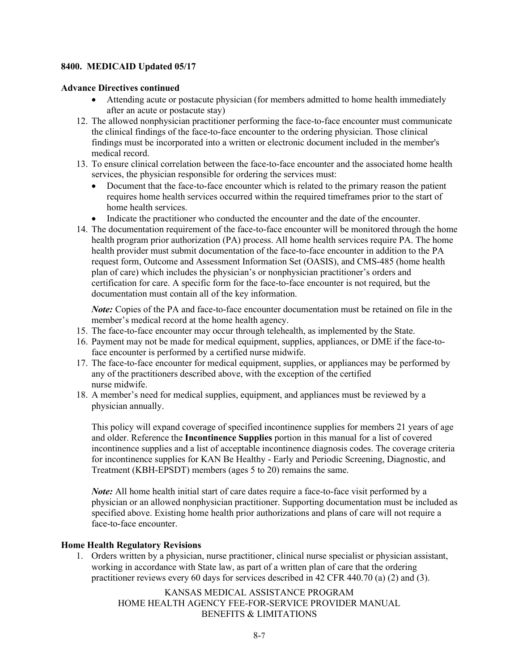#### **Advance Directives continued**

- Attending acute or postacute physician (for members admitted to home health immediately after an acute or postacute stay)
- 12. The allowed nonphysician practitioner performing the face-to-face encounter must communicate the clinical findings of the face-to-face encounter to the ordering physician. Those clinical findings must be incorporated into a written or electronic document included in the member's medical record.
- 13. To ensure clinical correlation between the face-to-face encounter and the associated home health services, the physician responsible for ordering the services must:
	- Document that the face-to-face encounter which is related to the primary reason the patient requires home health services occurred within the required timeframes prior to the start of home health services.
	- Indicate the practitioner who conducted the encounter and the date of the encounter.
- 14. The documentation requirement of the face-to-face encounter will be monitored through the home health program prior authorization (PA) process. All home health services require PA. The home health provider must submit documentation of the face-to-face encounter in addition to the PA request form, Outcome and Assessment Information Set (OASIS), and CMS-485 (home health plan of care) which includes the physician's or nonphysician practitioner's orders and certification for care. A specific form for the face-to-face encounter is not required, but the documentation must contain all of the key information.

*Note:* Copies of the PA and face-to-face encounter documentation must be retained on file in the member's medical record at the home health agency.

- 15. The face-to-face encounter may occur through telehealth, as implemented by the State.
- 16. Payment may not be made for medical equipment, supplies, appliances, or DME if the face-toface encounter is performed by a certified nurse midwife.
- 17. The face-to-face encounter for medical equipment, supplies, or appliances may be performed by any of the practitioners described above, with the exception of the certified nurse midwife.
- 18. A member's need for medical supplies, equipment, and appliances must be reviewed by a physician annually.

This policy will expand coverage of specified incontinence supplies for members 21 years of age and older. Reference the **Incontinence Supplies** portion in this manual for a list of covered incontinence supplies and a list of acceptable incontinence diagnosis codes. The coverage criteria for incontinence supplies for KAN Be Healthy - Early and Periodic Screening, Diagnostic, and Treatment (KBH-EPSDT) members (ages 5 to 20) remains the same.

*Note:* All home health initial start of care dates require a face-to-face visit performed by a physician or an allowed nonphysician practitioner. Supporting documentation must be included as specified above. Existing home health prior authorizations and plans of care will not require a face-to-face encounter.

#### **Home Health Regulatory Revisions**

1. Orders written by a physician, nurse practitioner, clinical nurse specialist or physician assistant, working in accordance with State law, as part of a written plan of care that the ordering practitioner reviews every 60 days for services described in 42 CFR 440.70 (a) (2) and (3).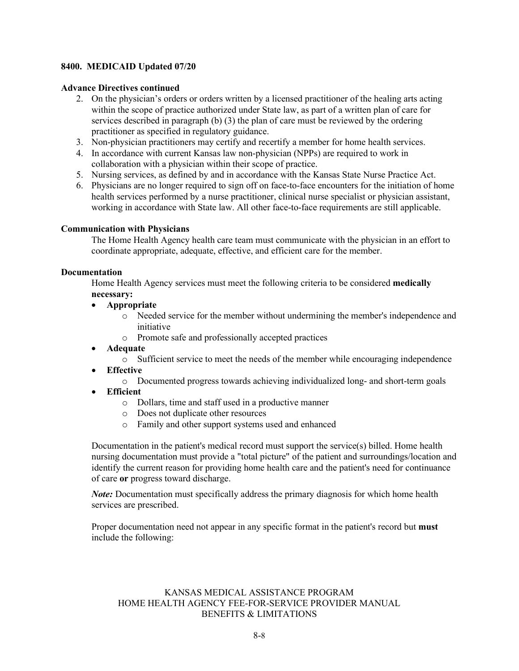#### **Advance Directives continued**

- 2. On the physician's orders or orders written by a licensed practitioner of the healing arts acting within the scope of practice authorized under State law, as part of a written plan of care for services described in paragraph (b) (3) the plan of care must be reviewed by the ordering practitioner as specified in regulatory guidance.
- 3. Non-physician practitioners may certify and recertify a member for home health services.
- 4. In accordance with current Kansas law non-physician (NPPs) are required to work in collaboration with a physician within their scope of practice.
- 5. Nursing services, as defined by and in accordance with the Kansas State Nurse Practice Act.
- 6. Physicians are no longer required to sign off on face-to-face encounters for the initiation of home health services performed by a nurse practitioner, clinical nurse specialist or physician assistant, working in accordance with State law. All other face-to-face requirements are still applicable.

#### **Communication with Physicians**

The Home Health Agency health care team must communicate with the physician in an effort to coordinate appropriate, adequate, effective, and efficient care for the member.

#### **Documentation**

Home Health Agency services must meet the following criteria to be considered **medically necessary:**

- **Appropriate**
	- o Needed service for the member without undermining the member's independence and initiative
	- o Promote safe and professionally accepted practices
- **Adequate**

o Sufficient service to meet the needs of the member while encouraging independence

- **Effective**
	- o Documented progress towards achieving individualized long- and short-term goals
- **Efficient**
	- o Dollars, time and staff used in a productive manner
	- o Does not duplicate other resources
	- o Family and other support systems used and enhanced

Documentation in the patient's medical record must support the service(s) billed. Home health nursing documentation must provide a "total picture" of the patient and surroundings/location and identify the current reason for providing home health care and the patient's need for continuance of care **or** progress toward discharge.

*Note:* Documentation must specifically address the primary diagnosis for which home health services are prescribed.

Proper documentation need not appear in any specific format in the patient's record but **must** include the following: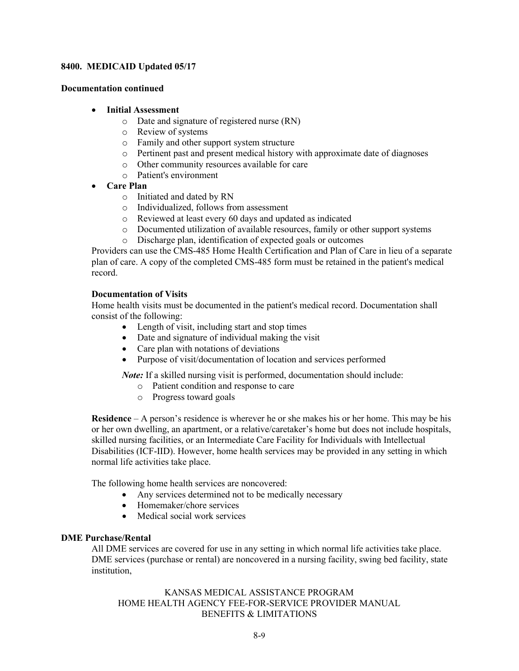#### **Documentation continued**

#### • **Initial Assessment**

- o Date and signature of registered nurse (RN)
- o Review of systems
- o Family and other support system structure
- o Pertinent past and present medical history with approximate date of diagnoses
- o Other community resources available for care
- o Patient's environment
- **Care Plan**
	- o Initiated and dated by RN
	- o Individualized, follows from assessment
	- o Reviewed at least every 60 days and updated as indicated
	- o Documented utilization of available resources, family or other support systems
	- o Discharge plan, identification of expected goals or outcomes

Providers can use the CMS-485 Home Health Certification and Plan of Care in lieu of a separate plan of care. A copy of the completed CMS-485 form must be retained in the patient's medical record.

#### **Documentation of Visits**

Home health visits must be documented in the patient's medical record. Documentation shall consist of the following:

- Length of visit, including start and stop times
- Date and signature of individual making the visit
- Care plan with notations of deviations
- Purpose of visit/documentation of location and services performed

*Note:* If a skilled nursing visit is performed, documentation should include:

- o Patient condition and response to care
- o Progress toward goals

**Residence** – A person's residence is wherever he or she makes his or her home. This may be his or her own dwelling, an apartment, or a relative/caretaker's home but does not include hospitals, skilled nursing facilities, or an Intermediate Care Facility for Individuals with Intellectual Disabilities (ICF-IID). However, home health services may be provided in any setting in which normal life activities take place.

The following home health services are noncovered:

- Any services determined not to be medically necessary
- Homemaker/chore services
- Medical social work services

#### **DME Purchase/Rental**

All DME services are covered for use in any setting in which normal life activities take place. DME services (purchase or rental) are noncovered in a nursing facility, swing bed facility, state institution,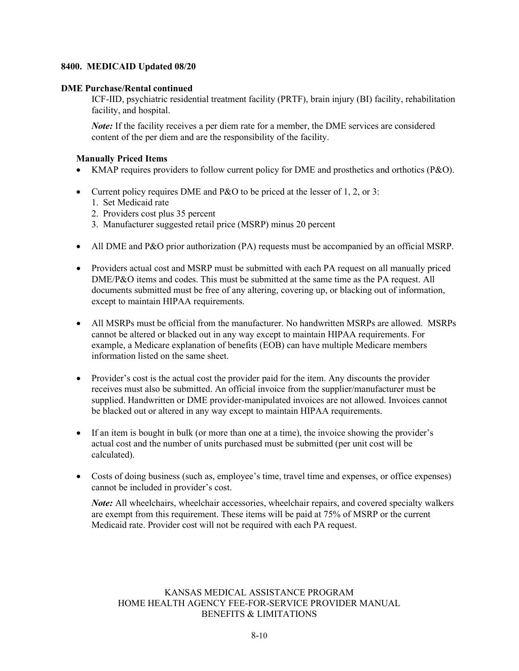#### **DME Purchase/Rental continued**

ICF-IID, psychiatric residential treatment facility (PRTF), brain injury (BI) facility, rehabilitation facility, and hospital.

*Note*: If the facility receives a per diem rate for a member, the DME services are considered content of the per diem and are the responsibility of the facility.

#### **Manually Priced Items**

- KMAP requires providers to follow current policy for DME and prosthetics and orthotics (P&O).
- Current policy requires DME and P&O to be priced at the lesser of 1, 2, or 3:
	- 1. Set Medicaid rate
	- 2. Providers cost plus 35 percent
	- 3. Manufacturer suggested retail price (MSRP) minus 20 percent
- All DME and P&O prior authorization (PA) requests must be accompanied by an official MSRP.
- Providers actual cost and MSRP must be submitted with each PA request on all manually priced DME/P&O items and codes. This must be submitted at the same time as the PA request. All documents submitted must be free of any altering, covering up, or blacking out of information, except to maintain HIPAA requirements.
- All MSRPs must be official from the manufacturer. No handwritten MSRPs are allowed. MSRPs cannot be altered or blacked out in any way except to maintain HIPAA requirements. For example, a Medicare explanation of benefits (EOB) can have multiple Medicare members information listed on the same sheet.
- Provider's cost is the actual cost the provider paid for the item. Any discounts the provider receives must also be submitted. An official invoice from the supplier/manufacturer must be supplied. Handwritten or DME provider-manipulated invoices are not allowed. Invoices cannot be blacked out or altered in any way except to maintain HIPAA requirements.
- If an item is bought in bulk (or more than one at a time), the invoice showing the provider's actual cost and the number of units purchased must be submitted (per unit cost will be calculated).
- Costs of doing business (such as, employee's time, travel time and expenses, or office expenses) cannot be included in provider's cost.

*Note:* All wheelchairs, wheelchair accessories, wheelchair repairs, and covered specialty walkers are exempt from this requirement. These items will be paid at 75% of MSRP or the current Medicaid rate. Provider cost will not be required with each PA request.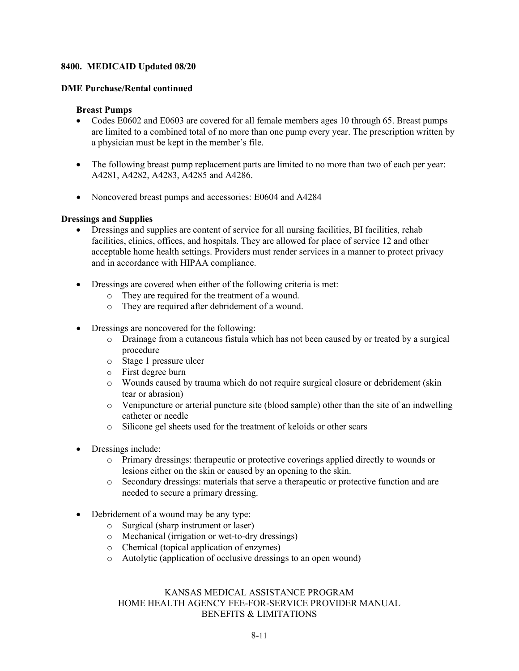#### **DME Purchase/Rental continued**

#### **Breast Pumps**

- Codes E0602 and E0603 are covered for all female members ages 10 through 65. Breast pumps are limited to a combined total of no more than one pump every year. The prescription written by a physician must be kept in the member's file.
- The following breast pump replacement parts are limited to no more than two of each per year: A4281, A4282, A4283, A4285 and A4286.
- Noncovered breast pumps and accessories: E0604 and A4284

#### **Dressings and Supplies**

- Dressings and supplies are content of service for all nursing facilities, BI facilities, rehab facilities, clinics, offices, and hospitals. They are allowed for place of service 12 and other acceptable home health settings. Providers must render services in a manner to protect privacy and in accordance with HIPAA compliance.
- Dressings are covered when either of the following criteria is met:
	- o They are required for the treatment of a wound.
	- o They are required after debridement of a wound.
- Dressings are noncovered for the following:
	- o Drainage from a cutaneous fistula which has not been caused by or treated by a surgical procedure
	- o Stage 1 pressure ulcer
	- o First degree burn
	- o Wounds caused by trauma which do not require surgical closure or debridement (skin tear or abrasion)
	- o Venipuncture or arterial puncture site (blood sample) other than the site of an indwelling catheter or needle
	- o Silicone gel sheets used for the treatment of keloids or other scars
- Dressings include:
	- o Primary dressings: therapeutic or protective coverings applied directly to wounds or lesions either on the skin or caused by an opening to the skin.
	- o Secondary dressings: materials that serve a therapeutic or protective function and are needed to secure a primary dressing.
- Debridement of a wound may be any type:
	- o Surgical (sharp instrument or laser)
	- o Mechanical (irrigation or wet-to-dry dressings)
	- o Chemical (topical application of enzymes)
	- o Autolytic (application of occlusive dressings to an open wound)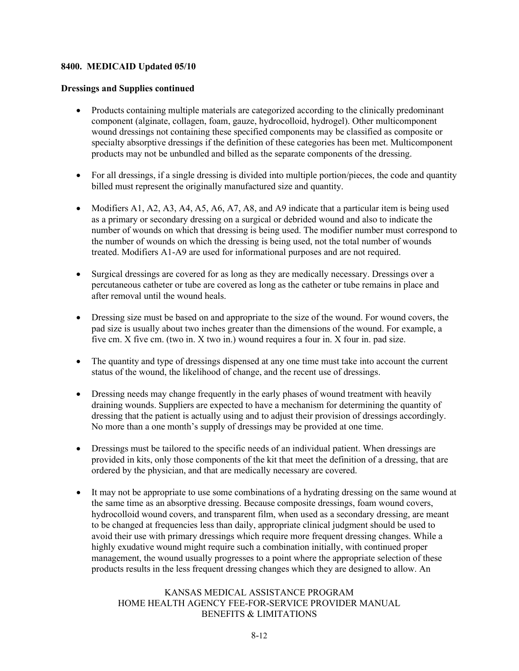#### **Dressings and Supplies continued**

- Products containing multiple materials are categorized according to the clinically predominant component (alginate, collagen, foam, gauze, hydrocolloid, hydrogel). Other multicomponent wound dressings not containing these specified components may be classified as composite or specialty absorptive dressings if the definition of these categories has been met. Multicomponent products may not be unbundled and billed as the separate components of the dressing.
- For all dressings, if a single dressing is divided into multiple portion/pieces, the code and quantity billed must represent the originally manufactured size and quantity.
- Modifiers A1, A2, A3, A4, A5, A6, A7, A8, and A9 indicate that a particular item is being used as a primary or secondary dressing on a surgical or debrided wound and also to indicate the number of wounds on which that dressing is being used. The modifier number must correspond to the number of wounds on which the dressing is being used, not the total number of wounds treated. Modifiers A1-A9 are used for informational purposes and are not required.
- Surgical dressings are covered for as long as they are medically necessary. Dressings over a percutaneous catheter or tube are covered as long as the catheter or tube remains in place and after removal until the wound heals.
- Dressing size must be based on and appropriate to the size of the wound. For wound covers, the pad size is usually about two inches greater than the dimensions of the wound. For example, a five cm. X five cm. (two in. X two in.) wound requires a four in. X four in. pad size.
- The quantity and type of dressings dispensed at any one time must take into account the current status of the wound, the likelihood of change, and the recent use of dressings.
- Dressing needs may change frequently in the early phases of wound treatment with heavily draining wounds. Suppliers are expected to have a mechanism for determining the quantity of dressing that the patient is actually using and to adjust their provision of dressings accordingly. No more than a one month's supply of dressings may be provided at one time.
- Dressings must be tailored to the specific needs of an individual patient. When dressings are provided in kits, only those components of the kit that meet the definition of a dressing, that are ordered by the physician, and that are medically necessary are covered.
- It may not be appropriate to use some combinations of a hydrating dressing on the same wound at the same time as an absorptive dressing. Because composite dressings, foam wound covers, hydrocolloid wound covers, and transparent film, when used as a secondary dressing, are meant to be changed at frequencies less than daily, appropriate clinical judgment should be used to avoid their use with primary dressings which require more frequent dressing changes. While a highly exudative wound might require such a combination initially, with continued proper management, the wound usually progresses to a point where the appropriate selection of these products results in the less frequent dressing changes which they are designed to allow. An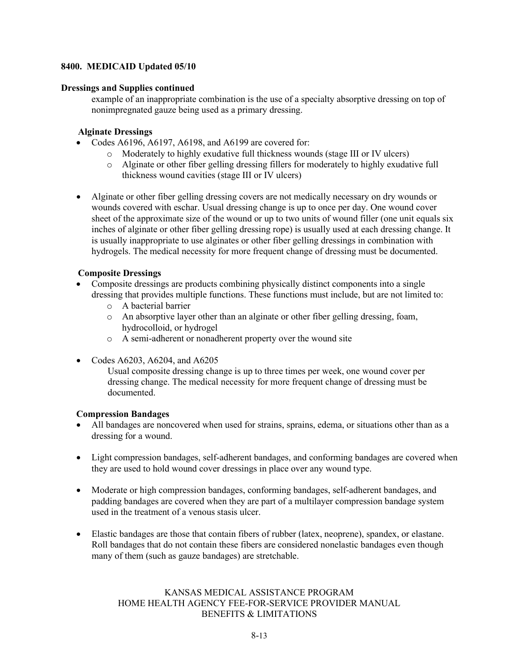#### **Dressings and Supplies continued**

example of an inappropriate combination is the use of a specialty absorptive dressing on top of nonimpregnated gauze being used as a primary dressing.

#### **Alginate Dressings**

- Codes A6196, A6197, A6198, and A6199 are covered for:
	- o Moderately to highly exudative full thickness wounds (stage III or IV ulcers)
	- o Alginate or other fiber gelling dressing fillers for moderately to highly exudative full thickness wound cavities (stage III or IV ulcers)
- Alginate or other fiber gelling dressing covers are not medically necessary on dry wounds or wounds covered with eschar. Usual dressing change is up to once per day. One wound cover sheet of the approximate size of the wound or up to two units of wound filler (one unit equals six inches of alginate or other fiber gelling dressing rope) is usually used at each dressing change. It is usually inappropriate to use alginates or other fiber gelling dressings in combination with hydrogels. The medical necessity for more frequent change of dressing must be documented.

#### **Composite Dressings**

- Composite dressings are products combining physically distinct components into a single dressing that provides multiple functions. These functions must include, but are not limited to:
	- o A bacterial barrier
	- o An absorptive layer other than an alginate or other fiber gelling dressing, foam, hydrocolloid, or hydrogel
	- o A semi-adherent or nonadherent property over the wound site
- Codes A6203, A6204, and A6205

Usual composite dressing change is up to three times per week, one wound cover per dressing change. The medical necessity for more frequent change of dressing must be documented.

#### **Compression Bandages**

- All bandages are noncovered when used for strains, sprains, edema, or situations other than as a dressing for a wound.
- Light compression bandages, self-adherent bandages, and conforming bandages are covered when they are used to hold wound cover dressings in place over any wound type.
- Moderate or high compression bandages, conforming bandages, self-adherent bandages, and padding bandages are covered when they are part of a multilayer compression bandage system used in the treatment of a venous stasis ulcer.
- Elastic bandages are those that contain fibers of rubber (latex, neoprene), spandex, or elastane. Roll bandages that do not contain these fibers are considered nonelastic bandages even though many of them (such as gauze bandages) are stretchable.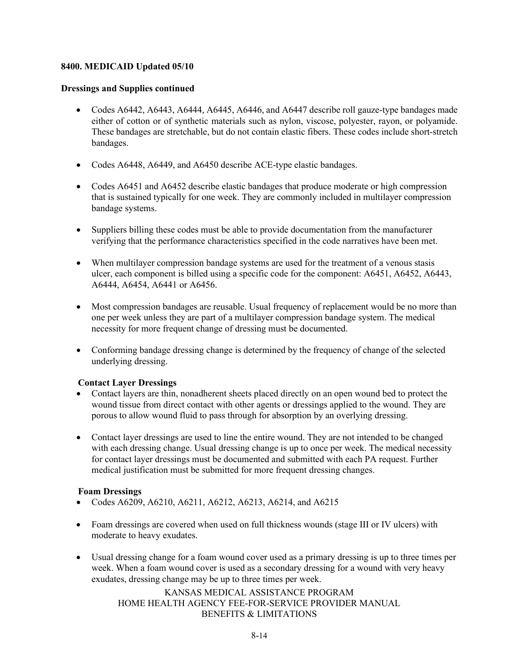#### **Dressings and Supplies continued**

- Codes A6442, A6443, A6444, A6445, A6446, and A6447 describe roll gauze-type bandages made either of cotton or of synthetic materials such as nylon, viscose, polyester, rayon, or polyamide. These bandages are stretchable, but do not contain elastic fibers. These codes include short-stretch bandages.
- Codes A6448, A6449, and A6450 describe ACE-type elastic bandages.
- Codes A6451 and A6452 describe elastic bandages that produce moderate or high compression that is sustained typically for one week. They are commonly included in multilayer compression bandage systems.
- Suppliers billing these codes must be able to provide documentation from the manufacturer verifying that the performance characteristics specified in the code narratives have been met.
- When multilayer compression bandage systems are used for the treatment of a venous stasis ulcer, each component is billed using a specific code for the component: A6451, A6452, A6443, A6444, A6454, A6441 or A6456.
- Most compression bandages are reusable. Usual frequency of replacement would be no more than one per week unless they are part of a multilayer compression bandage system. The medical necessity for more frequent change of dressing must be documented.
- Conforming bandage dressing change is determined by the frequency of change of the selected underlying dressing.

#### **Contact Layer Dressings**

- Contact layers are thin, nonadherent sheets placed directly on an open wound bed to protect the wound tissue from direct contact with other agents or dressings applied to the wound. They are porous to allow wound fluid to pass through for absorption by an overlying dressing.
- Contact layer dressings are used to line the entire wound. They are not intended to be changed with each dressing change. Usual dressing change is up to once per week. The medical necessity for contact layer dressings must be documented and submitted with each PA request. Further medical justification must be submitted for more frequent dressing changes.

#### **Foam Dressings**

- Codes A6209, A6210, A6211, A6212, A6213, A6214, and A6215
- Foam dressings are covered when used on full thickness wounds (stage III or IV ulcers) with moderate to heavy exudates.
- Usual dressing change for a foam wound cover used as a primary dressing is up to three times per week. When a foam wound cover is used as a secondary dressing for a wound with very heavy exudates, dressing change may be up to three times per week.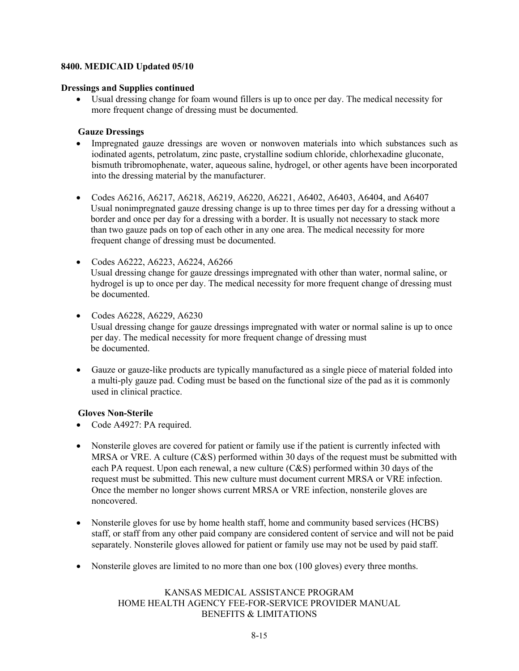#### **Dressings and Supplies continued**

• Usual dressing change for foam wound fillers is up to once per day. The medical necessity for more frequent change of dressing must be documented.

#### **Gauze Dressings**

- Impregnated gauze dressings are woven or nonwoven materials into which substances such as iodinated agents, petrolatum, zinc paste, crystalline sodium chloride, chlorhexadine gluconate, bismuth tribromophenate, water, aqueous saline, hydrogel, or other agents have been incorporated into the dressing material by the manufacturer.
- Codes A6216, A6217, A6218, A6219, A6220, A6221, A6402, A6403, A6404, and A6407 Usual nonimpregnated gauze dressing change is up to three times per day for a dressing without a border and once per day for a dressing with a border. It is usually not necessary to stack more than two gauze pads on top of each other in any one area. The medical necessity for more frequent change of dressing must be documented.
- Codes A6222, A6223, A6224, A6266 Usual dressing change for gauze dressings impregnated with other than water, normal saline, or hydrogel is up to once per day. The medical necessity for more frequent change of dressing must be documented.
- Codes A6228, A6229, A6230 Usual dressing change for gauze dressings impregnated with water or normal saline is up to once per day. The medical necessity for more frequent change of dressing must be documented.
- Gauze or gauze-like products are typically manufactured as a single piece of material folded into a multi-ply gauze pad. Coding must be based on the functional size of the pad as it is commonly used in clinical practice.

#### **Gloves Non-Sterile**

- Code A4927: PA required.
- Nonsterile gloves are covered for patient or family use if the patient is currently infected with MRSA or VRE. A culture (C&S) performed within 30 days of the request must be submitted with each PA request. Upon each renewal, a new culture (C&S) performed within 30 days of the request must be submitted. This new culture must document current MRSA or VRE infection. Once the member no longer shows current MRSA or VRE infection, nonsterile gloves are noncovered.
- Nonsterile gloves for use by home health staff, home and community based services (HCBS) staff, or staff from any other paid company are considered content of service and will not be paid separately. Nonsterile gloves allowed for patient or family use may not be used by paid staff.
- Nonsterile gloves are limited to no more than one box (100 gloves) every three months.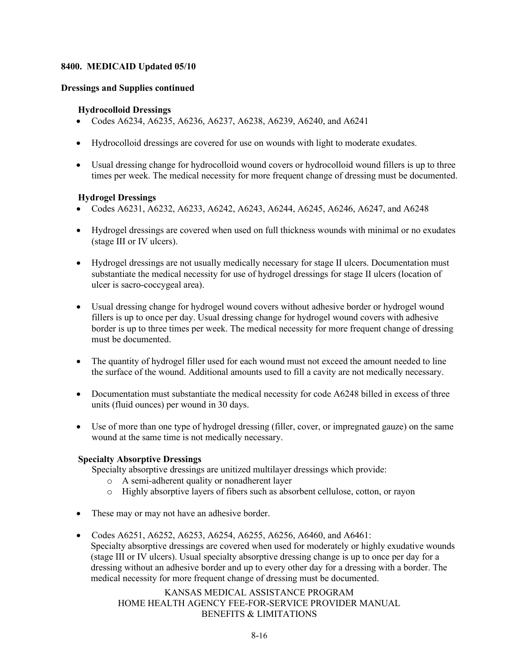#### **Dressings and Supplies continued**

#### **Hydrocolloid Dressings**

- Codes A6234, A6235, A6236, A6237, A6238, A6239, A6240, and A6241
- Hydrocolloid dressings are covered for use on wounds with light to moderate exudates.
- Usual dressing change for hydrocolloid wound covers or hydrocolloid wound fillers is up to three times per week. The medical necessity for more frequent change of dressing must be documented.

#### **Hydrogel Dressings**

- Codes A6231, A6232, A6233, A6242, A6243, A6244, A6245, A6246, A6247, and A6248
- Hydrogel dressings are covered when used on full thickness wounds with minimal or no exudates (stage III or IV ulcers).
- Hydrogel dressings are not usually medically necessary for stage II ulcers. Documentation must substantiate the medical necessity for use of hydrogel dressings for stage II ulcers (location of ulcer is sacro-coccygeal area).
- Usual dressing change for hydrogel wound covers without adhesive border or hydrogel wound fillers is up to once per day. Usual dressing change for hydrogel wound covers with adhesive border is up to three times per week. The medical necessity for more frequent change of dressing must be documented.
- The quantity of hydrogel filler used for each wound must not exceed the amount needed to line the surface of the wound. Additional amounts used to fill a cavity are not medically necessary.
- Documentation must substantiate the medical necessity for code A6248 billed in excess of three units (fluid ounces) per wound in 30 days.
- Use of more than one type of hydrogel dressing (filler, cover, or impregnated gauze) on the same wound at the same time is not medically necessary.

#### **Specialty Absorptive Dressings**

Specialty absorptive dressings are unitized multilayer dressings which provide:

- o A semi-adherent quality or nonadherent layer
- o Highly absorptive layers of fibers such as absorbent cellulose, cotton, or rayon
- These may or may not have an adhesive border.
- Codes A6251, A6252, A6253, A6254, A6255, A6256, A6460, and A6461: Specialty absorptive dressings are covered when used for moderately or highly exudative wounds (stage III or IV ulcers). Usual specialty absorptive dressing change is up to once per day for a dressing without an adhesive border and up to every other day for a dressing with a border. The medical necessity for more frequent change of dressing must be documented.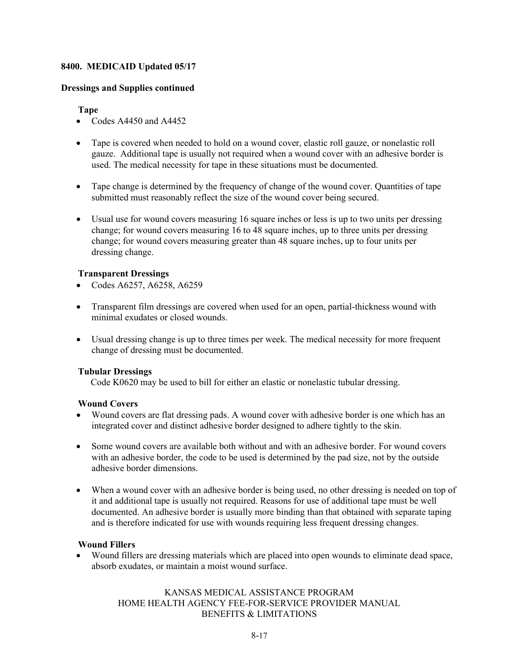#### **Dressings and Supplies continued**

#### **Tape**

- Codes A4450 and A4452
- Tape is covered when needed to hold on a wound cover, elastic roll gauze, or nonelastic roll gauze. Additional tape is usually not required when a wound cover with an adhesive border is used. The medical necessity for tape in these situations must be documented.
- Tape change is determined by the frequency of change of the wound cover. Quantities of tape submitted must reasonably reflect the size of the wound cover being secured.
- Usual use for wound covers measuring 16 square inches or less is up to two units per dressing change; for wound covers measuring 16 to 48 square inches, up to three units per dressing change; for wound covers measuring greater than 48 square inches, up to four units per dressing change.

#### **Transparent Dressings**

- Codes A6257, A6258, A6259
- Transparent film dressings are covered when used for an open, partial-thickness wound with minimal exudates or closed wounds.
- Usual dressing change is up to three times per week. The medical necessity for more frequent change of dressing must be documented.

#### **Tubular Dressings**

Code K0620 may be used to bill for either an elastic or nonelastic tubular dressing.

#### **Wound Covers**

- Wound covers are flat dressing pads. A wound cover with adhesive border is one which has an integrated cover and distinct adhesive border designed to adhere tightly to the skin.
- Some wound covers are available both without and with an adhesive border. For wound covers with an adhesive border, the code to be used is determined by the pad size, not by the outside adhesive border dimensions.
- When a wound cover with an adhesive border is being used, no other dressing is needed on top of it and additional tape is usually not required. Reasons for use of additional tape must be well documented. An adhesive border is usually more binding than that obtained with separate taping and is therefore indicated for use with wounds requiring less frequent dressing changes.

#### **Wound Fillers**

• Wound fillers are dressing materials which are placed into open wounds to eliminate dead space, absorb exudates, or maintain a moist wound surface.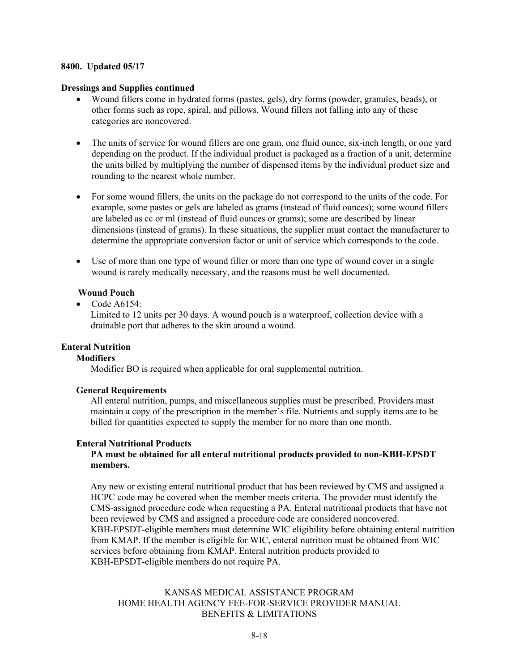#### **Dressings and Supplies continued**

- Wound fillers come in hydrated forms (pastes, gels), dry forms (powder, granules, beads), or other forms such as rope, spiral, and pillows. Wound fillers not falling into any of these categories are noncovered.
- The units of service for wound fillers are one gram, one fluid ounce, six-inch length, or one yard depending on the product. If the individual product is packaged as a fraction of a unit, determine the units billed by multiplying the number of dispensed items by the individual product size and rounding to the nearest whole number.
- For some wound fillers, the units on the package do not correspond to the units of the code. For example, some pastes or gels are labeled as grams (instead of fluid ounces); some wound fillers are labeled as cc or ml (instead of fluid ounces or grams); some are described by linear dimensions (instead of grams). In these situations, the supplier must contact the manufacturer to determine the appropriate conversion factor or unit of service which corresponds to the code.
- Use of more than one type of wound filler or more than one type of wound cover in a single wound is rarely medically necessary, and the reasons must be well documented.

#### **Wound Pouch**

• Code A6154:

Limited to 12 units per 30 days. A wound pouch is a waterproof, collection device with a drainable port that adheres to the skin around a wound.

#### **Enteral Nutrition**

#### **Modifiers**

Modifier BO is required when applicable for oral supplemental nutrition.

#### **General Requirements**

All enteral nutrition, pumps, and miscellaneous supplies must be prescribed. Providers must maintain a copy of the prescription in the member's file. Nutrients and supply items are to be billed for quantities expected to supply the member for no more than one month.

#### **Enteral Nutritional Products**

#### **PA must be obtained for all enteral nutritional products provided to non-KBH-EPSDT members.**

Any new or existing enteral nutritional product that has been reviewed by CMS and assigned a HCPC code may be covered when the member meets criteria. The provider must identify the CMS-assigned procedure code when requesting a PA. Enteral nutritional products that have not been reviewed by CMS and assigned a procedure code are considered noncovered. KBH-EPSDT-eligible members must determine WIC eligibility before obtaining enteral nutrition from KMAP. If the member is eligible for WIC, enteral nutrition must be obtained from WIC services before obtaining from KMAP. Enteral nutrition products provided to KBH-EPSDT-eligible members do not require PA.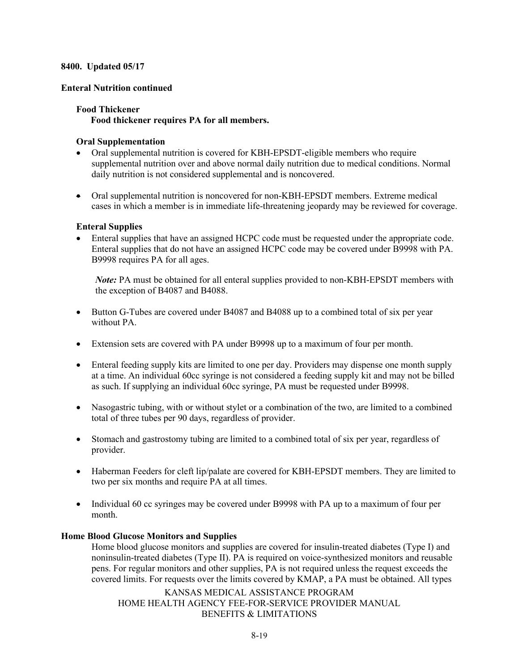#### **Enteral Nutrition continued**

#### **Food Thickener**

**Food thickener requires PA for all members.**

#### **Oral Supplementation**

- Oral supplemental nutrition is covered for KBH-EPSDT-eligible members who require supplemental nutrition over and above normal daily nutrition due to medical conditions. Normal daily nutrition is not considered supplemental and is noncovered.
- Oral supplemental nutrition is noncovered for non-KBH-EPSDT members. Extreme medical cases in which a member is in immediate life-threatening jeopardy may be reviewed for coverage.

#### **Enteral Supplies**

• Enteral supplies that have an assigned HCPC code must be requested under the appropriate code. Enteral supplies that do not have an assigned HCPC code may be covered under B9998 with PA. B9998 requires PA for all ages.

*Note:* PA must be obtained for all enteral supplies provided to non-KBH-EPSDT members with the exception of B4087 and B4088.

- Button G-Tubes are covered under B4087 and B4088 up to a combined total of six per year without PA.
- Extension sets are covered with PA under B9998 up to a maximum of four per month.
- Enteral feeding supply kits are limited to one per day. Providers may dispense one month supply at a time. An individual 60cc syringe is not considered a feeding supply kit and may not be billed as such. If supplying an individual 60cc syringe, PA must be requested under B9998.
- Nasogastric tubing, with or without stylet or a combination of the two, are limited to a combined total of three tubes per 90 days, regardless of provider.
- Stomach and gastrostomy tubing are limited to a combined total of six per year, regardless of provider.
- Haberman Feeders for cleft lip/palate are covered for KBH-EPSDT members. They are limited to two per six months and require PA at all times.
- Individual 60 cc syringes may be covered under B9998 with PA up to a maximum of four per month.

#### **Home Blood Glucose Monitors and Supplies**

Home blood glucose monitors and supplies are covered for insulin-treated diabetes (Type I) and noninsulin-treated diabetes (Type II). PA is required on voice-synthesized monitors and reusable pens. For regular monitors and other supplies, PA is not required unless the request exceeds the covered limits. For requests over the limits covered by KMAP, a PA must be obtained. All types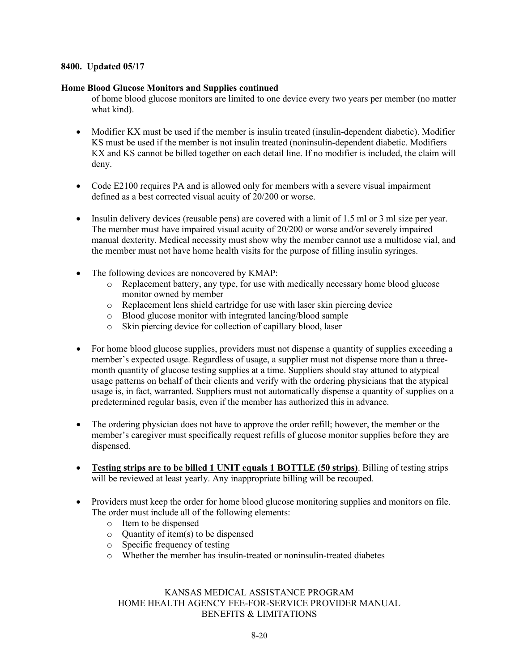#### **Home Blood Glucose Monitors and Supplies continued**

of home blood glucose monitors are limited to one device every two years per member (no matter what kind).

- Modifier KX must be used if the member is insulin treated (insulin-dependent diabetic). Modifier KS must be used if the member is not insulin treated (noninsulin-dependent diabetic. Modifiers KX and KS cannot be billed together on each detail line. If no modifier is included, the claim will deny.
- Code E2100 requires PA and is allowed only for members with a severe visual impairment defined as a best corrected visual acuity of 20/200 or worse.
- Insulin delivery devices (reusable pens) are covered with a limit of 1.5 ml or 3 ml size per year. The member must have impaired visual acuity of 20/200 or worse and/or severely impaired manual dexterity. Medical necessity must show why the member cannot use a multidose vial, and the member must not have home health visits for the purpose of filling insulin syringes.
- The following devices are noncovered by KMAP:
	- o Replacement battery, any type, for use with medically necessary home blood glucose monitor owned by member
	- o Replacement lens shield cartridge for use with laser skin piercing device
	- o Blood glucose monitor with integrated lancing/blood sample
	- o Skin piercing device for collection of capillary blood, laser
- For home blood glucose supplies, providers must not dispense a quantity of supplies exceeding a member's expected usage. Regardless of usage, a supplier must not dispense more than a threemonth quantity of glucose testing supplies at a time. Suppliers should stay attuned to atypical usage patterns on behalf of their clients and verify with the ordering physicians that the atypical usage is, in fact, warranted. Suppliers must not automatically dispense a quantity of supplies on a predetermined regular basis, even if the member has authorized this in advance.
- The ordering physician does not have to approve the order refill; however, the member or the member's caregiver must specifically request refills of glucose monitor supplies before they are dispensed.
- **Testing strips are to be billed 1 UNIT equals 1 BOTTLE (50 strips)**. Billing of testing strips will be reviewed at least yearly. Any inappropriate billing will be recouped.
- Providers must keep the order for home blood glucose monitoring supplies and monitors on file. The order must include all of the following elements:
	- o Item to be dispensed
	- o Quantity of item(s) to be dispensed
	- o Specific frequency of testing
	- o Whether the member has insulin-treated or noninsulin-treated diabetes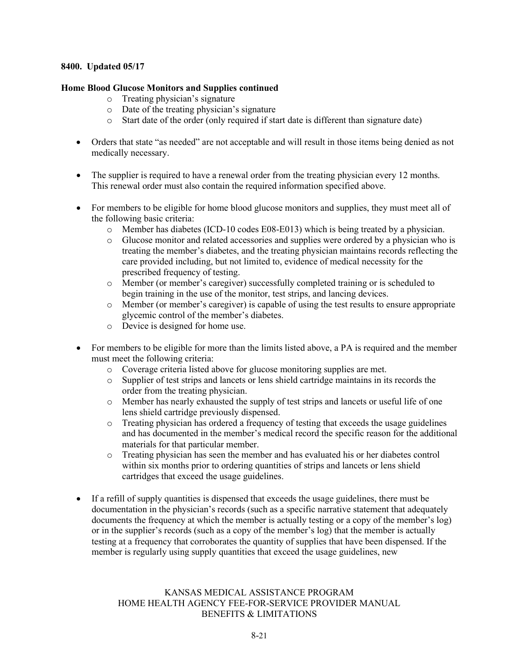#### **Home Blood Glucose Monitors and Supplies continued**

- o Treating physician's signature
- o Date of the treating physician's signature
- o Start date of the order (only required if start date is different than signature date)
- Orders that state "as needed" are not acceptable and will result in those items being denied as not medically necessary.
- The supplier is required to have a renewal order from the treating physician every 12 months. This renewal order must also contain the required information specified above.
- For members to be eligible for home blood glucose monitors and supplies, they must meet all of the following basic criteria:
	- o Member has diabetes (ICD-10 codes E08-E013) which is being treated by a physician.
	- o Glucose monitor and related accessories and supplies were ordered by a physician who is treating the member's diabetes, and the treating physician maintains records reflecting the care provided including, but not limited to, evidence of medical necessity for the prescribed frequency of testing.
	- o Member (or member's caregiver) successfully completed training or is scheduled to begin training in the use of the monitor, test strips, and lancing devices.
	- o Member (or member's caregiver) is capable of using the test results to ensure appropriate glycemic control of the member's diabetes.
	- o Device is designed for home use.
- For members to be eligible for more than the limits listed above, a PA is required and the member must meet the following criteria:
	- o Coverage criteria listed above for glucose monitoring supplies are met.
	- Supplier of test strips and lancets or lens shield cartridge maintains in its records the order from the treating physician.
	- o Member has nearly exhausted the supply of test strips and lancets or useful life of one lens shield cartridge previously dispensed.
	- o Treating physician has ordered a frequency of testing that exceeds the usage guidelines and has documented in the member's medical record the specific reason for the additional materials for that particular member.
	- o Treating physician has seen the member and has evaluated his or her diabetes control within six months prior to ordering quantities of strips and lancets or lens shield cartridges that exceed the usage guidelines.
- If a refill of supply quantities is dispensed that exceeds the usage guidelines, there must be documentation in the physician's records (such as a specific narrative statement that adequately documents the frequency at which the member is actually testing or a copy of the member's log) or in the supplier's records (such as a copy of the member's log) that the member is actually testing at a frequency that corroborates the quantity of supplies that have been dispensed. If the member is regularly using supply quantities that exceed the usage guidelines, new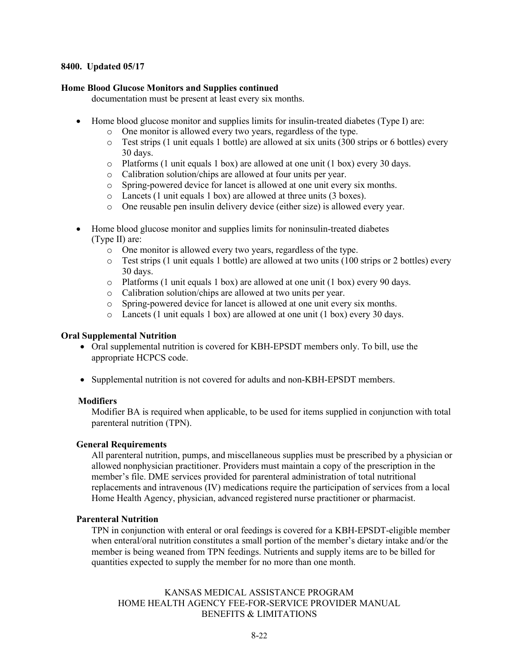#### **Home Blood Glucose Monitors and Supplies continued**

documentation must be present at least every six months.

- Home blood glucose monitor and supplies limits for insulin-treated diabetes (Type I) are:
	- o One monitor is allowed every two years, regardless of the type.
	- $\circ$  Test strips (1 unit equals 1 bottle) are allowed at six units (300 strips or 6 bottles) every 30 days.
	- o Platforms (1 unit equals 1 box) are allowed at one unit (1 box) every 30 days.
	- o Calibration solution/chips are allowed at four units per year.
	- o Spring-powered device for lancet is allowed at one unit every six months.
	- o Lancets (1 unit equals 1 box) are allowed at three units (3 boxes).
	- o One reusable pen insulin delivery device (either size) is allowed every year.
- Home blood glucose monitor and supplies limits for noninsulin-treated diabetes (Type II) are:
	- o One monitor is allowed every two years, regardless of the type.
	- o Test strips (1 unit equals 1 bottle) are allowed at two units (100 strips or 2 bottles) every 30 days.
	- o Platforms (1 unit equals 1 box) are allowed at one unit (1 box) every 90 days.
	- o Calibration solution/chips are allowed at two units per year.
	- o Spring-powered device for lancet is allowed at one unit every six months.
	- o Lancets (1 unit equals 1 box) are allowed at one unit (1 box) every 30 days.

#### **Oral Supplemental Nutrition**

- Oral supplemental nutrition is covered for KBH-EPSDT members only. To bill, use the appropriate HCPCS code.
- Supplemental nutrition is not covered for adults and non-KBH-EPSDT members.

#### **Modifiers**

Modifier BA is required when applicable, to be used for items supplied in conjunction with total parenteral nutrition (TPN).

#### **General Requirements**

All parenteral nutrition, pumps, and miscellaneous supplies must be prescribed by a physician or allowed nonphysician practitioner. Providers must maintain a copy of the prescription in the member's file. DME services provided for parenteral administration of total nutritional replacements and intravenous (IV) medications require the participation of services from a local Home Health Agency, physician, advanced registered nurse practitioner or pharmacist.

#### **Parenteral Nutrition**

TPN in conjunction with enteral or oral feedings is covered for a KBH-EPSDT-eligible member when enteral/oral nutrition constitutes a small portion of the member's dietary intake and/or the member is being weaned from TPN feedings. Nutrients and supply items are to be billed for quantities expected to supply the member for no more than one month.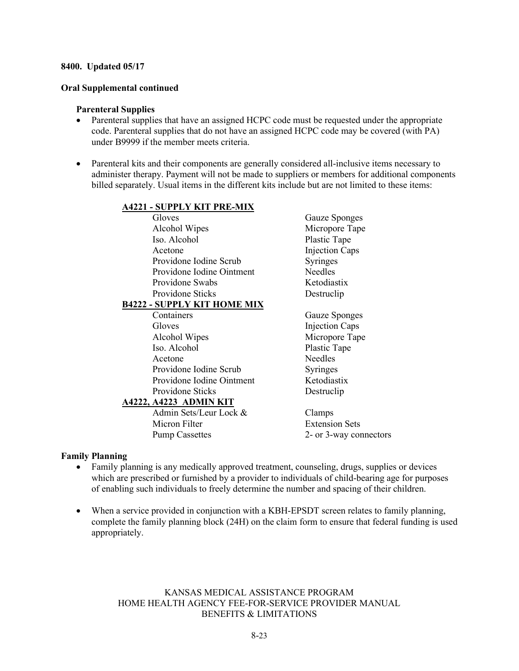#### **Oral Supplemental continued**

#### **Parenteral Supplies**

- Parenteral supplies that have an assigned HCPC code must be requested under the appropriate code. Parenteral supplies that do not have an assigned HCPC code may be covered (with PA) under B9999 if the member meets criteria.
- Parenteral kits and their components are generally considered all-inclusive items necessary to administer therapy. Payment will not be made to suppliers or members for additional components billed separately. Usual items in the different kits include but are not limited to these items:

#### **A4221 - SUPPLY KIT PRE-MIX**

Gloves Gauze Sponges Alcohol Wipes Micropore Tape Iso. Alcohol Plastic Tape Acetone Injection Caps Providone Iodine Scrub Syringes Providone Iodine Ointment Needles Providone Swabs Ketodiastix Providone Sticks Destruclip

#### **B4222 - SUPPLY KIT HOME MIX**

Containers Gauze Sponges Gloves Injection Caps Alcohol Wipes Micropore Tape Iso. Alcohol Plastic Tape Acetone Needles Providone Iodine Scrub Syringes Providone Iodine Ointment Ketodiastix Providone Sticks Destruclip

#### **A4222, A4223 ADMIN KIT**

Admin Sets/Leur Lock & Clamps Micron Filter **Extension Sets** 

Pump Cassettes 2- or 3-way connectors

#### **Family Planning**

- Family planning is any medically approved treatment, counseling, drugs, supplies or devices which are prescribed or furnished by a provider to individuals of child-bearing age for purposes of enabling such individuals to freely determine the number and spacing of their children.
- When a service provided in conjunction with a KBH-EPSDT screen relates to family planning, complete the family planning block (24H) on the claim form to ensure that federal funding is used appropriately.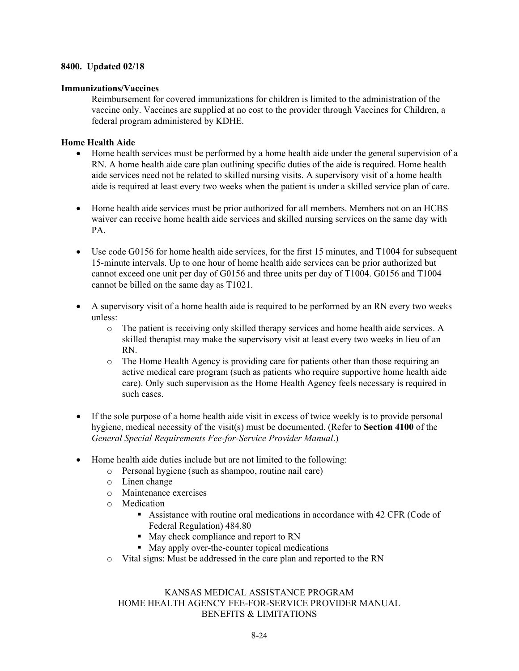#### **Immunizations/Vaccines**

Reimbursement for covered immunizations for children is limited to the administration of the vaccine only. Vaccines are supplied at no cost to the provider through Vaccines for Children, a federal program administered by KDHE.

#### **Home Health Aide**

- Home health services must be performed by a home health aide under the general supervision of a RN. A home health aide care plan outlining specific duties of the aide is required. Home health aide services need not be related to skilled nursing visits. A supervisory visit of a home health aide is required at least every two weeks when the patient is under a skilled service plan of care.
- Home health aide services must be prior authorized for all members. Members not on an HCBS waiver can receive home health aide services and skilled nursing services on the same day with PA.
- Use code G0156 for home health aide services, for the first 15 minutes, and T1004 for subsequent 15-minute intervals. Up to one hour of home health aide services can be prior authorized but cannot exceed one unit per day of G0156 and three units per day of T1004. G0156 and T1004 cannot be billed on the same day as T1021.
- A supervisory visit of a home health aide is required to be performed by an RN every two weeks unless:
	- o The patient is receiving only skilled therapy services and home health aide services. A skilled therapist may make the supervisory visit at least every two weeks in lieu of an RN.
	- o The Home Health Agency is providing care for patients other than those requiring an active medical care program (such as patients who require supportive home health aide care). Only such supervision as the Home Health Agency feels necessary is required in such cases.
- If the sole purpose of a home health aide visit in excess of twice weekly is to provide personal hygiene, medical necessity of the visit(s) must be documented. (Refer to **Section 4100** of the *General Special Requirements Fee-for-Service Provider Manual*.)
- Home health aide duties include but are not limited to the following:
	- o Personal hygiene (such as shampoo, routine nail care)
	- o Linen change
	- o Maintenance exercises
	- o Medication
		- Assistance with routine oral medications in accordance with 42 CFR (Code of Federal Regulation) 484.80
		- May check compliance and report to RN
		- May apply over-the-counter topical medications
	- o Vital signs: Must be addressed in the care plan and reported to the RN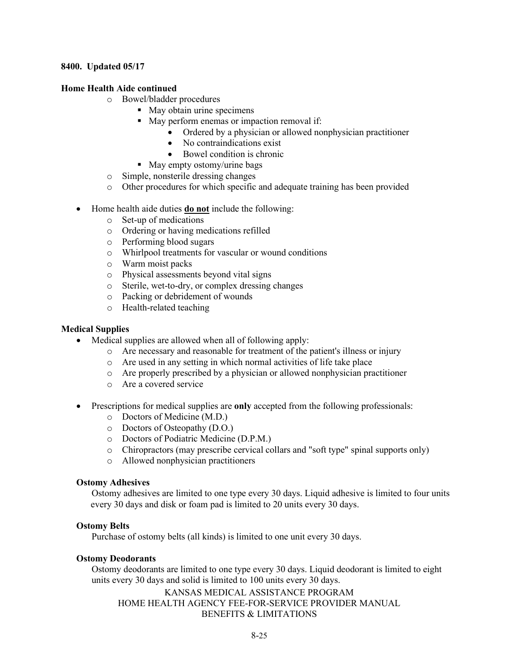#### **Home Health Aide continued**

- o Bowel/bladder procedures
	- **May obtain urine specimens**
	- May perform enemas or impaction removal if:
		- Ordered by a physician or allowed nonphysician practitioner
		- No contraindications exist
		- Bowel condition is chronic
	- May empty ostomy/urine bags
- o Simple, nonsterile dressing changes
- o Other procedures for which specific and adequate training has been provided
- Home health aide duties **do not** include the following:
	- o Set-up of medications
	- o Ordering or having medications refilled
	- o Performing blood sugars
	- o Whirlpool treatments for vascular or wound conditions
	- o Warm moist packs
	- o Physical assessments beyond vital signs
	- o Sterile, wet-to-dry, or complex dressing changes
	- o Packing or debridement of wounds
	- o Health-related teaching

#### **Medical Supplies**

- Medical supplies are allowed when all of following apply:
	- o Are necessary and reasonable for treatment of the patient's illness or injury
	- o Are used in any setting in which normal activities of life take place
	- o Are properly prescribed by a physician or allowed nonphysician practitioner
	- o Are a covered service
- Prescriptions for medical supplies are **only** accepted from the following professionals:
	- o Doctors of Medicine (M.D.)
	- o Doctors of Osteopathy (D.O.)
	- o Doctors of Podiatric Medicine (D.P.M.)
	- o Chiropractors (may prescribe cervical collars and "soft type" spinal supports only)
	- o Allowed nonphysician practitioners

#### **Ostomy Adhesives**

Ostomy adhesives are limited to one type every 30 days. Liquid adhesive is limited to four units every 30 days and disk or foam pad is limited to 20 units every 30 days.

#### **Ostomy Belts**

Purchase of ostomy belts (all kinds) is limited to one unit every 30 days.

#### **Ostomy Deodorants**

Ostomy deodorants are limited to one type every 30 days. Liquid deodorant is limited to eight units every 30 days and solid is limited to 100 units every 30 days.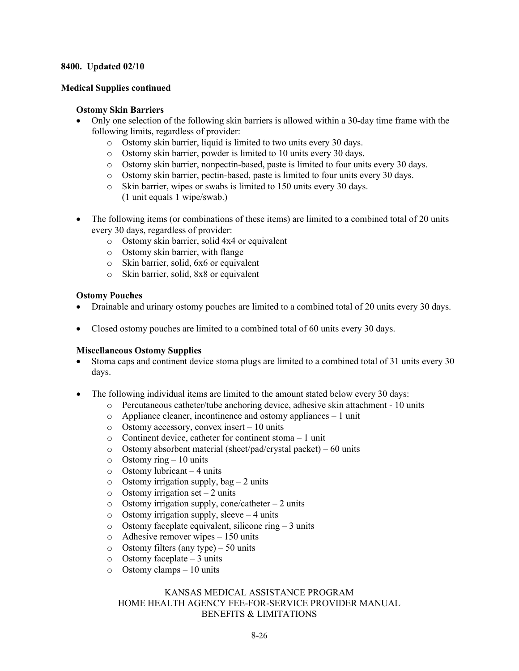#### **Medical Supplies continued**

#### **Ostomy Skin Barriers**

- Only one selection of the following skin barriers is allowed within a 30-day time frame with the following limits, regardless of provider:
	- o Ostomy skin barrier, liquid is limited to two units every 30 days.
	- o Ostomy skin barrier, powder is limited to 10 units every 30 days.
	- o Ostomy skin barrier, nonpectin-based, paste is limited to four units every 30 days.
	- o Ostomy skin barrier, pectin-based, paste is limited to four units every 30 days.
	- o Skin barrier, wipes or swabs is limited to 150 units every 30 days. (1 unit equals 1 wipe/swab.)
- The following items (or combinations of these items) are limited to a combined total of 20 units every 30 days, regardless of provider:
	- o Ostomy skin barrier, solid 4x4 or equivalent
	- o Ostomy skin barrier, with flange
	- o Skin barrier, solid, 6x6 or equivalent
	- o Skin barrier, solid, 8x8 or equivalent

#### **Ostomy Pouches**

- Drainable and urinary ostomy pouches are limited to a combined total of 20 units every 30 days.
- Closed ostomy pouches are limited to a combined total of 60 units every 30 days.

#### **Miscellaneous Ostomy Supplies**

- Stoma caps and continent device stoma plugs are limited to a combined total of 31 units every 30 days.
- The following individual items are limited to the amount stated below every 30 days:
	- o Percutaneous catheter/tube anchoring device, adhesive skin attachment 10 units
	- o Appliance cleaner, incontinence and ostomy appliances 1 unit
	- $\circ$  Ostomy accessory, convex insert 10 units
	- o Continent device, catheter for continent stoma 1 unit
	- o Ostomy absorbent material (sheet/pad/crystal packet) 60 units
	- $\circ$  Ostomy ring 10 units
	- o Ostomy lubricant 4 units
	- $\circ$  Ostomy irrigation supply, bag 2 units<br> $\circ$  Ostomy irrigation set 2 units
	- $\circ$  Ostomy irrigation set 2 units<br> $\circ$  Ostomy irrigation supply, cone
	- Ostomy irrigation supply, cone/catheter  $-2$  units
	- $\circ$  Ostomy irrigation supply, sleeve 4 units
	- $\circ$  Ostomy faceplate equivalent, silicone ring 3 units
	- o Adhesive remover wipes 150 units
	- o Ostomy filters (any type) 50 units
	- $\circ$  Ostomy faceplate 3 units
	- $\circ$  Ostomy clamps 10 units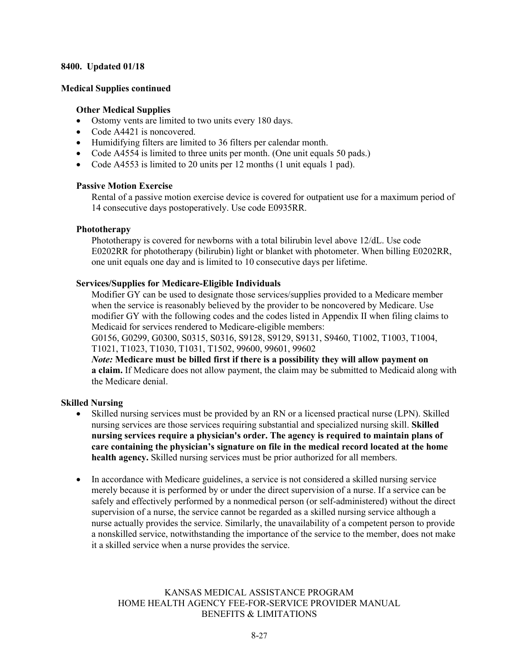#### **Medical Supplies continued**

#### **Other Medical Supplies**

- Ostomy vents are limited to two units every 180 days.
- Code A4421 is noncovered.
- Humidifying filters are limited to 36 filters per calendar month.
- Code A4554 is limited to three units per month. (One unit equals 50 pads.)
- Code A4553 is limited to 20 units per 12 months (1 unit equals 1 pad).

#### **Passive Motion Exercise**

Rental of a passive motion exercise device is covered for outpatient use for a maximum period of 14 consecutive days postoperatively. Use code E0935RR.

#### **Phototherapy**

Phototherapy is covered for newborns with a total bilirubin level above 12/dL. Use code E0202RR for phototherapy (bilirubin) light or blanket with photometer. When billing E0202RR, one unit equals one day and is limited to 10 consecutive days per lifetime.

#### **Services/Supplies for Medicare-Eligible Individuals**

Modifier GY can be used to designate those services/supplies provided to a Medicare member when the service is reasonably believed by the provider to be noncovered by Medicare. Use modifier GY with the following codes and the codes listed in Appendix II when filing claims to Medicaid for services rendered to Medicare-eligible members:

G0156, G0299, G0300, S0315, S0316, S9128, S9129, S9131, S9460, T1002, T1003, T1004, T1021, T1023, T1030, T1031, T1502, 99600, 99601, 99602

*Note:* **Medicare must be billed first if there is a possibility they will allow payment on a claim.** If Medicare does not allow payment, the claim may be submitted to Medicaid along with the Medicare denial.

#### **Skilled Nursing**

- Skilled nursing services must be provided by an RN or a licensed practical nurse (LPN). Skilled nursing services are those services requiring substantial and specialized nursing skill. **Skilled nursing services require a physician's order. The agency is required to maintain plans of care containing the physician's signature on file in the medical record located at the home health agency.** Skilled nursing services must be prior authorized for all members.
- In accordance with Medicare guidelines, a service is not considered a skilled nursing service merely because it is performed by or under the direct supervision of a nurse. If a service can be safely and effectively performed by a nonmedical person (or self-administered) without the direct supervision of a nurse, the service cannot be regarded as a skilled nursing service although a nurse actually provides the service. Similarly, the unavailability of a competent person to provide a nonskilled service, notwithstanding the importance of the service to the member, does not make it a skilled service when a nurse provides the service.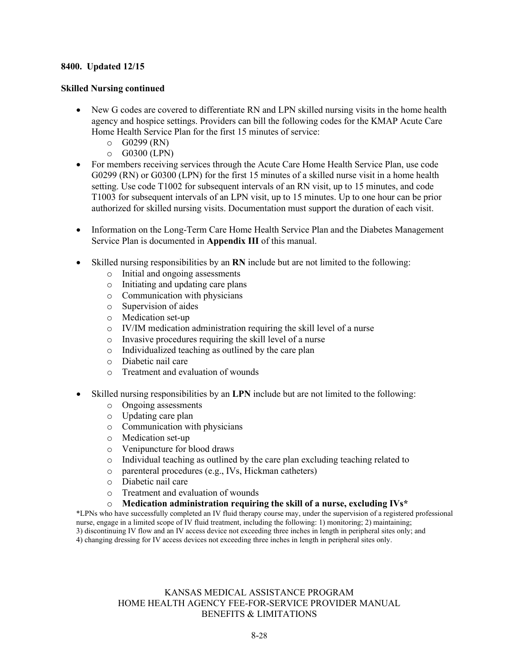#### **8400. Updated 12/15**

#### **Skilled Nursing continued**

- New G codes are covered to differentiate RN and LPN skilled nursing visits in the home health agency and hospice settings. Providers can bill the following codes for the KMAP Acute Care Home Health Service Plan for the first 15 minutes of service:
	- $O$  G0299 (RN)
	- o G0300 (LPN)
- For members receiving services through the Acute Care Home Health Service Plan, use code G0299 (RN) or G0300 (LPN) for the first 15 minutes of a skilled nurse visit in a home health setting. Use code T1002 for subsequent intervals of an RN visit, up to 15 minutes, and code T1003 for subsequent intervals of an LPN visit, up to 15 minutes. Up to one hour can be prior authorized for skilled nursing visits. Documentation must support the duration of each visit.
- Information on the Long-Term Care Home Health Service Plan and the Diabetes Management Service Plan is documented in **Appendix III** of this manual.
- Skilled nursing responsibilities by an **RN** include but are not limited to the following:
	- o Initial and ongoing assessments
	- o Initiating and updating care plans
	- o Communication with physicians
	- o Supervision of aides
	- Medication set-up
	- o IV/IM medication administration requiring the skill level of a nurse
	- o Invasive procedures requiring the skill level of a nurse
	- o Individualized teaching as outlined by the care plan
	- o Diabetic nail care
	- o Treatment and evaluation of wounds
- Skilled nursing responsibilities by an **LPN** include but are not limited to the following:
	- o Ongoing assessments
	- o Updating care plan
	- o Communication with physicians
	- o Medication set-up
	- o Venipuncture for blood draws
	- Individual teaching as outlined by the care plan excluding teaching related to
	- o parenteral procedures (e.g., IVs, Hickman catheters)
	- o Diabetic nail care
	- O Treatment and evaluation of wounds<br>
	O **Medication administration requiring** 
		- Medication administration requiring the skill of a nurse, excluding IVs\*

\*LPNs who have successfully completed an IV fluid therapy course may, under the supervision of a registered professional nurse, engage in a limited scope of IV fluid treatment, including the following: 1) monitoring; 2) maintaining; 3) discontinuing IV flow and an IV access device not exceeding three inches in length in peripheral sites only; and 4) changing dressing for IV access devices not exceeding three inches in length in peripheral sites only.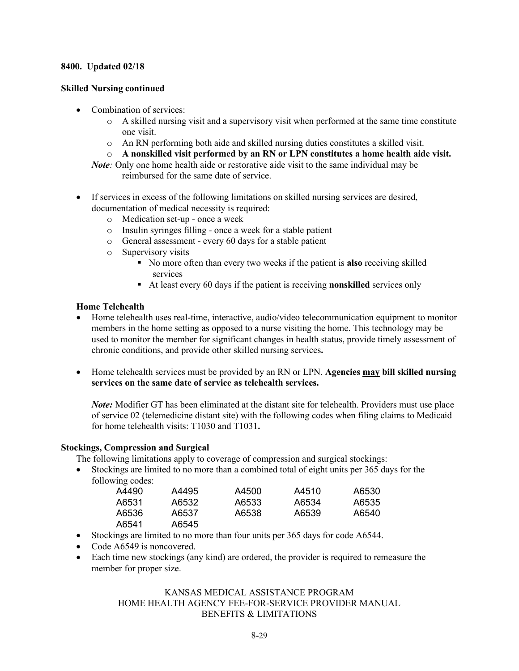#### **Skilled Nursing continued**

- Combination of services:
	- o A skilled nursing visit and a supervisory visit when performed at the same time constitute one visit.
	- o An RN performing both aide and skilled nursing duties constitutes a skilled visit.
	- o **A nonskilled visit performed by an RN or LPN constitutes a home health aide visit.**
	- *Note:* Only one home health aide or restorative aide visit to the same individual may be reimbursed for the same date of service.
- If services in excess of the following limitations on skilled nursing services are desired, documentation of medical necessity is required:
	- o Medication set-up once a week
	- o Insulin syringes filling once a week for a stable patient
	- o General assessment every 60 days for a stable patient
	- o Supervisory visits
		- No more often than every two weeks if the patient is **also** receiving skilled services
		- At least every 60 days if the patient is receiving **nonskilled** services only

#### **Home Telehealth**

- Home telehealth uses real-time, interactive, audio/video telecommunication equipment to monitor members in the home setting as opposed to a nurse visiting the home. This technology may be used to monitor the member for significant changes in health status, provide timely assessment of chronic conditions, and provide other skilled nursing services**.**
- Home telehealth services must be provided by an RN or LPN. **Agencies may bill skilled nursing services on the same date of service as telehealth services.**

*Note:* Modifier GT has been eliminated at the distant site for telehealth. Providers must use place of service 02 (telemedicine distant site) with the following codes when filing claims to Medicaid for home telehealth visits: T1030 and T1031**.**

#### **Stockings, Compression and Surgical**

The following limitations apply to coverage of compression and surgical stockings:

• Stockings are limited to no more than a combined total of eight units per 365 days for the following codes:

| A4490 | A4495 | A4500 | A4510 | A6530 |
|-------|-------|-------|-------|-------|
| A6531 | A6532 | A6533 | A6534 | A6535 |
| A6536 | A6537 | A6538 | A6539 | A6540 |
| A6541 | A6545 |       |       |       |

- Stockings are limited to no more than four units per 365 days for code A6544.
- Code A6549 is noncovered.
- Each time new stockings (any kind) are ordered, the provider is required to remeasure the member for proper size.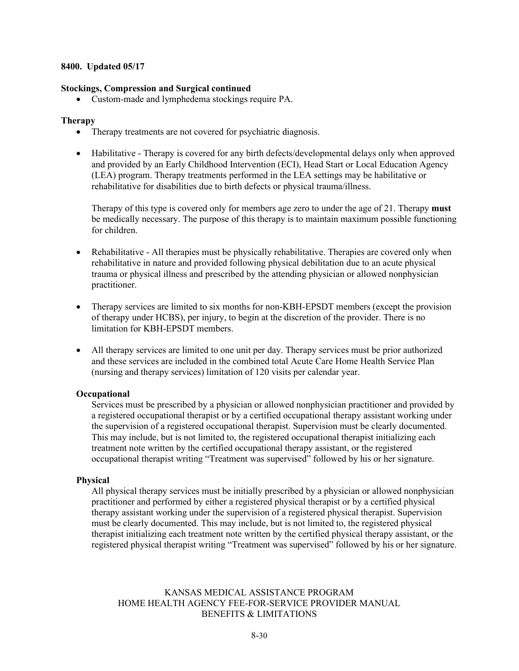#### **Stockings, Compression and Surgical continued**

• Custom-made and lymphedema stockings require PA.

#### **Therapy**

- Therapy treatments are not covered for psychiatric diagnosis.
- Habilitative Therapy is covered for any birth defects/developmental delays only when approved and provided by an Early Childhood Intervention (ECI), Head Start or Local Education Agency (LEA) program. Therapy treatments performed in the LEA settings may be habilitative or rehabilitative for disabilities due to birth defects or physical trauma/illness.

Therapy of this type is covered only for members age zero to under the age of 21. Therapy **must** be medically necessary. The purpose of this therapy is to maintain maximum possible functioning for children.

- Rehabilitative All therapies must be physically rehabilitative. Therapies are covered only when rehabilitative in nature and provided following physical debilitation due to an acute physical trauma or physical illness and prescribed by the attending physician or allowed nonphysician practitioner.
- Therapy services are limited to six months for non-KBH-EPSDT members (except the provision of therapy under HCBS), per injury, to begin at the discretion of the provider. There is no limitation for KBH-EPSDT members.
- All therapy services are limited to one unit per day. Therapy services must be prior authorized and these services are included in the combined total Acute Care Home Health Service Plan (nursing and therapy services) limitation of 120 visits per calendar year.

#### **Occupational**

Services must be prescribed by a physician or allowed nonphysician practitioner and provided by a registered occupational therapist or by a certified occupational therapy assistant working under the supervision of a registered occupational therapist. Supervision must be clearly documented. This may include, but is not limited to, the registered occupational therapist initializing each treatment note written by the certified occupational therapy assistant, or the registered occupational therapist writing "Treatment was supervised" followed by his or her signature.

#### **Physical**

All physical therapy services must be initially prescribed by a physician or allowed nonphysician practitioner and performed by either a registered physical therapist or by a certified physical therapy assistant working under the supervision of a registered physical therapist. Supervision must be clearly documented. This may include, but is not limited to, the registered physical therapist initializing each treatment note written by the certified physical therapy assistant, or the registered physical therapist writing "Treatment was supervised" followed by his or her signature.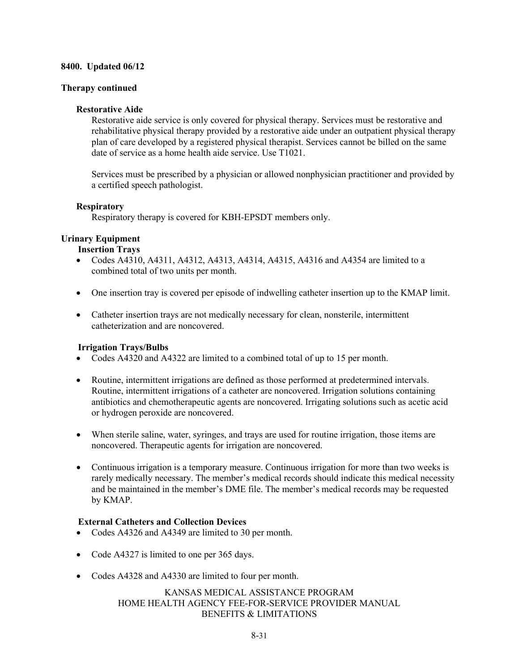#### **Therapy continued**

#### **Restorative Aide**

Restorative aide service is only covered for physical therapy. Services must be restorative and rehabilitative physical therapy provided by a restorative aide under an outpatient physical therapy plan of care developed by a registered physical therapist. Services cannot be billed on the same date of service as a home health aide service. Use T1021.

Services must be prescribed by a physician or allowed nonphysician practitioner and provided by a certified speech pathologist.

#### **Respiratory**

Respiratory therapy is covered for KBH-EPSDT members only.

#### **Urinary Equipment**

#### **Insertion Trays**

- Codes A4310, A4311, A4312, A4313, A4314, A4315, A4316 and A4354 are limited to a combined total of two units per month.
- One insertion tray is covered per episode of indwelling catheter insertion up to the KMAP limit.
- Catheter insertion trays are not medically necessary for clean, nonsterile, intermittent catheterization and are noncovered.

#### **Irrigation Trays/Bulbs**

- Codes A4320 and A4322 are limited to a combined total of up to 15 per month.
- Routine, intermittent irrigations are defined as those performed at predetermined intervals. Routine, intermittent irrigations of a catheter are noncovered. Irrigation solutions containing antibiotics and chemotherapeutic agents are noncovered. Irrigating solutions such as acetic acid or hydrogen peroxide are noncovered.
- When sterile saline, water, syringes, and trays are used for routine irrigation, those items are noncovered. Therapeutic agents for irrigation are noncovered.
- Continuous irrigation is a temporary measure. Continuous irrigation for more than two weeks is rarely medically necessary. The member's medical records should indicate this medical necessity and be maintained in the member's DME file. The member's medical records may be requested by KMAP.

#### **External Catheters and Collection Devices**

- Codes A4326 and A4349 are limited to 30 per month.
- Code A4327 is limited to one per 365 days.
- Codes A4328 and A4330 are limited to four per month.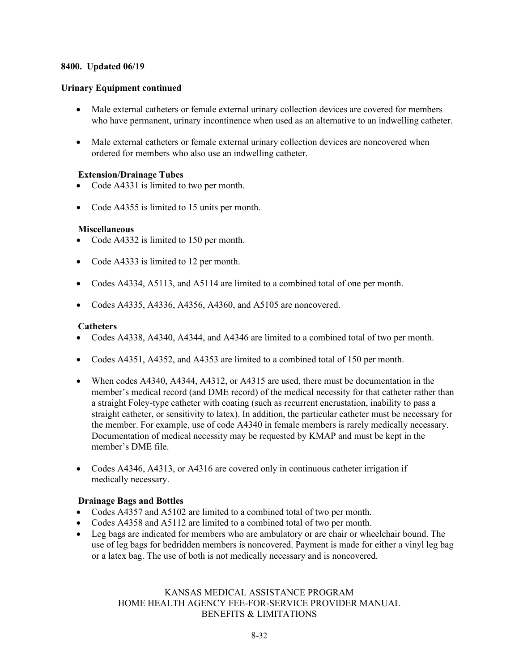#### **Urinary Equipment continued**

- Male external catheters or female external urinary collection devices are covered for members who have permanent, urinary incontinence when used as an alternative to an indwelling catheter.
- Male external catheters or female external urinary collection devices are noncovered when ordered for members who also use an indwelling catheter.

#### **Extension/Drainage Tubes**

- Code A4331 is limited to two per month.
- Code A4355 is limited to 15 units per month.

#### **Miscellaneous**

- Code A4332 is limited to 150 per month.
- Code A4333 is limited to 12 per month.
- Codes A4334, A5113, and A5114 are limited to a combined total of one per month.
- Codes A4335, A4336, A4356, A4360, and A5105 are noncovered.

#### **Catheters**

- Codes A4338, A4340, A4344, and A4346 are limited to a combined total of two per month.
- Codes A4351, A4352, and A4353 are limited to a combined total of 150 per month.
- When codes A4340, A4344, A4312, or A4315 are used, there must be documentation in the member's medical record (and DME record) of the medical necessity for that catheter rather than a straight Foley-type catheter with coating (such as recurrent encrustation, inability to pass a straight catheter, or sensitivity to latex). In addition, the particular catheter must be necessary for the member. For example, use of code A4340 in female members is rarely medically necessary. Documentation of medical necessity may be requested by KMAP and must be kept in the member's DME file.
- Codes A4346, A4313, or A4316 are covered only in continuous catheter irrigation if medically necessary.

#### **Drainage Bags and Bottles**

- Codes A4357 and A5102 are limited to a combined total of two per month.
- Codes A4358 and A5112 are limited to a combined total of two per month.
- Leg bags are indicated for members who are ambulatory or are chair or wheelchair bound. The use of leg bags for bedridden members is noncovered. Payment is made for either a vinyl leg bag or a latex bag. The use of both is not medically necessary and is noncovered.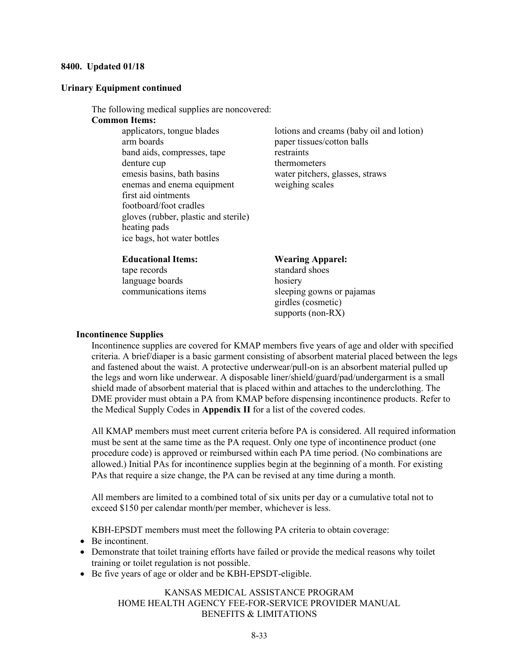#### **Urinary Equipment continued**

The following medical supplies are noncovered:

#### **Common Items:**

arm boards paper tissues/cotton balls band aids, compresses, tape restraints denture cup thermometers emesis basins, bath basins water pitchers, glasses, straws enemas and enema equipment weighing scales first aid ointments footboard/foot cradles gloves (rubber, plastic and sterile) heating pads ice bags, hot water bottles

applicators, tongue blades lotions and creams (baby oil and lotion)

#### **Educational Items: Wearing Apparel:**

tape records standard shoes language boards hosiery

communications items sleeping gowns or pajamas girdles (cosmetic) supports (non-RX)

#### **Incontinence Supplies**

Incontinence supplies are covered for KMAP members five years of age and older with specified criteria. A brief/diaper is a basic garment consisting of absorbent material placed between the legs and fastened about the waist. A protective underwear/pull-on is an absorbent material pulled up the legs and worn like underwear. A disposable liner/shield/guard/pad/undergarment is a small shield made of absorbent material that is placed within and attaches to the underclothing. The DME provider must obtain a PA from KMAP before dispensing incontinence products. Refer to the Medical Supply Codes in **Appendix II** for a list of the covered codes.

All KMAP members must meet current criteria before PA is considered. All required information must be sent at the same time as the PA request. Only one type of incontinence product (one procedure code) is approved or reimbursed within each PA time period. (No combinations are allowed.) Initial PAs for incontinence supplies begin at the beginning of a month. For existing PAs that require a size change, the PA can be revised at any time during a month.

All members are limited to a combined total of six units per day or a cumulative total not to exceed \$150 per calendar month/per member, whichever is less.

KBH-EPSDT members must meet the following PA criteria to obtain coverage:

- Be incontinent.
- Demonstrate that toilet training efforts have failed or provide the medical reasons why toilet training or toilet regulation is not possible.
- Be five years of age or older and be KBH-EPSDT-eligible.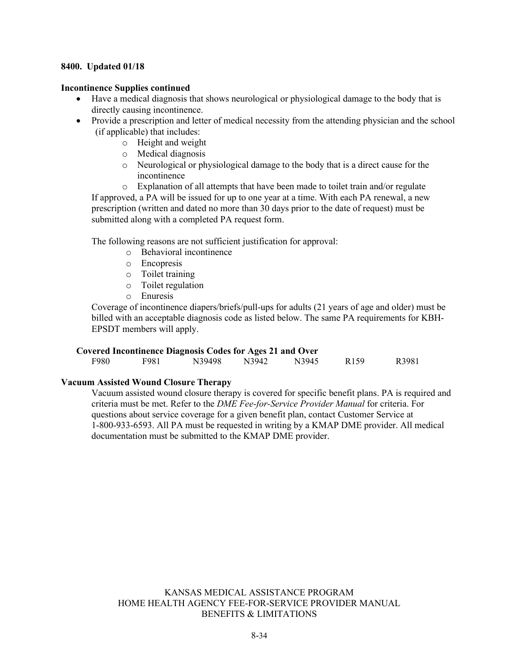#### **Incontinence Supplies continued**

- Have a medical diagnosis that shows neurological or physiological damage to the body that is directly causing incontinence.
- Provide a prescription and letter of medical necessity from the attending physician and the school (if applicable) that includes:
	- o Height and weight
	- o Medical diagnosis
	- o Neurological or physiological damage to the body that is a direct cause for the incontinence
	- o Explanation of all attempts that have been made to toilet train and/or regulate

If approved, a PA will be issued for up to one year at a time. With each PA renewal, a new prescription (written and dated no more than 30 days prior to the date of request) must be submitted along with a completed PA request form.

The following reasons are not sufficient justification for approval:

- o Behavioral incontinence
- o Encopresis
- o Toilet training
- o Toilet regulation
- o Enuresis

Coverage of incontinence diapers/briefs/pull-ups for adults (21 years of age and older) must be billed with an acceptable diagnosis code as listed below. The same PA requirements for KBH-EPSDT members will apply.

#### **Covered Incontinence Diagnosis Codes for Ages 21 and Over**

| F980<br>N3945<br>N39498<br>F981<br>N3942<br>R <sub>159</sub> |  |  |  |       |
|--------------------------------------------------------------|--|--|--|-------|
|                                                              |  |  |  | R3981 |

#### **Vacuum Assisted Wound Closure Therapy**

Vacuum assisted wound closure therapy is covered for specific benefit plans. PA is required and criteria must be met. Refer to the *DME Fee-for-Service Provider Manual* for criteria. For questions about service coverage for a given benefit plan, contact Customer Service at 1-800-933-6593. All PA must be requested in writing by a KMAP DME provider. All medical documentation must be submitted to the KMAP DME provider.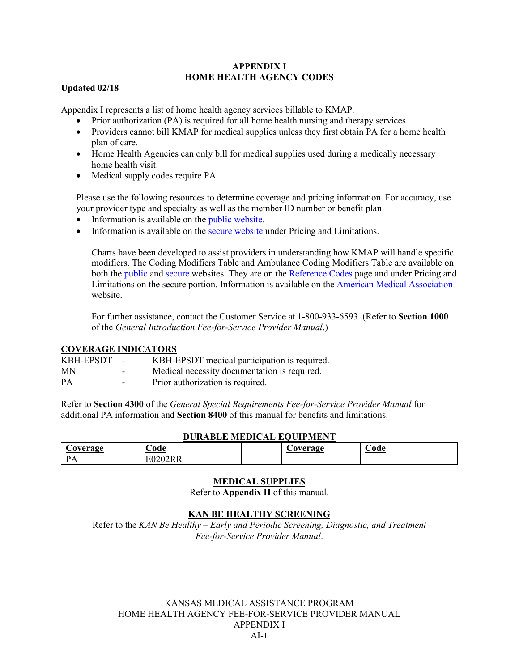#### **APPENDIX I HOME HEALTH AGENCY CODES**

#### **Updated 02/18**

Appendix I represents a list of home health agency services billable to KMAP.

- Prior authorization (PA) is required for all home health nursing and therapy services.
- Providers cannot bill KMAP for medical supplies unless they first obtain PA for a home health plan of care.
- Home Health Agencies can only bill for medical supplies used during a medically necessary home health visit.
- Medical supply codes require PA.

Please use the following resources to determine coverage and pricing information. For accuracy, use your provider type and specialty as well as the member ID number or benefit plan.

- Information is available on the *public website*.
- Information is available on the [secure website](https://portal.kmap-state-ks.us/Home/Index) under Pricing and Limitations.

Charts have been developed to assist providers in understanding how KMAP will handle specific modifiers. The Coding Modifiers Table and Ambulance Coding Modifiers Table are available on both the [public](https://portal.kmap-state-ks.us/PublicPage) and [secure](https://portal.kmap-state-ks.us/Home/Index) websites. They are on the [Reference Codes](https://portal.kmap-state-ks.us/PublicPage/ProviderPricing/ProviderInteractiveTools) page and under Pricing and Limitations on the secure portion. Information is available on the [American Medical Association](http://www.ama-assn.org/) website.

For further assistance, contact the Customer Service at 1-800-933-6593. (Refer to **Section 1000** of the *General Introduction Fee-for-Service Provider Manual*.)

#### **COVERAGE INDICATORS**

| KBH-EPSDT - |                          | KBH-EPSDT medical participation is required. |
|-------------|--------------------------|----------------------------------------------|
| <b>MN</b>   | $\sim$ $\sim$            | Medical necessity documentation is required. |
| PA          | $\overline{\phantom{0}}$ | Prior authorization is required.             |

Refer to **Section 4300** of the *General Special Requirements Fee-for-Service Provider Manual* for additional PA information and **Section 8400** of this manual for benefits and limitations.

| <b>DURABLE MEDICAL EQUIPMENT</b>      |         |  |  |  |  |  |
|---------------------------------------|---------|--|--|--|--|--|
| .'ode<br>€ode<br>Coverage<br>Coverage |         |  |  |  |  |  |
| D                                     | E0202RR |  |  |  |  |  |

#### **MEDICAL SUPPLIES**

Refer to **Appendix II** of this manual.

#### **KAN BE HEALTHY SCREENING**

Refer to the *KAN Be Healthy – Early and Periodic Screening, Diagnostic, and Treatment Fee-for-Service Provider Manual*.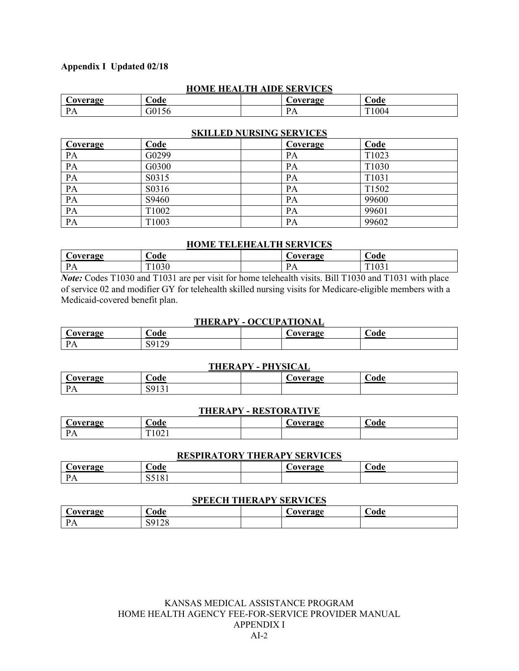| <b>HUME HEALTH AIDE SERVICES</b> |     |  |                |      |  |  |
|----------------------------------|-----|--|----------------|------|--|--|
| <b>Coverage</b>                  | ode |  | `avergæ        | bode |  |  |
| $\mathbf{D}$ $\mathbf{\Lambda}$  |     |  | $\overline{1}$ | 1004 |  |  |

**HOME HEALTH AIDE SERVICES**

#### **SKILLED NURSING SERVICES**

| Coverage | Code  | Coverage | Code  |
|----------|-------|----------|-------|
| PA       | G0299 | PA       | T1023 |
| PA       | G0300 | PA       | T1030 |
| PA       | S0315 | PA       | T1031 |
| PA       | S0316 | PА       | T1502 |
| PA       | S9460 | PA       | 99600 |
| PA       | T1002 | PА       | 99601 |
| PA       | T1003 | PA       | 99602 |

#### **HOME TELEHEALTH SERVICES**

| $\sim$ overage | $\cup$ ode            | `Averaoe<br>◡◡ | ∼<br>ode                           |
|----------------|-----------------------|----------------|------------------------------------|
| <b>A</b>       | .02c<br>$T^*$<br>10JU | <b>TTT</b>     | $\Omega$<br>T <sub>1</sub><br>1021 |

*Note:* Codes T1030 and T1031 are per visit for home telehealth visits. Bill T1030 and T1031 with place of service 02 and modifier GY for telehealth skilled nursing visits for Medicare-eligible members with a Medicaid-covered benefit plan.

#### **THERAPY - OCCUPATIONAL**

| Coverage            | $\mathcal{\cup}$ ode                 | overage | -<br>€ode |
|---------------------|--------------------------------------|---------|-----------|
| D A<br><b>A A A</b> | $\sim$<br>. u<br>$\overline{1}$<br>້ |         |           |

#### **THERAPY - PHYSICAL**

| `avaraga | -<br>€ode             | 'avergae | ⌒<br>ode |
|----------|-----------------------|----------|----------|
| $\cdots$ | ້<br><b>10</b><br>. . |          |          |

#### **THERAPY - RESTORATIVE**

| <b>COVETAGE</b> | -<br>$\cup$ ode                 | `Avergoe<br>v<br>a<br>◡◡<br>◡▴ | ∼<br>$\mathcal{\mathsf{L}\mathrm{ode}}$ |
|-----------------|---------------------------------|--------------------------------|-----------------------------------------|
| D<br><b>TTT</b> | ഹ<br><b>TL1</b><br>$\mathbf{U}$ |                                |                                         |

#### **RESPIRATORY THERAPY SERVICES**

| izapa ga<br>7 V.L 6<br>$\sim$ | ode                      | $-1$ | bode |
|-------------------------------|--------------------------|------|------|
| D<br><b>A</b>                 | $\Omega$<br>1 O 1<br>ັັັ |      |      |

#### **SPEECH THERAPY SERVICES**

| `avergæ<br>Coverag | bode               | $\alpha$ <i>i'aha <math>\alpha</math>a</i> | bode |
|--------------------|--------------------|--------------------------------------------|------|
| D<br><b>TTT</b>    | $\sim$<br>ັ<br>⊥∠∪ |                                            |      |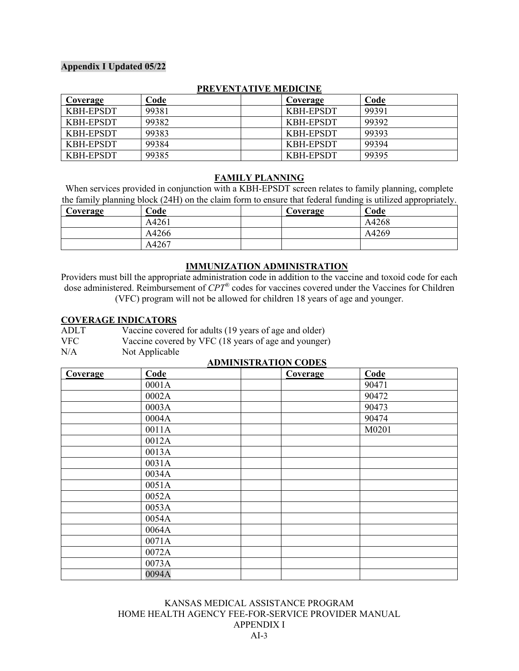| Coverage  | Code  | Coverage         | Code  |  |  |
|-----------|-------|------------------|-------|--|--|
| KBH-EPSDT | 99381 | KBH-EPSDT        | 99391 |  |  |
| KBH-EPSDT | 99382 | KBH-EPSDT        | 99392 |  |  |
| KBH-EPSDT | 99383 | <b>KBH-EPSDT</b> | 99393 |  |  |
| KBH-EPSDT | 99384 | KBH-EPSDT        | 99394 |  |  |
| KBH-EPSDT | 99385 | <b>KBH-EPSDT</b> | 99395 |  |  |

#### **PREVENTATIVE MEDICINE**

#### **FAMILY PLANNING**

When services provided in conjunction with a KBH-EPSDT screen relates to family planning, complete the family planning block (24H) on the claim form to ensure that federal funding is utilized appropriately.

| Coverage | Code  | Coverage | .<br>Code |
|----------|-------|----------|-----------|
|          | A4261 |          | A4268     |
|          | A4266 |          | A4269     |
|          | A4267 |          |           |

#### **IMMUNIZATION ADMINISTRATION**

Providers must bill the appropriate administration code in addition to the vaccine and toxoid code for each dose administered. Reimbursement of *CPT®* codes for vaccines covered under the Vaccines for Children (VFC) program will not be allowed for children 18 years of age and younger.

#### **COVERAGE INDICATORS**

| <b>ADLT</b> | Vaccine covered for adults (19 years of age and older) |
|-------------|--------------------------------------------------------|
| <b>VFC</b>  | Vaccine covered by VFC (18 years of age and younger)   |
| N/A         | Not Applicable                                         |

#### **ADMINISTRATION CODES**

| Coverage | Code  | Coverage | Code  |
|----------|-------|----------|-------|
|          | 0001A |          | 90471 |
|          | 0002A |          | 90472 |
|          | 0003A |          | 90473 |
|          | 0004A |          | 90474 |
|          | 0011A |          | M0201 |
|          | 0012A |          |       |
|          | 0013A |          |       |
|          | 0031A |          |       |
|          | 0034A |          |       |
|          | 0051A |          |       |
|          | 0052A |          |       |
|          | 0053A |          |       |
|          | 0054A |          |       |
|          | 0064A |          |       |
|          | 0071A |          |       |
|          | 0072A |          |       |
|          | 0073A |          |       |
|          | 0094A |          |       |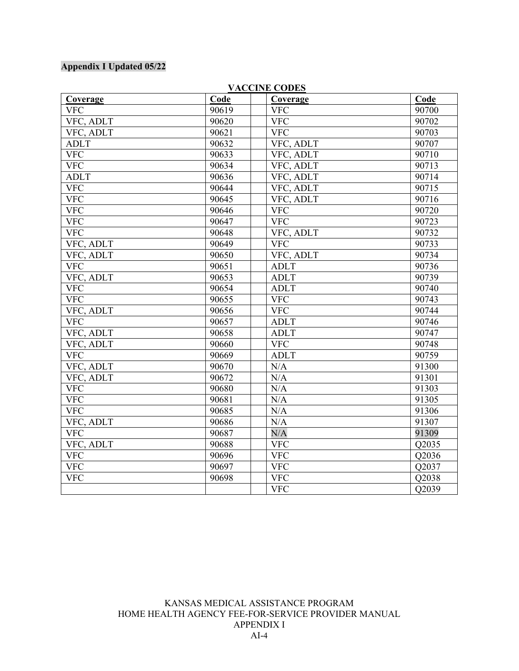|                 |       | VACCINE CODES   |       |
|-----------------|-------|-----------------|-------|
| <b>Coverage</b> | Code  | <b>Coverage</b> | Code  |
| <b>VFC</b>      | 90619 | <b>VFC</b>      | 90700 |
| VFC, ADLT       | 90620 | <b>VFC</b>      | 90702 |
| VFC, ADLT       | 90621 | <b>VFC</b>      | 90703 |
| <b>ADLT</b>     | 90632 | VFC, ADLT       | 90707 |
| <b>VFC</b>      | 90633 | VFC, ADLT       | 90710 |
| <b>VFC</b>      | 90634 | VFC, ADLT       | 90713 |
| <b>ADLT</b>     | 90636 | VFC, ADLT       | 90714 |
| <b>VFC</b>      | 90644 | VFC, ADLT       | 90715 |
| <b>VFC</b>      | 90645 | VFC, ADLT       | 90716 |
| <b>VFC</b>      | 90646 | <b>VFC</b>      | 90720 |
| <b>VFC</b>      | 90647 | VFC             | 90723 |
| <b>VFC</b>      | 90648 | VFC, ADLT       | 90732 |
| VFC, ADLT       | 90649 | <b>VFC</b>      | 90733 |
| VFC, ADLT       | 90650 | VFC, ADLT       | 90734 |
| <b>VFC</b>      | 90651 | <b>ADLT</b>     | 90736 |
| VFC, ADLT       | 90653 | <b>ADLT</b>     | 90739 |
| <b>VFC</b>      | 90654 | <b>ADLT</b>     | 90740 |
| <b>VFC</b>      | 90655 | <b>VFC</b>      | 90743 |
| VFC, ADLT       | 90656 | <b>VFC</b>      | 90744 |
| <b>VFC</b>      | 90657 | <b>ADLT</b>     | 90746 |
| VFC, ADLT       | 90658 | <b>ADLT</b>     | 90747 |
| VFC, ADLT       | 90660 | <b>VFC</b>      | 90748 |
| <b>VFC</b>      | 90669 | <b>ADLT</b>     | 90759 |
| VFC, ADLT       | 90670 | N/A             | 91300 |
| VFC, ADLT       | 90672 | N/A             | 91301 |
| <b>VFC</b>      | 90680 | N/A             | 91303 |
| <b>VFC</b>      | 90681 | N/A             | 91305 |
| <b>VFC</b>      | 90685 | N/A             | 91306 |
| VFC, ADLT       | 90686 | N/A             | 91307 |
| <b>VFC</b>      | 90687 | N/A             | 91309 |
| VFC, ADLT       | 90688 | <b>VFC</b>      | Q2035 |
| <b>VFC</b>      | 90696 | <b>VFC</b>      | Q2036 |
| <b>VFC</b>      | 90697 | <b>VFC</b>      | Q2037 |
| <b>VFC</b>      | 90698 | <b>VFC</b>      | Q2038 |
|                 |       | <b>VFC</b>      | Q2039 |

#### **VACCINE CODES**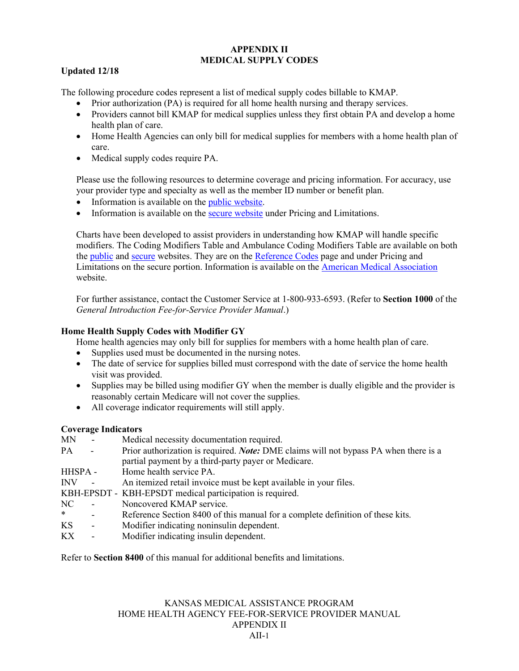#### **APPENDIX II MEDICAL SUPPLY CODES**

#### **Updated 12/18**

The following procedure codes represent a list of medical supply codes billable to KMAP.

- Prior authorization (PA) is required for all home health nursing and therapy services.
- Providers cannot bill KMAP for medical supplies unless they first obtain PA and develop a home health plan of care.
- Home Health Agencies can only bill for medical supplies for members with a home health plan of care.
- Medical supply codes require PA.

Please use the following resources to determine coverage and pricing information. For accuracy, use your provider type and specialty as well as the member ID number or benefit plan.

- Information is available on the [public website.](https://portal.kmap-state-ks.us/PublicPage)
- Information is available on the [secure website](https://portal.kmap-state-ks.us/Home/Index) under Pricing and Limitations.

Charts have been developed to assist providers in understanding how KMAP will handle specific modifiers. The Coding Modifiers Table and Ambulance Coding Modifiers Table are available on both the [public](https://portal.kmap-state-ks.us/PublicPage) and [secure](https://portal.kmap-state-ks.us/Home/Index) websites. They are on the [Reference Codes](https://portal.kmap-state-ks.us/PublicPage/ProviderPricing/ProviderInteractiveTools) page and under Pricing and Limitations on the secure portion. Information is available on the [American Medical Association](http://www.ama-assn.org/) website.

For further assistance, contact the Customer Service at 1-800-933-6593. (Refer to **Section 1000** of the *General Introduction Fee-for-Service Provider Manual*.)

#### **Home Health Supply Codes with Modifier GY**

Home health agencies may only bill for supplies for members with a home health plan of care.

- Supplies used must be documented in the nursing notes.
- The date of service for supplies billed must correspond with the date of service the home health visit was provided.
- Supplies may be billed using modifier GY when the member is dually eligible and the provider is reasonably certain Medicare will not cover the supplies.
- All coverage indicator requirements will still apply.

#### **Coverage Indicators**

| MN      | $\overline{\phantom{a}}$ | Medical necessity documentation required.                                                   |
|---------|--------------------------|---------------------------------------------------------------------------------------------|
| PA      | $\sim$                   | Prior authorization is required. <i>Note:</i> DME claims will not bypass PA when there is a |
|         |                          | partial payment by a third-party payer or Medicare.                                         |
| HHSPA - |                          | Home health service PA.                                                                     |
| INV     |                          | An itemized retail invoice must be kept available in your files.                            |
|         |                          | KBH-EPSDT - KBH-EPSDT medical participation is required.                                    |
| NC      | $\overline{\phantom{a}}$ | Noncovered KMAP service.                                                                    |
| $\ast$  | $\overline{\phantom{0}}$ | Reference Section 8400 of this manual for a complete definition of these kits.              |
| KS      | $\overline{\phantom{a}}$ | Modifier indicating noninsulin dependent.                                                   |
| KХ      | $\overline{\phantom{a}}$ | Modifier indicating insulin dependent.                                                      |
|         |                          |                                                                                             |

Refer to **Section 8400** of this manual for additional benefits and limitations.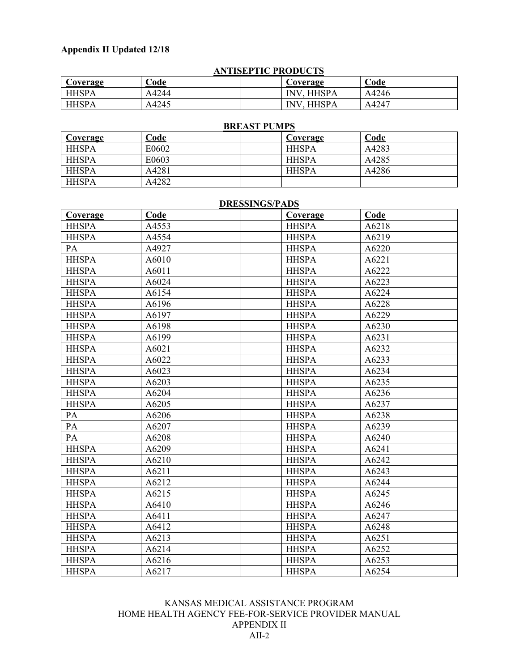| <b>ANTISEPTIC PRODUCTS</b> |       |                   |       |  |  |
|----------------------------|-------|-------------------|-------|--|--|
| Coverage                   | Code  | Coverage          | Code  |  |  |
| <b>HHSPA</b>               | A4244 | <b>INV. HHSPA</b> | A4246 |  |  |
| <b>HHSPA</b>               | A4245 | <b>INV. HHSPA</b> | A4247 |  |  |

### **BREAST PUMPS**

| <b>Coverage</b> | <u>Code</u> | Coverage     | <b>Code</b> |
|-----------------|-------------|--------------|-------------|
| <b>HHSPA</b>    | E0602       | <b>HHSPA</b> | A4283       |
| <b>HHSPA</b>    | E0603       | <b>HHSPA</b> | A4285       |
| <b>HHSPA</b>    | A4281       | <b>HHSPA</b> | A4286       |
| <b>HHSPA</b>    | A4282       |              |             |

#### **DRESSINGS/PADS**

| Coverage     | Code  | Coverage     | Code  |
|--------------|-------|--------------|-------|
| <b>HHSPA</b> | A4553 | <b>HHSPA</b> | A6218 |
| <b>HHSPA</b> | A4554 | <b>HHSPA</b> | A6219 |
| PA           | A4927 | <b>HHSPA</b> | A6220 |
| <b>HHSPA</b> | A6010 | <b>HHSPA</b> | A6221 |
| <b>HHSPA</b> | A6011 | <b>HHSPA</b> | A6222 |
| <b>HHSPA</b> | A6024 | <b>HHSPA</b> | A6223 |
| <b>HHSPA</b> | A6154 | <b>HHSPA</b> | A6224 |
| <b>HHSPA</b> | A6196 | <b>HHSPA</b> | A6228 |
| <b>HHSPA</b> | A6197 | <b>HHSPA</b> | A6229 |
| <b>HHSPA</b> | A6198 | <b>HHSPA</b> | A6230 |
| <b>HHSPA</b> | A6199 | <b>HHSPA</b> | A6231 |
| <b>HHSPA</b> | A6021 | <b>HHSPA</b> | A6232 |
| <b>HHSPA</b> | A6022 | <b>HHSPA</b> | A6233 |
| <b>HHSPA</b> | A6023 | <b>HHSPA</b> | A6234 |
| <b>HHSPA</b> | A6203 | <b>HHSPA</b> | A6235 |
| <b>HHSPA</b> | A6204 | <b>HHSPA</b> | A6236 |
| <b>HHSPA</b> | A6205 | <b>HHSPA</b> | A6237 |
| PA           | A6206 | <b>HHSPA</b> | A6238 |
| PA           | A6207 | <b>HHSPA</b> | A6239 |
| PA           | A6208 | <b>HHSPA</b> | A6240 |
| <b>HHSPA</b> | A6209 | <b>HHSPA</b> | A6241 |
| <b>HHSPA</b> | A6210 | <b>HHSPA</b> | A6242 |
| <b>HHSPA</b> | A6211 | <b>HHSPA</b> | A6243 |
| <b>HHSPA</b> | A6212 | <b>HHSPA</b> | A6244 |
| <b>HHSPA</b> | A6215 | <b>HHSPA</b> | A6245 |
| <b>HHSPA</b> | A6410 | <b>HHSPA</b> | A6246 |
| <b>HHSPA</b> | A6411 | <b>HHSPA</b> | A6247 |
| <b>HHSPA</b> | A6412 | <b>HHSPA</b> | A6248 |
| <b>HHSPA</b> | A6213 | <b>HHSPA</b> | A6251 |
| <b>HHSPA</b> | A6214 | <b>HHSPA</b> | A6252 |
| <b>HHSPA</b> | A6216 | <b>HHSPA</b> | A6253 |
| <b>HHSPA</b> | A6217 | <b>HHSPA</b> | A6254 |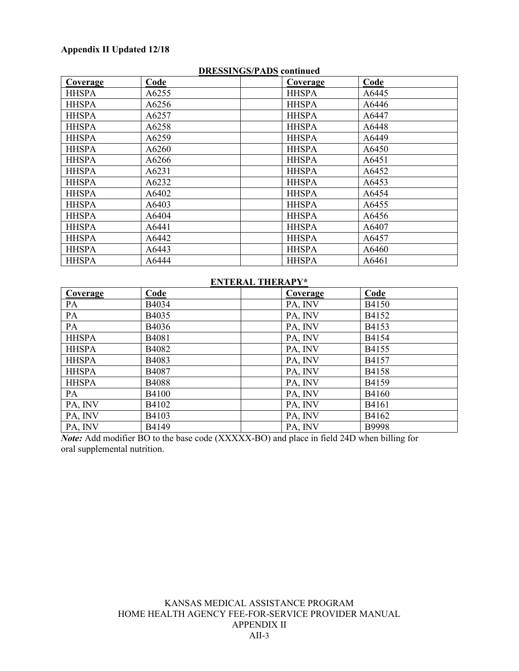|              | рироплоентро социщей |  |              |       |  |  |
|--------------|----------------------|--|--------------|-------|--|--|
| Coverage     | Code                 |  | Coverage     | Code  |  |  |
| <b>HHSPA</b> | A6255                |  | <b>HHSPA</b> | A6445 |  |  |
| <b>HHSPA</b> | A6256                |  | <b>HHSPA</b> | A6446 |  |  |
| <b>HHSPA</b> | A6257                |  | <b>HHSPA</b> | A6447 |  |  |
| <b>HHSPA</b> | A6258                |  | <b>HHSPA</b> | A6448 |  |  |
| <b>HHSPA</b> | A6259                |  | <b>HHSPA</b> | A6449 |  |  |
| <b>HHSPA</b> | A6260                |  | <b>HHSPA</b> | A6450 |  |  |
| <b>HHSPA</b> | A6266                |  | <b>HHSPA</b> | A6451 |  |  |
| <b>HHSPA</b> | A6231                |  | <b>HHSPA</b> | A6452 |  |  |
| <b>HHSPA</b> | A6232                |  | <b>HHSPA</b> | A6453 |  |  |
| <b>HHSPA</b> | A6402                |  | <b>HHSPA</b> | A6454 |  |  |
| <b>HHSPA</b> | A6403                |  | <b>HHSPA</b> | A6455 |  |  |
| <b>HHSPA</b> | A6404                |  | <b>HHSPA</b> | A6456 |  |  |
| <b>HHSPA</b> | A6441                |  | <b>HHSPA</b> | A6407 |  |  |
| <b>HHSPA</b> | A6442                |  | <b>HHSPA</b> | A6457 |  |  |
| <b>HHSPA</b> | A6443                |  | <b>HHSPA</b> | A6460 |  |  |
| <b>HHSPA</b> | A6444                |  | <b>HHSPA</b> | A6461 |  |  |

#### **DRESSINGS/PADS continued**

#### **ENTERAL THERAPY\***

| <b>Coverage</b> | Code         | <b>Coverage</b> | Code  |
|-----------------|--------------|-----------------|-------|
| PA              | B4034        | PA, INV         | B4150 |
| PA              | B4035        | PA, INV         | B4152 |
| PA              | B4036        | PA, INV         | B4153 |
| <b>HHSPA</b>    | B4081        | PA, INV         | B4154 |
| <b>HHSPA</b>    | B4082        | PA, INV         | B4155 |
| <b>HHSPA</b>    | B4083        | PA, INV         | B4157 |
| <b>HHSPA</b>    | B4087        | PA, INV         | B4158 |
| <b>HHSPA</b>    | <b>B4088</b> | PA, INV         | B4159 |
| PA              | <b>B4100</b> | PA, INV         | B4160 |
| PA, INV         | B4102        | PA, INV         | B4161 |
| PA, INV         | B4103        | PA, INV         | B4162 |
| PA, INV         | B4149        | PA, INV         | B9998 |

*Note:* Add modifier BO to the base code (XXXXX-BO) and place in field 24D when billing for oral supplemental nutrition.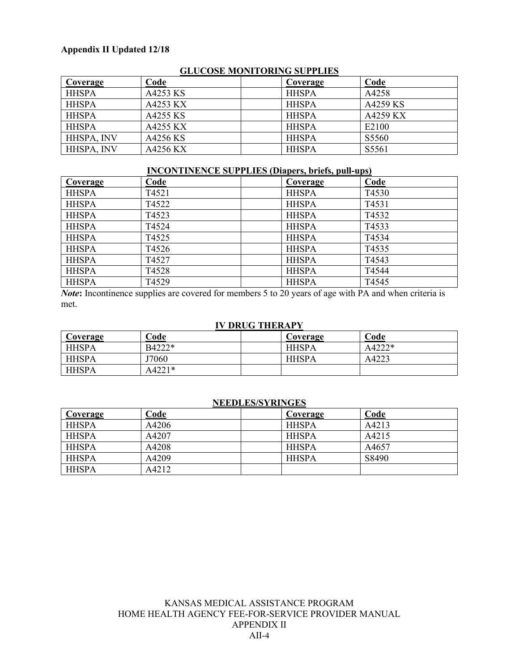| <b>OLUCOSE MONTONINO SUITERES</b> |          |              |          |
|-----------------------------------|----------|--------------|----------|
| Coverage                          | Code     | Coverage     | Code     |
| <b>HHSPA</b>                      | A4253 KS | <b>HHSPA</b> | A4258    |
| <b>HHSPA</b>                      | A4253 KX | <b>HHSPA</b> | A4259 KS |
| <b>HHSPA</b>                      | A4255 KS | <b>HHSPA</b> | A4259 KX |
| <b>HHSPA</b>                      | A4255 KX | <b>HHSPA</b> | E2100    |
| HHSPA, INV                        | A4256 KS | <b>HHSPA</b> | S5560    |
| HHSPA, INV                        | A4256 KX | <b>HHSPA</b> | S5561    |

#### **GLUCOSE MONITORING SUPPLIES**

| <b>INCONTINENCE SUPPLIES (Diapers, briefs, pull-ups)</b> |       |  |              |       |  |
|----------------------------------------------------------|-------|--|--------------|-------|--|
| Coverage                                                 | Code  |  | Coverage     | Code  |  |
| <b>HHSPA</b>                                             | T4521 |  | <b>HHSPA</b> | T4530 |  |
| <b>HHSPA</b>                                             | T4522 |  | <b>HHSPA</b> | T4531 |  |
| <b>HHSPA</b>                                             | T4523 |  | <b>HHSPA</b> | T4532 |  |
| <b>HHSPA</b>                                             | T4524 |  | <b>HHSPA</b> | T4533 |  |
| <b>HHSPA</b>                                             | T4525 |  | <b>HHSPA</b> | T4534 |  |
| <b>HHSPA</b>                                             | T4526 |  | <b>HHSPA</b> | T4535 |  |
| <b>HHSPA</b>                                             | T4527 |  | <b>HHSPA</b> | T4543 |  |
| <b>HHSPA</b>                                             | T4528 |  | <b>HHSPA</b> | T4544 |  |
| <b>HHSPA</b>                                             | T4529 |  | <b>HHSPA</b> | T4545 |  |

*Note*: Incontinence supplies are covered for members 5 to 20 years of age with PA and when criteria is met.

#### **IV DRUG THERAPY**

| Coverage     | Code   | Coverage     | Code   |
|--------------|--------|--------------|--------|
| <b>HHSPA</b> | B4222* | <b>HHSPA</b> | A4222* |
| <b>HHSPA</b> | J7060  | <b>HHSPA</b> | A4223  |
| <b>HHSPA</b> | A4221* |              |        |

#### **NEEDLES/SYRINGES**

| Coverage     | Code  | Coverage     | Code  |
|--------------|-------|--------------|-------|
| <b>HHSPA</b> | A4206 | <b>HHSPA</b> | A4213 |
| <b>HHSPA</b> | A4207 | <b>HHSPA</b> | A4215 |
| <b>HHSPA</b> | A4208 | <b>HHSPA</b> | A4657 |
| <b>HHSPA</b> | A4209 | <b>HHSPA</b> | S8490 |
| <b>HHSPA</b> | A4212 |              |       |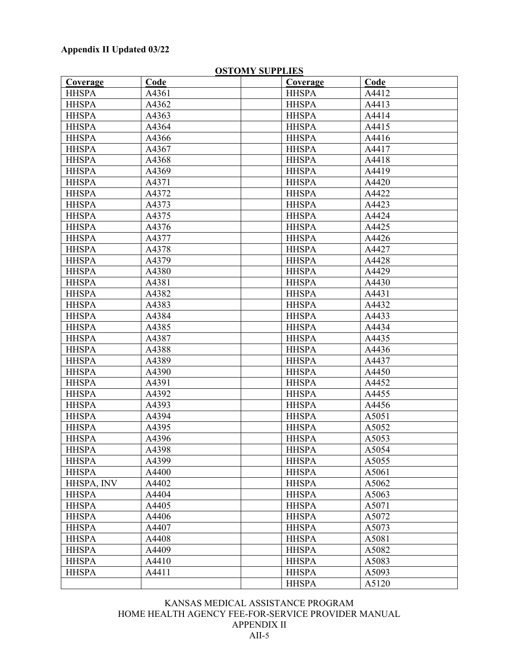| Coverage     | Code  | Coverage     | Code  |
|--------------|-------|--------------|-------|
| <b>HHSPA</b> | A4361 | <b>HHSPA</b> | A4412 |
| <b>HHSPA</b> | A4362 | <b>HHSPA</b> | A4413 |
| <b>HHSPA</b> | A4363 | <b>HHSPA</b> | A4414 |
| <b>HHSPA</b> | A4364 | <b>HHSPA</b> | A4415 |
| <b>HHSPA</b> | A4366 | <b>HHSPA</b> | A4416 |
| <b>HHSPA</b> | A4367 | <b>HHSPA</b> | A4417 |
| <b>HHSPA</b> | A4368 | <b>HHSPA</b> | A4418 |
| <b>HHSPA</b> | A4369 | <b>HHSPA</b> | A4419 |
| <b>HHSPA</b> | A4371 | <b>HHSPA</b> | A4420 |
| <b>HHSPA</b> | A4372 | <b>HHSPA</b> | A4422 |
| <b>HHSPA</b> | A4373 | <b>HHSPA</b> | A4423 |
| <b>HHSPA</b> | A4375 | <b>HHSPA</b> | A4424 |
| <b>HHSPA</b> | A4376 | <b>HHSPA</b> | A4425 |
| <b>HHSPA</b> | A4377 | <b>HHSPA</b> | A4426 |
| <b>HHSPA</b> | A4378 | <b>HHSPA</b> | A4427 |
| <b>HHSPA</b> | A4379 | <b>HHSPA</b> | A4428 |
| <b>HHSPA</b> | A4380 | <b>HHSPA</b> | A4429 |
| <b>HHSPA</b> | A4381 | <b>HHSPA</b> | A4430 |
| <b>HHSPA</b> | A4382 | <b>HHSPA</b> | A4431 |
| <b>HHSPA</b> | A4383 | <b>HHSPA</b> | A4432 |
| <b>HHSPA</b> | A4384 | <b>HHSPA</b> | A4433 |
| <b>HHSPA</b> | A4385 | <b>HHSPA</b> | A4434 |
| <b>HHSPA</b> | A4387 | <b>HHSPA</b> | A4435 |
| <b>HHSPA</b> | A4388 | <b>HHSPA</b> | A4436 |
| <b>HHSPA</b> | A4389 | <b>HHSPA</b> | A4437 |
| <b>HHSPA</b> | A4390 | <b>HHSPA</b> | A4450 |
| <b>HHSPA</b> | A4391 | <b>HHSPA</b> | A4452 |
| <b>HHSPA</b> | A4392 | <b>HHSPA</b> | A4455 |
| <b>HHSPA</b> | A4393 | <b>HHSPA</b> | A4456 |
| <b>HHSPA</b> | A4394 | <b>HHSPA</b> | A5051 |
| <b>HHSPA</b> | A4395 | <b>HHSPA</b> | A5052 |
| <b>HHSPA</b> | A4396 | <b>HHSPA</b> | A5053 |
| <b>HHSPA</b> | A4398 | <b>HHSPA</b> | A5054 |
| <b>HHSPA</b> | A4399 | <b>HHSPA</b> | A5055 |
|              |       |              |       |
| <b>HHSPA</b> | A4400 | <b>HHSPA</b> | A5061 |
| HHSPA, INV   | A4402 | <b>HHSPA</b> | A5062 |
| <b>HHSPA</b> | A4404 | <b>HHSPA</b> | A5063 |
| <b>HHSPA</b> | A4405 | <b>HHSPA</b> | A5071 |
| <b>HHSPA</b> | A4406 | <b>HHSPA</b> | A5072 |
| <b>HHSPA</b> | A4407 | <b>HHSPA</b> | A5073 |
| <b>HHSPA</b> | A4408 | <b>HHSPA</b> | A5081 |
| <b>HHSPA</b> | A4409 | <b>HHSPA</b> | A5082 |
| <b>HHSPA</b> | A4410 | <b>HHSPA</b> | A5083 |
| <b>HHSPA</b> | A4411 | <b>HHSPA</b> | A5093 |
|              |       | <b>HHSPA</b> | A5120 |

#### **OSTOMY SUPPLIES**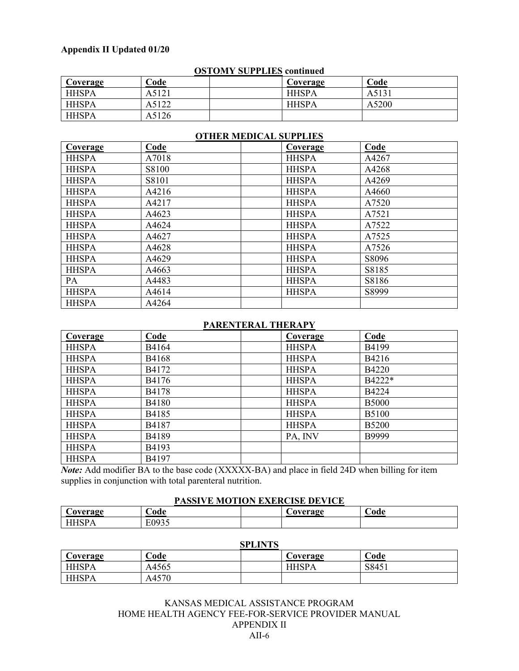| <u>odi oni i oci i bilo conunicu</u> |       |  |              |       |
|--------------------------------------|-------|--|--------------|-------|
| Coverage                             | Code  |  | Coverage     | Code  |
| <b>HHSPA</b>                         | A5121 |  | <b>HHSPA</b> | A5131 |
| <b>HHSPA</b>                         | A5122 |  | <b>HHSPA</b> | A5200 |
| <b>HHSPA</b>                         | A5126 |  |              |       |

#### **OSTOMY SUPPLIES continued**

| Coverage     | Code  | Coverage     | Code  |
|--------------|-------|--------------|-------|
| <b>HHSPA</b> | A7018 | <b>HHSPA</b> | A4267 |
| <b>HHSPA</b> | S8100 | <b>HHSPA</b> | A4268 |
| <b>HHSPA</b> | S8101 | <b>HHSPA</b> | A4269 |
| <b>HHSPA</b> | A4216 | <b>HHSPA</b> | A4660 |
| <b>HHSPA</b> | A4217 | <b>HHSPA</b> | A7520 |
| <b>HHSPA</b> | A4623 | <b>HHSPA</b> | A7521 |
| <b>HHSPA</b> | A4624 | <b>HHSPA</b> | A7522 |
| <b>HHSPA</b> | A4627 | <b>HHSPA</b> | A7525 |
| <b>HHSPA</b> | A4628 | <b>HHSPA</b> | A7526 |
| <b>HHSPA</b> | A4629 | <b>HHSPA</b> | S8096 |
| <b>HHSPA</b> | A4663 | <b>HHSPA</b> | S8185 |
| PA           | A4483 | <b>HHSPA</b> | S8186 |
| <b>HHSPA</b> | A4614 | <b>HHSPA</b> | S8999 |
| <b>HHSPA</b> | A4264 |              |       |

#### **OTHER MEDICAL SUPPLIES**

#### **PARENTERAL THERAPY**

| Coverage     | Code         | Coverage     | Code         |
|--------------|--------------|--------------|--------------|
| <b>HHSPA</b> | B4164        | <b>HHSPA</b> | B4199        |
| <b>HHSPA</b> | B4168        | <b>HHSPA</b> | B4216        |
| <b>HHSPA</b> | B4172        | <b>HHSPA</b> | <b>B4220</b> |
| <b>HHSPA</b> | B4176        | <b>HHSPA</b> | B4222*       |
| <b>HHSPA</b> | B4178        | <b>HHSPA</b> | B4224        |
| <b>HHSPA</b> | <b>B4180</b> | <b>HHSPA</b> | <b>B5000</b> |
| <b>HHSPA</b> | B4185        | <b>HHSPA</b> | <b>B5100</b> |
| <b>HHSPA</b> | B4187        | <b>HHSPA</b> | <b>B5200</b> |
| <b>HHSPA</b> | B4189        | PA, INV      | B9999        |
| <b>HHSPA</b> | B4193        |              |              |
| <b>HHSPA</b> | B4197        |              |              |

*Note:* Add modifier BA to the base code (XXXXX-BA) and place in field 24D when billing for item supplies in conjunction with total parenteral nutrition.

#### **PASSIVE MOTION EXERCISE DEVICE**

| overage<br>$\sim$ | €ode                            | avergoe<br>∿м.<br>٠.,<br>ຼ | €ode |
|-------------------|---------------------------------|----------------------------|------|
| . .               | F002 <sup>7</sup><br>∟∪<br>ノノコー |                            |      |

#### **SPLINTS Coverage Code Coverage Code** HHSPA | A4565 | HHSPA | S8451 HHSPA A4570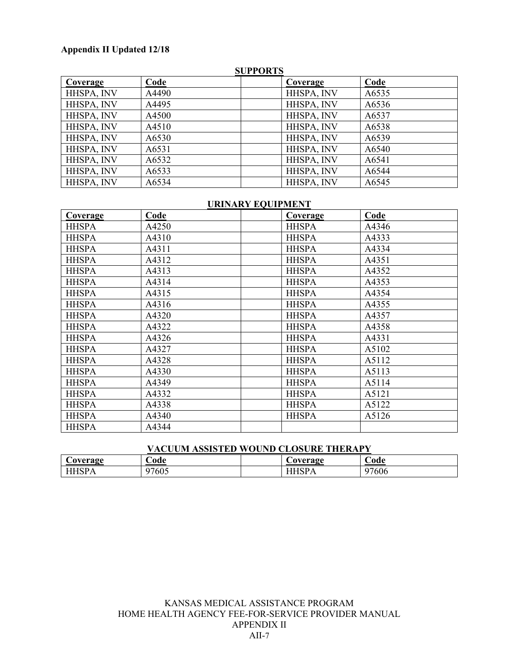| <b>SUPPORTS</b> |       |            |       |
|-----------------|-------|------------|-------|
| Coverage        | Code  | Coverage   | Code  |
| HHSPA, INV      | A4490 | HHSPA, INV | A6535 |
| HHSPA, INV      | A4495 | HHSPA, INV | A6536 |
| HHSPA, INV      | A4500 | HHSPA, INV | A6537 |
| HHSPA, INV      | A4510 | HHSPA, INV | A6538 |
| HHSPA, INV      | A6530 | HHSPA, INV | A6539 |
| HHSPA, INV      | A6531 | HHSPA, INV | A6540 |
| HHSPA, INV      | A6532 | HHSPA, INV | A6541 |
| HHSPA, INV      | A6533 | HHSPA, INV | A6544 |
| HHSPA, INV      | A6534 | HHSPA, INV | A6545 |

#### **URINARY EQUIPMENT**

| <b>Coverage</b> | Code  | Coverage     | Code  |
|-----------------|-------|--------------|-------|
| <b>HHSPA</b>    | A4250 | <b>HHSPA</b> | A4346 |
| <b>HHSPA</b>    | A4310 | <b>HHSPA</b> | A4333 |
| <b>HHSPA</b>    | A4311 | <b>HHSPA</b> | A4334 |
| <b>HHSPA</b>    | A4312 | <b>HHSPA</b> | A4351 |
| <b>HHSPA</b>    | A4313 | <b>HHSPA</b> | A4352 |
| <b>HHSPA</b>    | A4314 | <b>HHSPA</b> | A4353 |
| <b>HHSPA</b>    | A4315 | <b>HHSPA</b> | A4354 |
| <b>HHSPA</b>    | A4316 | <b>HHSPA</b> | A4355 |
| <b>HHSPA</b>    | A4320 | <b>HHSPA</b> | A4357 |
| <b>HHSPA</b>    | A4322 | <b>HHSPA</b> | A4358 |
| <b>HHSPA</b>    | A4326 | <b>HHSPA</b> | A4331 |
| <b>HHSPA</b>    | A4327 | <b>HHSPA</b> | A5102 |
| <b>HHSPA</b>    | A4328 | <b>HHSPA</b> | A5112 |
| <b>HHSPA</b>    | A4330 | <b>HHSPA</b> | A5113 |
| <b>HHSPA</b>    | A4349 | <b>HHSPA</b> | A5114 |
| <b>HHSPA</b>    | A4332 | <b>HHSPA</b> | A5121 |
| <b>HHSPA</b>    | A4338 | <b>HHSPA</b> | A5122 |
| <b>HHSPA</b>    | A4340 | <b>HHSPA</b> | A5126 |
| <b>HHSPA</b>    | A4344 |              |       |

#### **VACUUM ASSISTED WOUND CLOSURE THERAPY**

| Coverage                      | ⊅ode                      | Coverage                                 | $\mathcal{\cup}$ ode          |
|-------------------------------|---------------------------|------------------------------------------|-------------------------------|
| <b>TITIOD</b><br>. .<br>11011 | CDF<br>$\sim$<br>605<br>u | $\mathbf{r} \sim \mathbf{r}$<br>$\cdots$ | $\sim$<br>$\sim$<br>'606<br>∼ |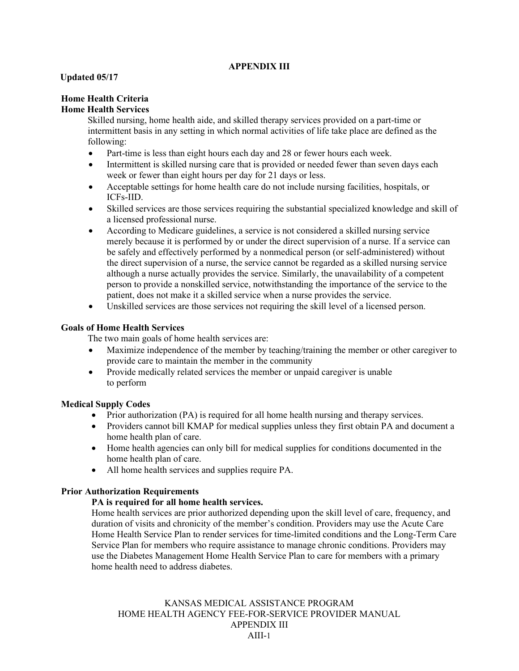#### **APPENDIX III**

#### **Updated 05/17**

#### **Home Health Criteria**

#### **Home Health Services**

Skilled nursing, home health aide, and skilled therapy services provided on a part-time or intermittent basis in any setting in which normal activities of life take place are defined as the following:

- Part-time is less than eight hours each day and 28 or fewer hours each week.
- Intermittent is skilled nursing care that is provided or needed fewer than seven days each week or fewer than eight hours per day for 21 days or less.
- Acceptable settings for home health care do not include nursing facilities, hospitals, or ICFs-IID.
- Skilled services are those services requiring the substantial specialized knowledge and skill of a licensed professional nurse.
- According to Medicare guidelines, a service is not considered a skilled nursing service merely because it is performed by or under the direct supervision of a nurse. If a service can be safely and effectively performed by a nonmedical person (or self-administered) without the direct supervision of a nurse, the service cannot be regarded as a skilled nursing service although a nurse actually provides the service. Similarly, the unavailability of a competent person to provide a nonskilled service, notwithstanding the importance of the service to the patient, does not make it a skilled service when a nurse provides the service.
- Unskilled services are those services not requiring the skill level of a licensed person.

#### **Goals of Home Health Services**

The two main goals of home health services are:

- Maximize independence of the member by teaching/training the member or other caregiver to provide care to maintain the member in the community
- Provide medically related services the member or unpaid caregiver is unable to perform

#### **Medical Supply Codes**

- Prior authorization (PA) is required for all home health nursing and therapy services.
- Providers cannot bill KMAP for medical supplies unless they first obtain PA and document a home health plan of care.
- Home health agencies can only bill for medical supplies for conditions documented in the home health plan of care.
- All home health services and supplies require PA.

#### **Prior Authorization Requirements**

#### **PA is required for all home health services.**

Home health services are prior authorized depending upon the skill level of care, frequency, and duration of visits and chronicity of the member's condition. Providers may use the Acute Care Home Health Service Plan to render services for time-limited conditions and the Long-Term Care Service Plan for members who require assistance to manage chronic conditions. Providers may use the Diabetes Management Home Health Service Plan to care for members with a primary home health need to address diabetes.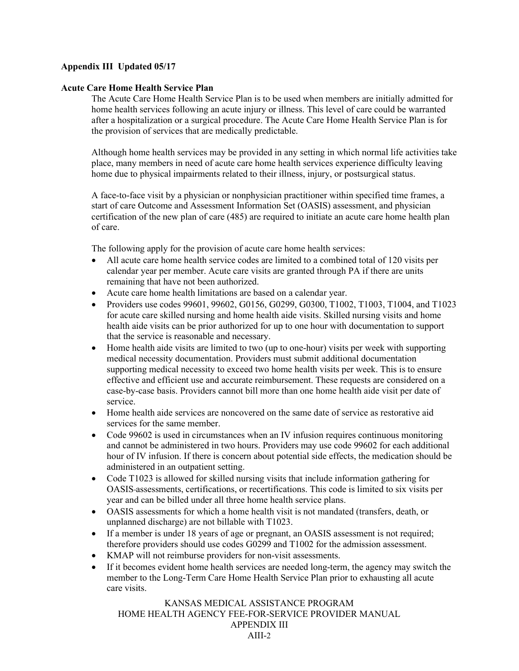#### **Acute Care Home Health Service Plan**

The Acute Care Home Health Service Plan is to be used when members are initially admitted for home health services following an acute injury or illness. This level of care could be warranted after a hospitalization or a surgical procedure. The Acute Care Home Health Service Plan is for the provision of services that are medically predictable.

Although home health services may be provided in any setting in which normal life activities take place, many members in need of acute care home health services experience difficulty leaving home due to physical impairments related to their illness, injury, or postsurgical status.

A face-to-face visit by a physician or nonphysician practitioner within specified time frames, a start of care Outcome and Assessment Information Set (OASIS) assessment, and physician certification of the new plan of care (485) are required to initiate an acute care home health plan of care.

The following apply for the provision of acute care home health services:

- All acute care home health service codes are limited to a combined total of 120 visits per calendar year per member. Acute care visits are granted through PA if there are units remaining that have not been authorized.
- Acute care home health limitations are based on a calendar year.
- Providers use codes 99601, 99602, G0156, G0299, G0300, T1002, T1003, T1004, and T1023 for acute care skilled nursing and home health aide visits. Skilled nursing visits and home health aide visits can be prior authorized for up to one hour with documentation to support that the service is reasonable and necessary.
- Home health aide visits are limited to two (up to one-hour) visits per week with supporting medical necessity documentation. Providers must submit additional documentation supporting medical necessity to exceed two home health visits per week. This is to ensure effective and efficient use and accurate reimbursement. These requests are considered on a case-by-case basis. Providers cannot bill more than one home health aide visit per date of service.
- Home health aide services are noncovered on the same date of service as restorative aid services for the same member.
- Code 99602 is used in circumstances when an IV infusion requires continuous monitoring and cannot be administered in two hours. Providers may use code 99602 for each additional hour of IV infusion. If there is concern about potential side effects, the medication should be administered in an outpatient setting.
- Code T1023 is allowed for skilled nursing visits that include information gathering for OASIS assessments, certifications, or recertifications. This code is limited to six visits per year and can be billed under all three home health service plans.
- OASIS assessments for which a home health visit is not mandated (transfers, death, or unplanned discharge) are not billable with T1023.
- If a member is under 18 years of age or pregnant, an OASIS assessment is not required; therefore providers should use codes G0299 and T1002 for the admission assessment.
- KMAP will not reimburse providers for non-visit assessments.
- If it becomes evident home health services are needed long-term, the agency may switch the member to the Long-Term Care Home Health Service Plan prior to exhausting all acute care visits.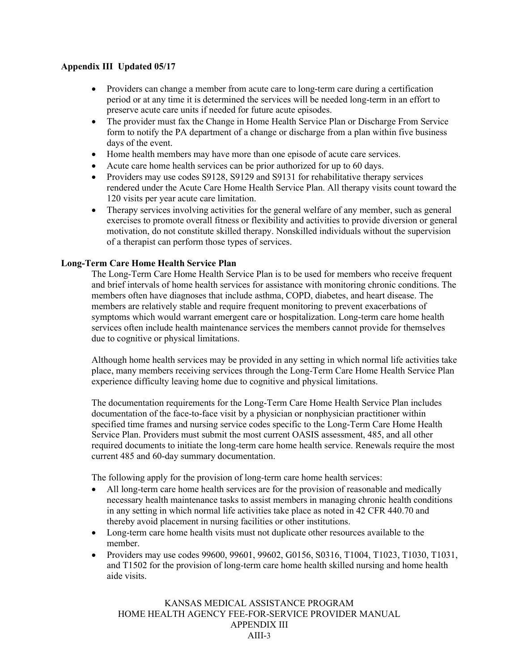- Providers can change a member from acute care to long-term care during a certification period or at any time it is determined the services will be needed long-term in an effort to preserve acute care units if needed for future acute episodes.
- The provider must fax the Change in Home Health Service Plan or Discharge From Service form to notify the PA department of a change or discharge from a plan within five business days of the event.
- Home health members may have more than one episode of acute care services.
- Acute care home health services can be prior authorized for up to 60 days.
- Providers may use codes S9128, S9129 and S9131 for rehabilitative therapy services rendered under the Acute Care Home Health Service Plan. All therapy visits count toward the 120 visits per year acute care limitation.
- Therapy services involving activities for the general welfare of any member, such as general exercises to promote overall fitness or flexibility and activities to provide diversion or general motivation, do not constitute skilled therapy. Nonskilled individuals without the supervision of a therapist can perform those types of services.

#### **Long-Term Care Home Health Service Plan**

The Long-Term Care Home Health Service Plan is to be used for members who receive frequent and brief intervals of home health services for assistance with monitoring chronic conditions. The members often have diagnoses that include asthma, COPD, diabetes, and heart disease. The members are relatively stable and require frequent monitoring to prevent exacerbations of symptoms which would warrant emergent care or hospitalization. Long-term care home health services often include health maintenance services the members cannot provide for themselves due to cognitive or physical limitations.

Although home health services may be provided in any setting in which normal life activities take place, many members receiving services through the Long-Term Care Home Health Service Plan experience difficulty leaving home due to cognitive and physical limitations.

The documentation requirements for the Long-Term Care Home Health Service Plan includes documentation of the face-to-face visit by a physician or nonphysician practitioner within specified time frames and nursing service codes specific to the Long-Term Care Home Health Service Plan. Providers must submit the most current OASIS assessment, 485, and all other required documents to initiate the long-term care home health service. Renewals require the most current 485 and 60-day summary documentation.

The following apply for the provision of long-term care home health services:

- All long-term care home health services are for the provision of reasonable and medically necessary health maintenance tasks to assist members in managing chronic health conditions in any setting in which normal life activities take place as noted in 42 CFR 440.70 and thereby avoid placement in nursing facilities or other institutions.
- Long-term care home health visits must not duplicate other resources available to the member.
- Providers may use codes 99600, 99601, 99602, G0156, S0316, T1004, T1023, T1030, T1031, and T1502 for the provision of long-term care home health skilled nursing and home health aide visits.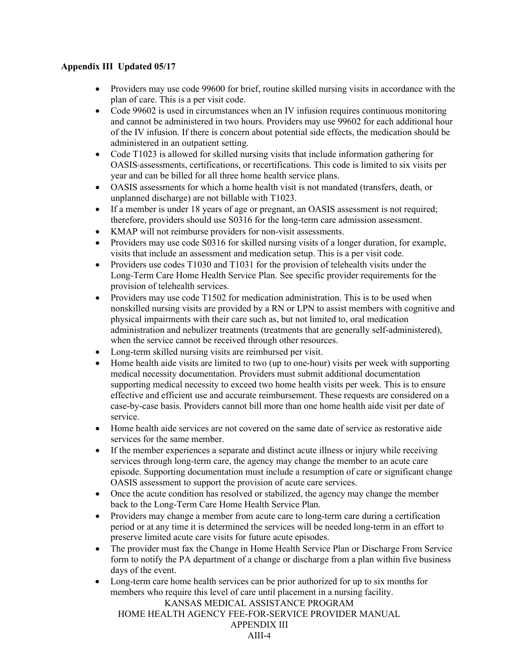- Providers may use code 99600 for brief, routine skilled nursing visits in accordance with the plan of care. This is a per visit code.
- Code 99602 is used in circumstances when an IV infusion requires continuous monitoring and cannot be administered in two hours. Providers may use 99602 for each additional hour of the IV infusion. If there is concern about potential side effects, the medication should be administered in an outpatient setting.
- Code T1023 is allowed for skilled nursing visits that include information gathering for OASIS assessments, certifications, or recertifications. This code is limited to six visits per year and can be billed for all three home health service plans.
- OASIS assessments for which a home health visit is not mandated (transfers, death, or unplanned discharge) are not billable with T1023.
- If a member is under 18 years of age or pregnant, an OASIS assessment is not required; therefore, providers should use S0316 for the long-term care admission assessment.
- KMAP will not reimburse providers for non-visit assessments.
- Providers may use code S0316 for skilled nursing visits of a longer duration, for example, visits that include an assessment and medication setup. This is a per visit code.
- Providers use codes T1030 and T1031 for the provision of telehealth visits under the Long-Term Care Home Health Service Plan. See specific provider requirements for the provision of telehealth services.
- Providers may use code T1502 for medication administration. This is to be used when nonskilled nursing visits are provided by a RN or LPN to assist members with cognitive and physical impairments with their care such as, but not limited to, oral medication administration and nebulizer treatments (treatments that are generally self-administered), when the service cannot be received through other resources.
- Long-term skilled nursing visits are reimbursed per visit.
- Home health aide visits are limited to two (up to one-hour) visits per week with supporting medical necessity documentation. Providers must submit additional documentation supporting medical necessity to exceed two home health visits per week. This is to ensure effective and efficient use and accurate reimbursement. These requests are considered on a case-by-case basis. Providers cannot bill more than one home health aide visit per date of service.
- Home health aide services are not covered on the same date of service as restorative aide services for the same member.
- If the member experiences a separate and distinct acute illness or injury while receiving services through long-term care, the agency may change the member to an acute care episode. Supporting documentation must include a resumption of care or significant change OASIS assessment to support the provision of acute care services.
- Once the acute condition has resolved or stabilized, the agency may change the member back to the Long-Term Care Home Health Service Plan.
- Providers may change a member from acute care to long-term care during a certification period or at any time it is determined the services will be needed long-term in an effort to preserve limited acute care visits for future acute episodes.
- The provider must fax the Change in Home Health Service Plan or Discharge From Service form to notify the PA department of a change or discharge from a plan within five business days of the event.
- Long-term care home health services can be prior authorized for up to six months for members who require this level of care until placement in a nursing facility.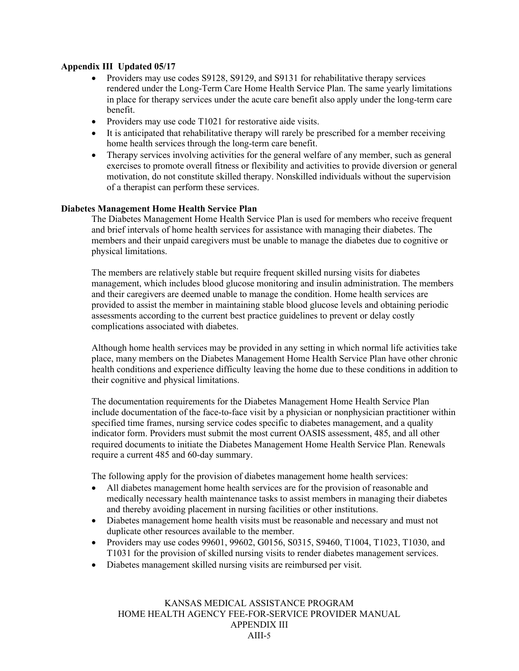- Providers may use codes S9128, S9129, and S9131 for rehabilitative therapy services rendered under the Long-Term Care Home Health Service Plan. The same yearly limitations in place for therapy services under the acute care benefit also apply under the long-term care benefit.
- Providers may use code T1021 for restorative aide visits.
- It is anticipated that rehabilitative therapy will rarely be prescribed for a member receiving home health services through the long-term care benefit.
- Therapy services involving activities for the general welfare of any member, such as general exercises to promote overall fitness or flexibility and activities to provide diversion or general motivation, do not constitute skilled therapy. Nonskilled individuals without the supervision of a therapist can perform these services.

#### **Diabetes Management Home Health Service Plan**

The Diabetes Management Home Health Service Plan is used for members who receive frequent and brief intervals of home health services for assistance with managing their diabetes. The members and their unpaid caregivers must be unable to manage the diabetes due to cognitive or physical limitations.

The members are relatively stable but require frequent skilled nursing visits for diabetes management, which includes blood glucose monitoring and insulin administration. The members and their caregivers are deemed unable to manage the condition. Home health services are provided to assist the member in maintaining stable blood glucose levels and obtaining periodic assessments according to the current best practice guidelines to prevent or delay costly complications associated with diabetes.

Although home health services may be provided in any setting in which normal life activities take place, many members on the Diabetes Management Home Health Service Plan have other chronic health conditions and experience difficulty leaving the home due to these conditions in addition to their cognitive and physical limitations.

The documentation requirements for the Diabetes Management Home Health Service Plan include documentation of the face-to-face visit by a physician or nonphysician practitioner within specified time frames, nursing service codes specific to diabetes management, and a quality indicator form. Providers must submit the most current OASIS assessment, 485, and all other required documents to initiate the Diabetes Management Home Health Service Plan. Renewals require a current 485 and 60-day summary.

The following apply for the provision of diabetes management home health services:

- All diabetes management home health services are for the provision of reasonable and medically necessary health maintenance tasks to assist members in managing their diabetes and thereby avoiding placement in nursing facilities or other institutions.
- Diabetes management home health visits must be reasonable and necessary and must not duplicate other resources available to the member.
- Providers may use codes 99601, 99602, G0156, S0315, S9460, T1004, T1023, T1030, and T1031 for the provision of skilled nursing visits to render diabetes management services.
- Diabetes management skilled nursing visits are reimbursed per visit.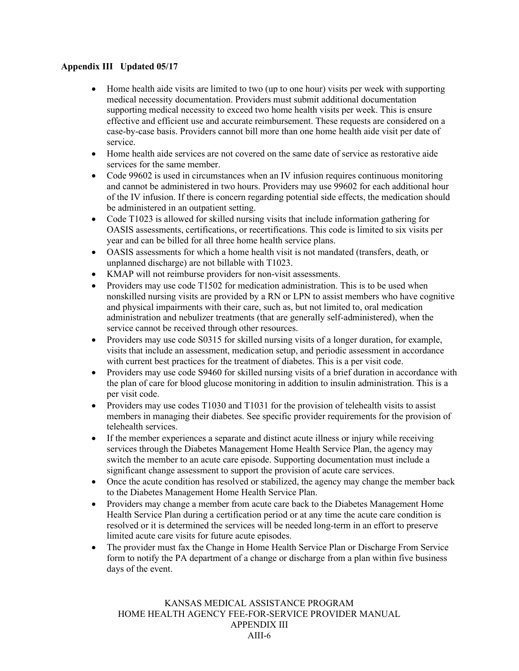- Home health aide visits are limited to two (up to one hour) visits per week with supporting medical necessity documentation. Providers must submit additional documentation supporting medical necessity to exceed two home health visits per week. This is ensure effective and efficient use and accurate reimbursement. These requests are considered on a case-by-case basis. Providers cannot bill more than one home health aide visit per date of service.
- Home health aide services are not covered on the same date of service as restorative aide services for the same member.
- Code 99602 is used in circumstances when an IV infusion requires continuous monitoring and cannot be administered in two hours. Providers may use 99602 for each additional hour of the IV infusion. If there is concern regarding potential side effects, the medication should be administered in an outpatient setting.
- Code T1023 is allowed for skilled nursing visits that include information gathering for OASIS assessments, certifications, or recertifications. This code is limited to six visits per year and can be billed for all three home health service plans.
- OASIS assessments for which a home health visit is not mandated (transfers, death, or unplanned discharge) are not billable with T1023.
- KMAP will not reimburse providers for non-visit assessments.
- Providers may use code T1502 for medication administration. This is to be used when nonskilled nursing visits are provided by a RN or LPN to assist members who have cognitive and physical impairments with their care, such as, but not limited to, oral medication administration and nebulizer treatments (that are generally self-administered), when the service cannot be received through other resources.
- Providers may use code S0315 for skilled nursing visits of a longer duration, for example, visits that include an assessment, medication setup, and periodic assessment in accordance with current best practices for the treatment of diabetes. This is a per visit code.
- Providers may use code S9460 for skilled nursing visits of a brief duration in accordance with the plan of care for blood glucose monitoring in addition to insulin administration. This is a per visit code.
- Providers may use codes T1030 and T1031 for the provision of telehealth visits to assist members in managing their diabetes. See specific provider requirements for the provision of telehealth services.
- If the member experiences a separate and distinct acute illness or injury while receiving services through the Diabetes Management Home Health Service Plan, the agency may switch the member to an acute care episode. Supporting documentation must include a significant change assessment to support the provision of acute care services.
- Once the acute condition has resolved or stabilized, the agency may change the member back to the Diabetes Management Home Health Service Plan.
- Providers may change a member from acute care back to the Diabetes Management Home Health Service Plan during a certification period or at any time the acute care condition is resolved or it is determined the services will be needed long-term in an effort to preserve limited acute care visits for future acute episodes.
- The provider must fax the Change in Home Health Service Plan or Discharge From Service form to notify the PA department of a change or discharge from a plan within five business days of the event.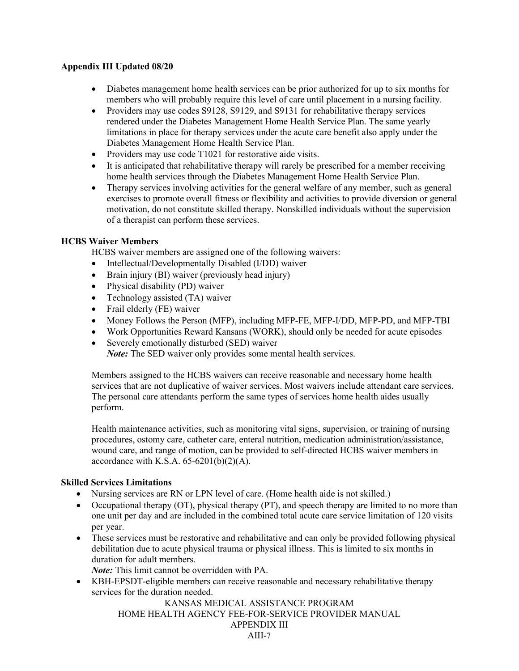- Diabetes management home health services can be prior authorized for up to six months for members who will probably require this level of care until placement in a nursing facility.
- Providers may use codes S9128, S9129, and S9131 for rehabilitative therapy services rendered under the Diabetes Management Home Health Service Plan. The same yearly limitations in place for therapy services under the acute care benefit also apply under the Diabetes Management Home Health Service Plan.
- Providers may use code T1021 for restorative aide visits.
- It is anticipated that rehabilitative therapy will rarely be prescribed for a member receiving home health services through the Diabetes Management Home Health Service Plan.
- Therapy services involving activities for the general welfare of any member, such as general exercises to promote overall fitness or flexibility and activities to provide diversion or general motivation, do not constitute skilled therapy. Nonskilled individuals without the supervision of a therapist can perform these services.

#### **HCBS Waiver Members**

HCBS waiver members are assigned one of the following waivers:

- Intellectual/Developmentally Disabled (I/DD) waiver
- Brain injury (BI) waiver (previously head injury)
- Physical disability (PD) waiver
- Technology assisted (TA) waiver
- Frail elderly (FE) waiver
- Money Follows the Person (MFP), including MFP-FE, MFP-I/DD, MFP-PD, and MFP-TBI
- Work Opportunities Reward Kansans (WORK), should only be needed for acute episodes
- Severely emotionally disturbed (SED) waiver

*Note:* The SED waiver only provides some mental health services.

Members assigned to the HCBS waivers can receive reasonable and necessary home health services that are not duplicative of waiver services. Most waivers include attendant care services. The personal care attendants perform the same types of services home health aides usually perform.

Health maintenance activities, such as monitoring vital signs, supervision, or training of nursing procedures, ostomy care, catheter care, enteral nutrition, medication administration/assistance, wound care, and range of motion, can be provided to self-directed HCBS waiver members in accordance with K.S.A.  $65-6201(b)(2)(A)$ .

#### **Skilled Services Limitations**

- Nursing services are RN or LPN level of care. (Home health aide is not skilled.)
- Occupational therapy (OT), physical therapy (PT), and speech therapy are limited to no more than one unit per day and are included in the combined total acute care service limitation of 120 visits per year.
- These services must be restorative and rehabilitative and can only be provided following physical debilitation due to acute physical trauma or physical illness. This is limited to six months in duration for adult members.

*Note:* This limit cannot be overridden with PA.

• KBH-EPSDT-eligible members can receive reasonable and necessary rehabilitative therapy services for the duration needed.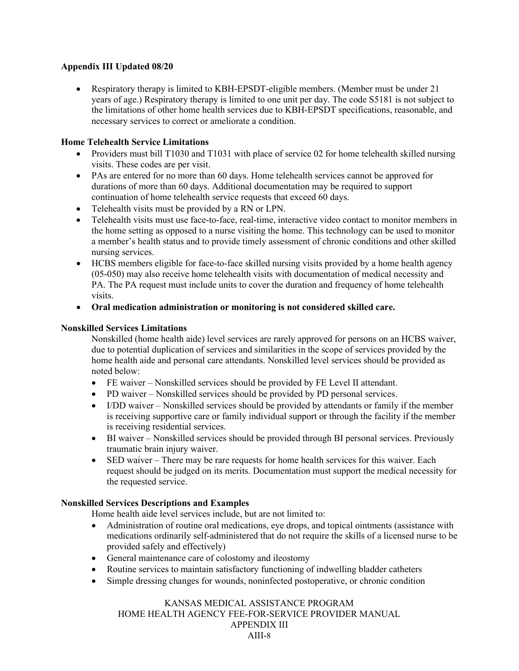• Respiratory therapy is limited to KBH-EPSDT-eligible members. (Member must be under 21 years of age.) Respiratory therapy is limited to one unit per day. The code S5181 is not subject to the limitations of other home health services due to KBH-EPSDT specifications, reasonable, and necessary services to correct or ameliorate a condition.

#### **Home Telehealth Service Limitations**

- Providers must bill T1030 and T1031 with place of service 02 for home telehealth skilled nursing visits. These codes are per visit.
- PAs are entered for no more than 60 days. Home telehealth services cannot be approved for durations of more than 60 days. Additional documentation may be required to support continuation of home telehealth service requests that exceed 60 days.
- Telehealth visits must be provided by a RN or LPN.
- Telehealth visits must use face-to-face, real-time, interactive video contact to monitor members in the home setting as opposed to a nurse visiting the home. This technology can be used to monitor a member's health status and to provide timely assessment of chronic conditions and other skilled nursing services.
- HCBS members eligible for face-to-face skilled nursing visits provided by a home health agency (05-050) may also receive home telehealth visits with documentation of medical necessity and PA. The PA request must include units to cover the duration and frequency of home telehealth visits.
- **Oral medication administration or monitoring is not considered skilled care.**

#### **Nonskilled Services Limitations**

Nonskilled (home health aide) level services are rarely approved for persons on an HCBS waiver, due to potential duplication of services and similarities in the scope of services provided by the home health aide and personal care attendants. Nonskilled level services should be provided as noted below:

- FE waiver Nonskilled services should be provided by FE Level II attendant.
- PD waiver Nonskilled services should be provided by PD personal services.
- I/DD waiver Nonskilled services should be provided by attendants or family if the member is receiving supportive care or family individual support or through the facility if the member is receiving residential services.
- BI waiver Nonskilled services should be provided through BI personal services. Previously traumatic brain injury waiver.
- SED waiver There may be rare requests for home health services for this waiver. Each request should be judged on its merits. Documentation must support the medical necessity for the requested service.

#### **Nonskilled Services Descriptions and Examples**

Home health aide level services include, but are not limited to:

- Administration of routine oral medications, eye drops, and topical ointments (assistance with medications ordinarily self-administered that do not require the skills of a licensed nurse to be provided safely and effectively)
- General maintenance care of colostomy and ileostomy
- Routine services to maintain satisfactory functioning of indwelling bladder catheters
- Simple dressing changes for wounds, noninfected postoperative, or chronic condition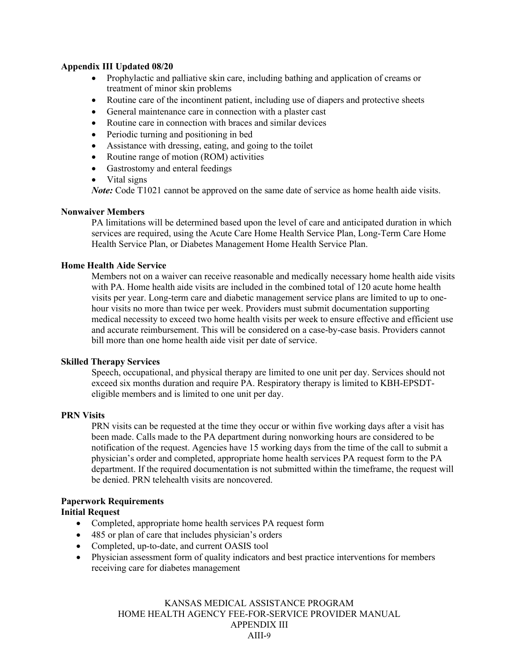- Prophylactic and palliative skin care, including bathing and application of creams or treatment of minor skin problems
- Routine care of the incontinent patient, including use of diapers and protective sheets
- General maintenance care in connection with a plaster cast
- Routine care in connection with braces and similar devices
- Periodic turning and positioning in bed
- Assistance with dressing, eating, and going to the toilet
- Routine range of motion (ROM) activities
- Gastrostomy and enteral feedings
- Vital signs

*Note:* Code T1021 cannot be approved on the same date of service as home health aide visits.

#### **Nonwaiver Members**

PA limitations will be determined based upon the level of care and anticipated duration in which services are required, using the Acute Care Home Health Service Plan, Long-Term Care Home Health Service Plan, or Diabetes Management Home Health Service Plan.

#### **Home Health Aide Service**

Members not on a waiver can receive reasonable and medically necessary home health aide visits with PA. Home health aide visits are included in the combined total of 120 acute home health visits per year. Long-term care and diabetic management service plans are limited to up to onehour visits no more than twice per week. Providers must submit documentation supporting medical necessity to exceed two home health visits per week to ensure effective and efficient use and accurate reimbursement. This will be considered on a case-by-case basis. Providers cannot bill more than one home health aide visit per date of service.

#### **Skilled Therapy Services**

Speech, occupational, and physical therapy are limited to one unit per day. Services should not exceed six months duration and require PA. Respiratory therapy is limited to KBH-EPSDTeligible members and is limited to one unit per day.

#### **PRN Visits**

PRN visits can be requested at the time they occur or within five working days after a visit has been made. Calls made to the PA department during nonworking hours are considered to be notification of the request. Agencies have 15 working days from the time of the call to submit a physician's order and completed, appropriate home health services PA request form to the PA department. If the required documentation is not submitted within the timeframe, the request will be denied. PRN telehealth visits are noncovered.

#### **Paperwork Requirements**

#### **Initial Request**

- Completed, appropriate home health services PA request form
- 485 or plan of care that includes physician's orders
- Completed, up-to-date, and current OASIS tool
- Physician assessment form of quality indicators and best practice interventions for members receiving care for diabetes management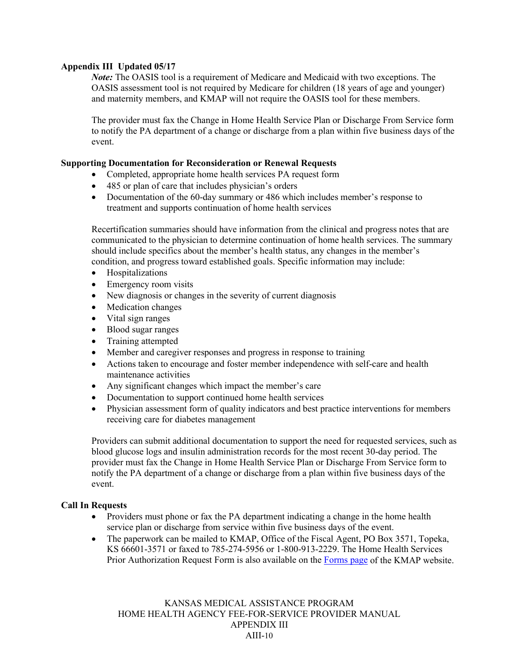*Note:* The OASIS tool is a requirement of Medicare and Medicaid with two exceptions. The OASIS assessment tool is not required by Medicare for children (18 years of age and younger) and maternity members, and KMAP will not require the OASIS tool for these members.

The provider must fax the Change in Home Health Service Plan or Discharge From Service form to notify the PA department of a change or discharge from a plan within five business days of the event.

#### **Supporting Documentation for Reconsideration or Renewal Requests**

- Completed, appropriate home health services PA request form
- 485 or plan of care that includes physician's orders
- Documentation of the 60-day summary or 486 which includes member's response to treatment and supports continuation of home health services

Recertification summaries should have information from the clinical and progress notes that are communicated to the physician to determine continuation of home health services. The summary should include specifics about the member's health status, any changes in the member's condition, and progress toward established goals. Specific information may include:

- Hospitalizations
- Emergency room visits
- New diagnosis or changes in the severity of current diagnosis
- Medication changes
- Vital sign ranges
- Blood sugar ranges
- Training attempted
- Member and caregiver responses and progress in response to training
- Actions taken to encourage and foster member independence with self-care and health maintenance activities
- Any significant changes which impact the member's care
- Documentation to support continued home health services
- Physician assessment form of quality indicators and best practice interventions for members receiving care for diabetes management

Providers can submit additional documentation to support the need for requested services, such as blood glucose logs and insulin administration records for the most recent 30-day period. The provider must fax the Change in Home Health Service Plan or Discharge From Service form to notify the PA department of a change or discharge from a plan within five business days of the event.

#### **Call In Requests**

- Providers must phone or fax the PA department indicating a change in the home health service plan or discharge from service within five business days of the event.
- The paperwork can be mailed to KMAP, Office of the Fiscal Agent, PO Box 3571, Topeka, KS 66601-3571 or faxed to 785-274-5956 or 1-800-913-2229. The Home Health Services Prior Authorization Request Form is also available on the [Forms page](https://portal.kmap-state-ks.us/PublicPage/ProviderPricing/ProviderPublications#prvForms) of the KMAP website.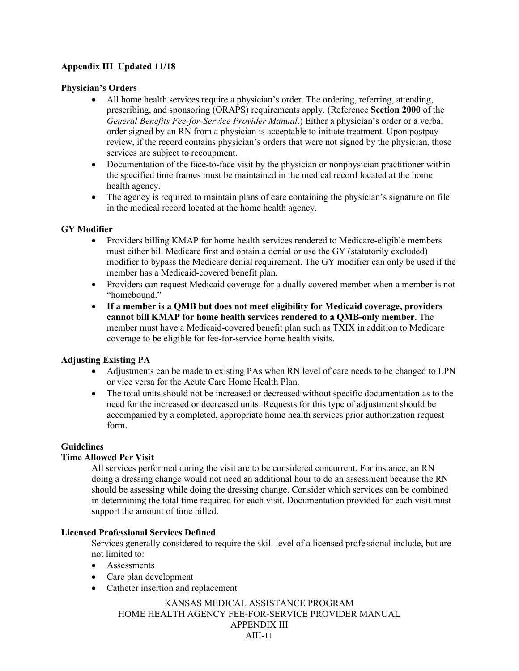#### **Physician's Orders**

- All home health services require a physician's order. The ordering, referring, attending, prescribing, and sponsoring (ORAPS) requirements apply. (Reference **Section 2000** of the *General Benefits Fee-for-Service Provider Manual*.) Either a physician's order or a verbal order signed by an RN from a physician is acceptable to initiate treatment. Upon postpay review, if the record contains physician's orders that were not signed by the physician, those services are subject to recoupment.
- Documentation of the face-to-face visit by the physician or nonphysician practitioner within the specified time frames must be maintained in the medical record located at the home health agency.
- The agency is required to maintain plans of care containing the physician's signature on file in the medical record located at the home health agency.

#### **GY Modifier**

- Providers billing KMAP for home health services rendered to Medicare-eligible members must either bill Medicare first and obtain a denial or use the GY (statutorily excluded) modifier to bypass the Medicare denial requirement. The GY modifier can only be used if the member has a Medicaid-covered benefit plan.
- Providers can request Medicaid coverage for a dually covered member when a member is not "homebound."
- **If a member is a QMB but does not meet eligibility for Medicaid coverage, providers cannot bill KMAP for home health services rendered to a QMB-only member.** The member must have a Medicaid-covered benefit plan such as TXIX in addition to Medicare coverage to be eligible for fee-for-service home health visits.

#### **Adjusting Existing PA**

- Adjustments can be made to existing PAs when RN level of care needs to be changed to LPN or vice versa for the Acute Care Home Health Plan.
- The total units should not be increased or decreased without specific documentation as to the need for the increased or decreased units. Requests for this type of adjustment should be accompanied by a completed, appropriate home health services prior authorization request form.

#### **Guidelines**

#### **Time Allowed Per Visit**

All services performed during the visit are to be considered concurrent. For instance, an RN doing a dressing change would not need an additional hour to do an assessment because the RN should be assessing while doing the dressing change. Consider which services can be combined in determining the total time required for each visit. Documentation provided for each visit must support the amount of time billed.

#### **Licensed Professional Services Defined**

Services generally considered to require the skill level of a licensed professional include, but are not limited to:

- Assessments
- Care plan development
- Catheter insertion and replacement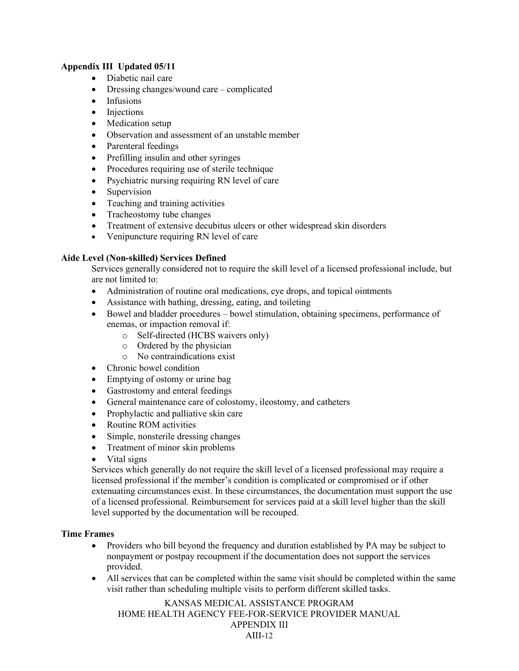- Diabetic nail care
- Dressing changes/wound care complicated
- Infusions
- Injections
- Medication setup
- Observation and assessment of an unstable member
- Parenteral feedings
- Prefilling insulin and other syringes
- Procedures requiring use of sterile technique
- Psychiatric nursing requiring RN level of care
- Supervision
- Teaching and training activities
- Tracheostomy tube changes
- Treatment of extensive decubitus ulcers or other widespread skin disorders
- Venipuncture requiring RN level of care

#### **Aide Level (Non-skilled) Services Defined**

Services generally considered not to require the skill level of a licensed professional include, but are not limited to:

- Administration of routine oral medications, eye drops, and topical ointments
- Assistance with bathing, dressing, eating, and toileting
- Bowel and bladder procedures bowel stimulation, obtaining specimens, performance of enemas, or impaction removal if:
	- o Self-directed (HCBS waivers only)
	- o Ordered by the physician
	- o No contraindications exist
- Chronic bowel condition
- Emptying of ostomy or urine bag
- Gastrostomy and enteral feedings
- General maintenance care of colostomy, ileostomy, and catheters
- Prophylactic and palliative skin care
- Routine ROM activities
- Simple, nonsterile dressing changes
- Treatment of minor skin problems
- Vital signs

Services which generally do not require the skill level of a licensed professional may require a licensed professional if the member's condition is complicated or compromised or if other extenuating circumstances exist. In these circumstances, the documentation must support the use of a licensed professional. Reimbursement for services paid at a skill level higher than the skill level supported by the documentation will be recouped.

#### **Time Frames**

- Providers who bill beyond the frequency and duration established by PA may be subject to nonpayment or postpay recoupment if the documentation does not support the services provided.
- All services that can be completed within the same visit should be completed within the same visit rather than scheduling multiple visits to perform different skilled tasks.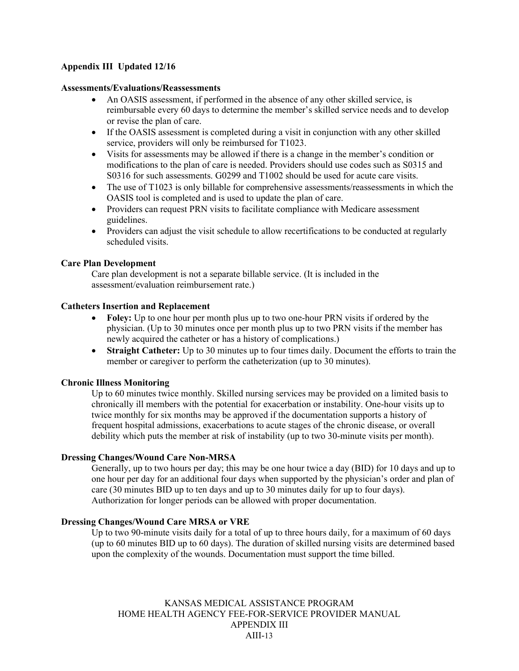#### **Assessments/Evaluations/Reassessments**

- An OASIS assessment, if performed in the absence of any other skilled service, is reimbursable every 60 days to determine the member's skilled service needs and to develop or revise the plan of care.
- If the OASIS assessment is completed during a visit in conjunction with any other skilled service, providers will only be reimbursed for T1023.
- Visits for assessments may be allowed if there is a change in the member's condition or modifications to the plan of care is needed. Providers should use codes such as S0315 and S0316 for such assessments. G0299 and T1002 should be used for acute care visits.
- The use of T1023 is only billable for comprehensive assessments/reassessments in which the OASIS tool is completed and is used to update the plan of care.
- Providers can request PRN visits to facilitate compliance with Medicare assessment guidelines.
- Providers can adjust the visit schedule to allow recertifications to be conducted at regularly scheduled visits.

#### **Care Plan Development**

Care plan development is not a separate billable service. (It is included in the assessment/evaluation reimbursement rate.)

#### **Catheters Insertion and Replacement**

- **Foley:** Up to one hour per month plus up to two one-hour PRN visits if ordered by the physician. (Up to 30 minutes once per month plus up to two PRN visits if the member has newly acquired the catheter or has a history of complications.)
- **Straight Catheter:** Up to 30 minutes up to four times daily. Document the efforts to train the member or caregiver to perform the catheterization (up to 30 minutes).

#### **Chronic Illness Monitoring**

Up to 60 minutes twice monthly. Skilled nursing services may be provided on a limited basis to chronically ill members with the potential for exacerbation or instability. One-hour visits up to twice monthly for six months may be approved if the documentation supports a history of frequent hospital admissions, exacerbations to acute stages of the chronic disease, or overall debility which puts the member at risk of instability (up to two 30-minute visits per month).

#### **Dressing Changes/Wound Care Non-MRSA**

Generally, up to two hours per day; this may be one hour twice a day (BID) for 10 days and up to one hour per day for an additional four days when supported by the physician's order and plan of care (30 minutes BID up to ten days and up to 30 minutes daily for up to four days). Authorization for longer periods can be allowed with proper documentation.

#### **Dressing Changes/Wound Care MRSA or VRE**

Up to two 90-minute visits daily for a total of up to three hours daily, for a maximum of 60 days (up to 60 minutes BID up to 60 days). The duration of skilled nursing visits are determined based upon the complexity of the wounds. Documentation must support the time billed.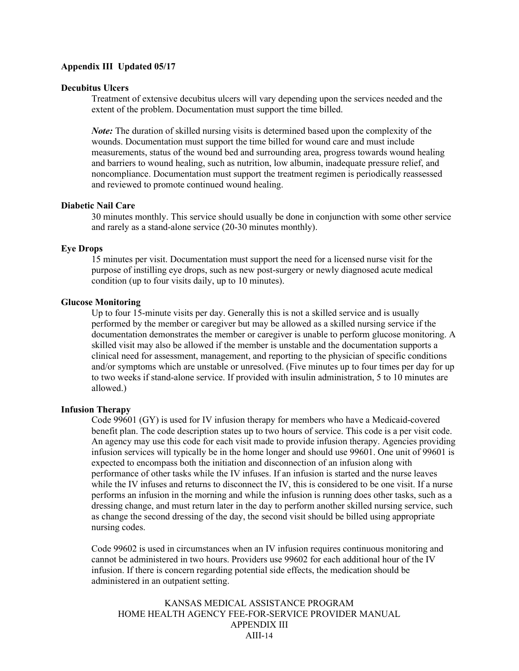#### **Decubitus Ulcers**

Treatment of extensive decubitus ulcers will vary depending upon the services needed and the extent of the problem. Documentation must support the time billed.

*Note:* The duration of skilled nursing visits is determined based upon the complexity of the wounds. Documentation must support the time billed for wound care and must include measurements, status of the wound bed and surrounding area, progress towards wound healing and barriers to wound healing, such as nutrition, low albumin, inadequate pressure relief, and noncompliance. Documentation must support the treatment regimen is periodically reassessed and reviewed to promote continued wound healing.

#### **Diabetic Nail Care**

30 minutes monthly. This service should usually be done in conjunction with some other service and rarely as a stand-alone service (20-30 minutes monthly).

#### **Eye Drops**

15 minutes per visit. Documentation must support the need for a licensed nurse visit for the purpose of instilling eye drops, such as new post-surgery or newly diagnosed acute medical condition (up to four visits daily, up to 10 minutes).

#### **Glucose Monitoring**

Up to four 15-minute visits per day. Generally this is not a skilled service and is usually performed by the member or caregiver but may be allowed as a skilled nursing service if the documentation demonstrates the member or caregiver is unable to perform glucose monitoring. A skilled visit may also be allowed if the member is unstable and the documentation supports a clinical need for assessment, management, and reporting to the physician of specific conditions and/or symptoms which are unstable or unresolved. (Five minutes up to four times per day for up to two weeks if stand-alone service. If provided with insulin administration, 5 to 10 minutes are allowed.)

#### **Infusion Therapy**

Code 99601 (GY) is used for IV infusion therapy for members who have a Medicaid-covered benefit plan. The code description states up to two hours of service. This code is a per visit code. An agency may use this code for each visit made to provide infusion therapy. Agencies providing infusion services will typically be in the home longer and should use 99601. One unit of 99601 is expected to encompass both the initiation and disconnection of an infusion along with performance of other tasks while the IV infuses. If an infusion is started and the nurse leaves while the IV infuses and returns to disconnect the IV, this is considered to be one visit. If a nurse performs an infusion in the morning and while the infusion is running does other tasks, such as a dressing change, and must return later in the day to perform another skilled nursing service, such as change the second dressing of the day, the second visit should be billed using appropriate nursing codes.

Code 99602 is used in circumstances when an IV infusion requires continuous monitoring and cannot be administered in two hours. Providers use 99602 for each additional hour of the IV infusion. If there is concern regarding potential side effects, the medication should be administered in an outpatient setting.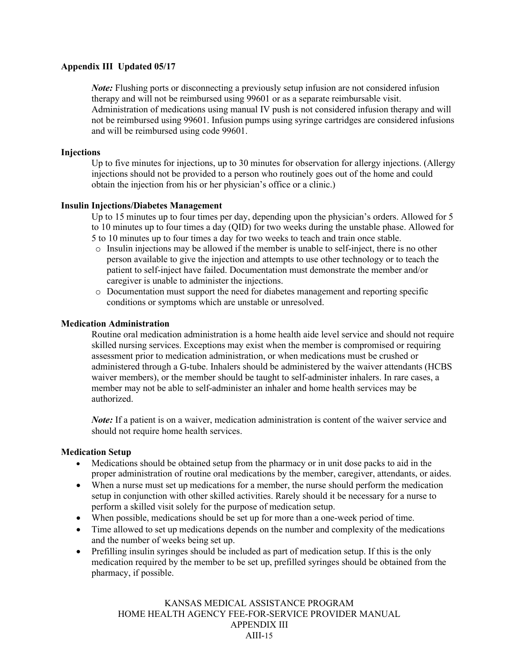*Note:* Flushing ports or disconnecting a previously setup infusion are not considered infusion therapy and will not be reimbursed using 99601 or as a separate reimbursable visit. Administration of medications using manual IV push is not considered infusion therapy and will not be reimbursed using 99601. Infusion pumps using syringe cartridges are considered infusions and will be reimbursed using code 99601.

#### **Injections**

Up to five minutes for injections, up to 30 minutes for observation for allergy injections. (Allergy injections should not be provided to a person who routinely goes out of the home and could obtain the injection from his or her physician's office or a clinic.)

#### **Insulin Injections/Diabetes Management**

Up to 15 minutes up to four times per day, depending upon the physician's orders. Allowed for 5 to 10 minutes up to four times a day (QID) for two weeks during the unstable phase. Allowed for 5 to 10 minutes up to four times a day for two weeks to teach and train once stable.

- $\circ$  Insulin injections may be allowed if the member is unable to self-inject, there is no other person available to give the injection and attempts to use other technology or to teach the patient to self-inject have failed. Documentation must demonstrate the member and/or caregiver is unable to administer the injections.
- o Documentation must support the need for diabetes management and reporting specific conditions or symptoms which are unstable or unresolved.

#### **Medication Administration**

Routine oral medication administration is a home health aide level service and should not require skilled nursing services. Exceptions may exist when the member is compromised or requiring assessment prior to medication administration, or when medications must be crushed or administered through a G-tube. Inhalers should be administered by the waiver attendants (HCBS waiver members), or the member should be taught to self-administer inhalers. In rare cases, a member may not be able to self-administer an inhaler and home health services may be authorized.

*Note*: If a patient is on a waiver, medication administration is content of the waiver service and should not require home health services.

#### **Medication Setup**

- Medications should be obtained setup from the pharmacy or in unit dose packs to aid in the proper administration of routine oral medications by the member, caregiver, attendants, or aides.
- When a nurse must set up medications for a member, the nurse should perform the medication setup in conjunction with other skilled activities. Rarely should it be necessary for a nurse to perform a skilled visit solely for the purpose of medication setup.
- When possible, medications should be set up for more than a one-week period of time.
- Time allowed to set up medications depends on the number and complexity of the medications and the number of weeks being set up.
- Prefilling insulin syringes should be included as part of medication setup. If this is the only medication required by the member to be set up, prefilled syringes should be obtained from the pharmacy, if possible.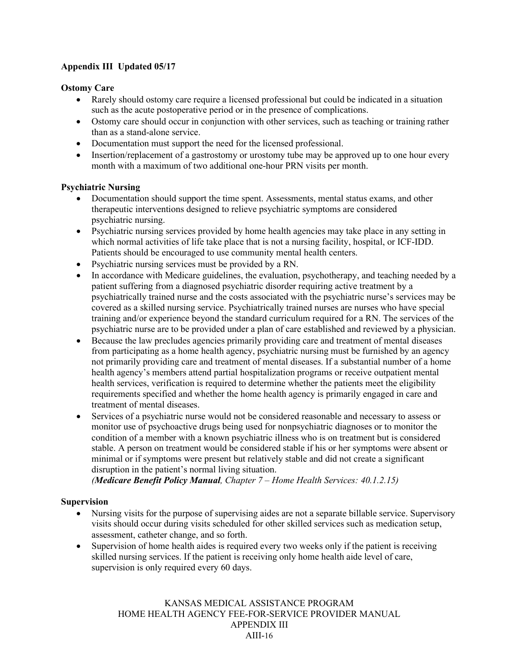#### **Ostomy Care**

- Rarely should ostomy care require a licensed professional but could be indicated in a situation such as the acute postoperative period or in the presence of complications.
- Ostomy care should occur in conjunction with other services, such as teaching or training rather than as a stand-alone service.
- Documentation must support the need for the licensed professional.
- Insertion/replacement of a gastrostomy or urostomy tube may be approved up to one hour every month with a maximum of two additional one-hour PRN visits per month.

#### **Psychiatric Nursing**

- Documentation should support the time spent. Assessments, mental status exams, and other therapeutic interventions designed to relieve psychiatric symptoms are considered psychiatric nursing.
- Psychiatric nursing services provided by home health agencies may take place in any setting in which normal activities of life take place that is not a nursing facility, hospital, or ICF-IDD. Patients should be encouraged to use community mental health centers.
- Psychiatric nursing services must be provided by a RN.
- In accordance with Medicare guidelines, the evaluation, psychotherapy, and teaching needed by a patient suffering from a diagnosed psychiatric disorder requiring active treatment by a psychiatrically trained nurse and the costs associated with the psychiatric nurse's services may be covered as a skilled nursing service. Psychiatrically trained nurses are nurses who have special training and/or experience beyond the standard curriculum required for a RN. The services of the psychiatric nurse are to be provided under a plan of care established and reviewed by a physician.
- Because the law precludes agencies primarily providing care and treatment of mental diseases from participating as a home health agency, psychiatric nursing must be furnished by an agency not primarily providing care and treatment of mental diseases. If a substantial number of a home health agency's members attend partial hospitalization programs or receive outpatient mental health services, verification is required to determine whether the patients meet the eligibility requirements specified and whether the home health agency is primarily engaged in care and treatment of mental diseases.
- Services of a psychiatric nurse would not be considered reasonable and necessary to assess or monitor use of psychoactive drugs being used for nonpsychiatric diagnoses or to monitor the condition of a member with a known psychiatric illness who is on treatment but is considered stable. A person on treatment would be considered stable if his or her symptoms were absent or minimal or if symptoms were present but relatively stable and did not create a significant disruption in the patient's normal living situation.

*(Medicare Benefit Policy Manual, Chapter 7 – Home Health Services: 40.1.2.15)*

#### **Supervision**

- Nursing visits for the purpose of supervising aides are not a separate billable service. Supervisory visits should occur during visits scheduled for other skilled services such as medication setup, assessment, catheter change, and so forth.
- Supervision of home health aides is required every two weeks only if the patient is receiving skilled nursing services. If the patient is receiving only home health aide level of care, supervision is only required every 60 days.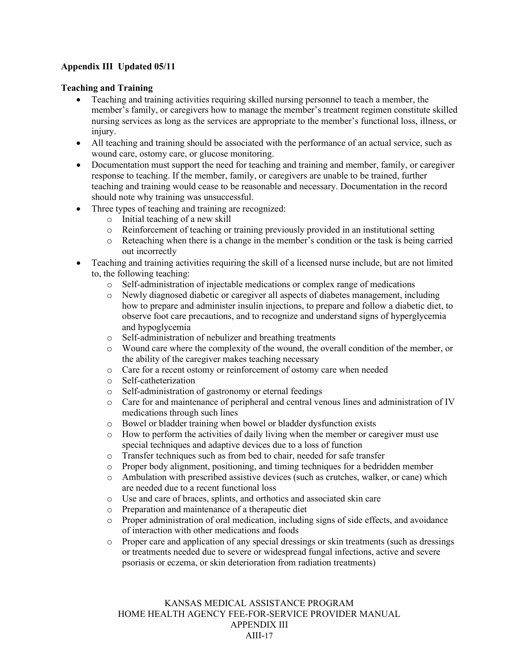#### **Teaching and Training**

- Teaching and training activities requiring skilled nursing personnel to teach a member, the member's family, or caregivers how to manage the member's treatment regimen constitute skilled nursing services as long as the services are appropriate to the member's functional loss, illness, or injury.
- All teaching and training should be associated with the performance of an actual service, such as wound care, ostomy care, or glucose monitoring.
- Documentation must support the need for teaching and training and member, family, or caregiver response to teaching. If the member, family, or caregivers are unable to be trained, further teaching and training would cease to be reasonable and necessary. Documentation in the record should note why training was unsuccessful.
- Three types of teaching and training are recognized:
	- o Initial teaching of a new skill
	- o Reinforcement of teaching or training previously provided in an institutional setting
	- o Reteaching when there is a change in the member's condition or the task is being carried out incorrectly
- Teaching and training activities requiring the skill of a licensed nurse include, but are not limited to, the following teaching:
	- o Self-administration of injectable medications or complex range of medications
	- o Newly diagnosed diabetic or caregiver all aspects of diabetes management, including how to prepare and administer insulin injections, to prepare and follow a diabetic diet, to observe foot care precautions, and to recognize and understand signs of hyperglycemia and hypoglycemia
	- o Self-administration of nebulizer and breathing treatments<br>
	o Wound care where the complexity of the wound, the overa
	- Wound care where the complexity of the wound, the overall condition of the member, or the ability of the caregiver makes teaching necessary
	- o Care for a recent ostomy or reinforcement of ostomy care when needed
	- o Self-catheterization
	-
	- o Self-administration of gastronomy or eternal feedings Care for and maintenance of peripheral and central venous lines and administration of IV medications through such lines
	- $\circ$  Bowel or bladder training when bowel or bladder dysfunction exists  $\circ$  How to perform the activities of daily living when the member or can
	- How to perform the activities of daily living when the member or caregiver must use special techniques and adaptive devices due to a loss of function
	- o Transfer techniques such as from bed to chair, needed for safe transfer
	- o Proper body alignment, positioning, and timing techniques for a bedridden member
	- o Ambulation with prescribed assistive devices (such as crutches, walker, or cane) which are needed due to a recent functional loss
	- o Use and care of braces, splints, and orthotics and associated skin care
	- Preparation and maintenance of a therapeutic diet
	- o Proper administration of oral medication, including signs of side effects, and avoidance of interaction with other medications and foods
	- o Proper care and application of any special dressings or skin treatments (such as dressings or treatments needed due to severe or widespread fungal infections, active and severe psoriasis or eczema, or skin deterioration from radiation treatments)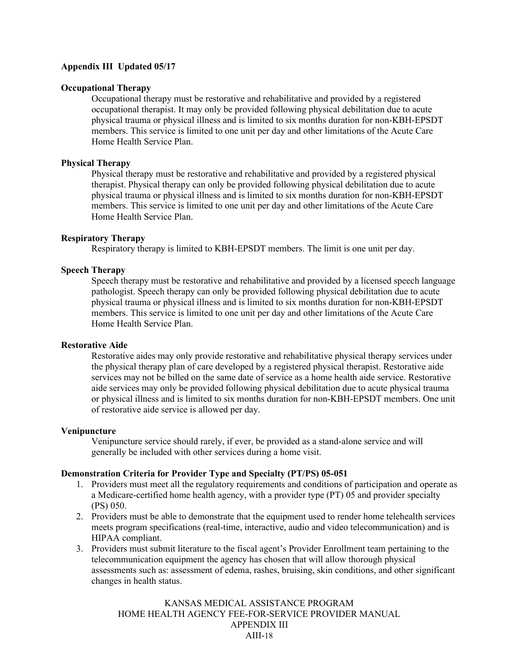#### **Occupational Therapy**

Occupational therapy must be restorative and rehabilitative and provided by a registered occupational therapist. It may only be provided following physical debilitation due to acute physical trauma or physical illness and is limited to six months duration for non-KBH-EPSDT members. This service is limited to one unit per day and other limitations of the Acute Care Home Health Service Plan.

#### **Physical Therapy**

Physical therapy must be restorative and rehabilitative and provided by a registered physical therapist. Physical therapy can only be provided following physical debilitation due to acute physical trauma or physical illness and is limited to six months duration for non-KBH-EPSDT members. This service is limited to one unit per day and other limitations of the Acute Care Home Health Service Plan.

#### **Respiratory Therapy**

Respiratory therapy is limited to KBH-EPSDT members. The limit is one unit per day.

#### **Speech Therapy**

Speech therapy must be restorative and rehabilitative and provided by a licensed speech language pathologist. Speech therapy can only be provided following physical debilitation due to acute physical trauma or physical illness and is limited to six months duration for non-KBH-EPSDT members. This service is limited to one unit per day and other limitations of the Acute Care Home Health Service Plan.

#### **Restorative Aide**

Restorative aides may only provide restorative and rehabilitative physical therapy services under the physical therapy plan of care developed by a registered physical therapist. Restorative aide services may not be billed on the same date of service as a home health aide service. Restorative aide services may only be provided following physical debilitation due to acute physical trauma or physical illness and is limited to six months duration for non-KBH-EPSDT members. One unit of restorative aide service is allowed per day.

#### **Venipuncture**

Venipuncture service should rarely, if ever, be provided as a stand-alone service and will generally be included with other services during a home visit.

#### **Demonstration Criteria for Provider Type and Specialty (PT/PS) 05-051**

- 1. Providers must meet all the regulatory requirements and conditions of participation and operate as a Medicare-certified home health agency, with a provider type (PT) 05 and provider specialty (PS) 050.
- 2. Providers must be able to demonstrate that the equipment used to render home telehealth services meets program specifications (real-time, interactive, audio and video telecommunication) and is HIPAA compliant.
- 3. Providers must submit literature to the fiscal agent's Provider Enrollment team pertaining to the telecommunication equipment the agency has chosen that will allow thorough physical assessments such as: assessment of edema, rashes, bruising, skin conditions, and other significant changes in health status.